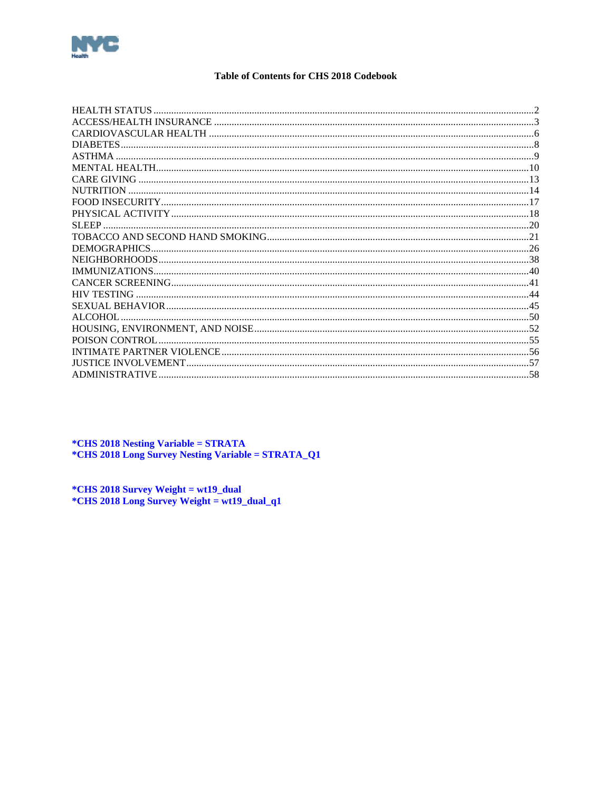<span id="page-0-0"></span>

### **Table of Contents for CHS 2018 Codebook**

| HEALTH STATUS         |  |
|-----------------------|--|
|                       |  |
|                       |  |
| <b>DIABETES</b>       |  |
| ASTHMA                |  |
|                       |  |
| <b>CARE GIVING</b>    |  |
| <b>NUTRITION</b>      |  |
|                       |  |
|                       |  |
|                       |  |
|                       |  |
|                       |  |
|                       |  |
|                       |  |
|                       |  |
| <b>HIV TESTING</b>    |  |
|                       |  |
| ALCOHOL               |  |
|                       |  |
| POISON CONTROL        |  |
|                       |  |
| JUSTICE INVOLVEMENT   |  |
| <b>ADMINISTRATIVE</b> |  |

\*CHS 2018 Nesting Variable = STRATA<br>\*CHS 2018 Long Survey Nesting Variable = STRATA\_Q1

\*CHS 2018 Survey Weight = wt19\_dual<br>\*CHS 2018 Long Survey Weight = wt19\_dual\_q1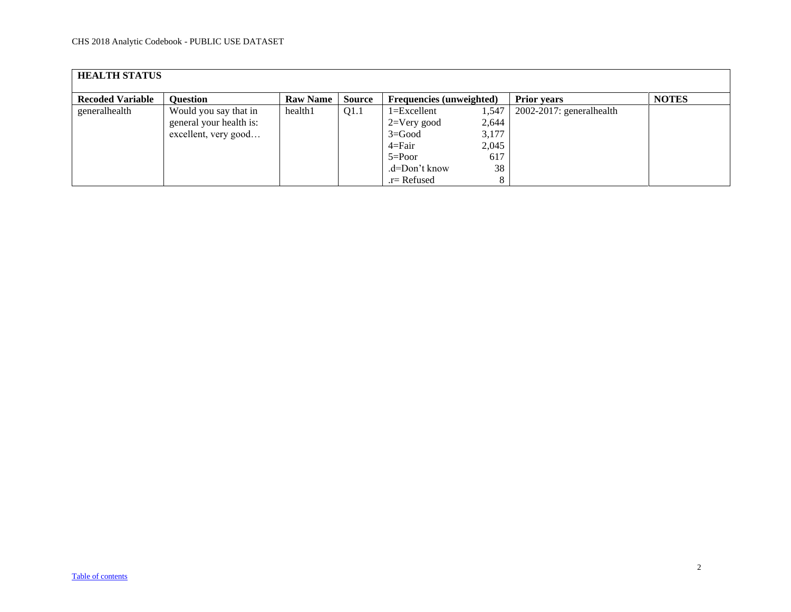<span id="page-1-0"></span>

| <b>HEALTH STATUS</b>    |                         |                 |               |                                 |       |                             |              |  |  |  |
|-------------------------|-------------------------|-----------------|---------------|---------------------------------|-------|-----------------------------|--------------|--|--|--|
| <b>Recoded Variable</b> | <b>Ouestion</b>         | <b>Raw Name</b> | <b>Source</b> | <b>Frequencies</b> (unweighted) |       | <b>Prior years</b>          | <b>NOTES</b> |  |  |  |
| generalhealth           | Would you say that in   | health1         | Q1.1          | $1 = Excellent$                 | 1,547 | $2002-2017$ : generalhealth |              |  |  |  |
|                         | general your health is: |                 |               | $2=V$ ery good                  | 2,644 |                             |              |  |  |  |
|                         | excellent, very good    |                 |               | $3 = Good$                      | 3,177 |                             |              |  |  |  |
|                         |                         |                 |               | 4=Fair                          | 2,045 |                             |              |  |  |  |
|                         |                         |                 |               | $5 = Poor$                      | 617   |                             |              |  |  |  |
|                         |                         |                 |               | .d=Don't know                   | 38    |                             |              |  |  |  |
|                         |                         |                 |               | $r =$ Refused                   |       |                             |              |  |  |  |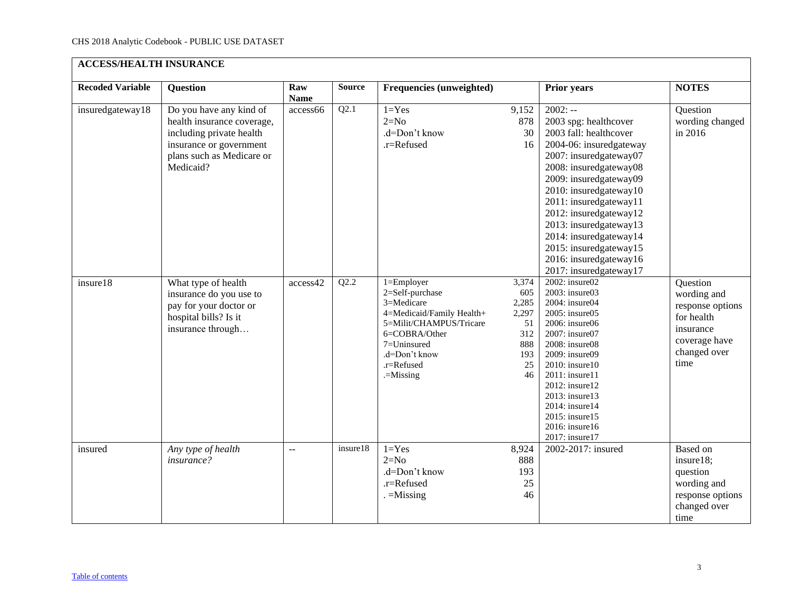<span id="page-2-0"></span>

| <b>ACCESS/HEALTH INSURANCE</b> |                                                                                                                                                        |                    |               |                                                                                                                                                                                       |                                                                       |                                                                                                                                                                                                                                                                                                                                                                                       |                                                                                                                 |  |  |  |  |
|--------------------------------|--------------------------------------------------------------------------------------------------------------------------------------------------------|--------------------|---------------|---------------------------------------------------------------------------------------------------------------------------------------------------------------------------------------|-----------------------------------------------------------------------|---------------------------------------------------------------------------------------------------------------------------------------------------------------------------------------------------------------------------------------------------------------------------------------------------------------------------------------------------------------------------------------|-----------------------------------------------------------------------------------------------------------------|--|--|--|--|
| <b>Recoded Variable</b>        | <b>Question</b>                                                                                                                                        | Raw<br><b>Name</b> | <b>Source</b> | Frequencies (unweighted)                                                                                                                                                              |                                                                       | <b>Prior years</b>                                                                                                                                                                                                                                                                                                                                                                    | <b>NOTES</b>                                                                                                    |  |  |  |  |
| insuredgateway18               | Do you have any kind of<br>health insurance coverage,<br>including private health<br>insurance or government<br>plans such as Medicare or<br>Medicaid? | access66           | Q2.1          | $1 = Yes$<br>$2=N0$<br>.d=Don't know<br>.r=Refused                                                                                                                                    | 9,152<br>878<br>30<br>16                                              | $2002: -$<br>2003 spg: healthcover<br>2003 fall: healthcover<br>2004-06: insuredgateway<br>2007: insuredgateway07<br>2008: insuredgateway08<br>2009: insuredgateway09<br>2010: insuredgateway10<br>2011: insuredgateway11<br>2012: insuredgateway12<br>2013: insuredgateway13<br>2014: insuredgateway14<br>2015: insuredgateway15<br>2016: insuredgateway16<br>2017: insuredgateway17 | Question<br>wording changed<br>in 2016                                                                          |  |  |  |  |
| insure18                       | What type of health<br>insurance do you use to<br>pay for your doctor or<br>hospital bills? Is it<br>insurance through                                 | access42           | Q2.2          | $1 =$ Employer<br>2=Self-purchase<br>3=Medicare<br>4=Medicaid/Family Health+<br>5=Milit/CHAMPUS/Tricare<br>6=COBRA/Other<br>7=Uninsured<br>.d=Don't know<br>.r=Refused<br>$=$ Missing | 3,374<br>605<br>2,285<br>2,297<br>51<br>312<br>888<br>193<br>25<br>46 | 2002: insure02<br>2003: insure03<br>2004: insure04<br>2005: insure05<br>2006: insure06<br>2007: insure07<br>2008: insure08<br>2009: insure09<br>2010: insure10<br>2011: insure11<br>2012: insure12<br>2013: insure13<br>2014: insure14<br>2015: insure15<br>2016: insure16<br>2017: insure17                                                                                          | Question<br>wording and<br>response options<br>for health<br>insurance<br>coverage have<br>changed over<br>time |  |  |  |  |
| insured                        | Any type of health<br>insurance?                                                                                                                       | $\overline{a}$     | insure18      | $1 = Yes$<br>$2=N0$<br>.d=Don't know<br>.r=Refused<br>$=$ Missing                                                                                                                     | 8,924<br>888<br>193<br>25<br>46                                       | 2002-2017: insured                                                                                                                                                                                                                                                                                                                                                                    | Based on<br>insure18;<br>question<br>wording and<br>response options<br>changed over<br>time                    |  |  |  |  |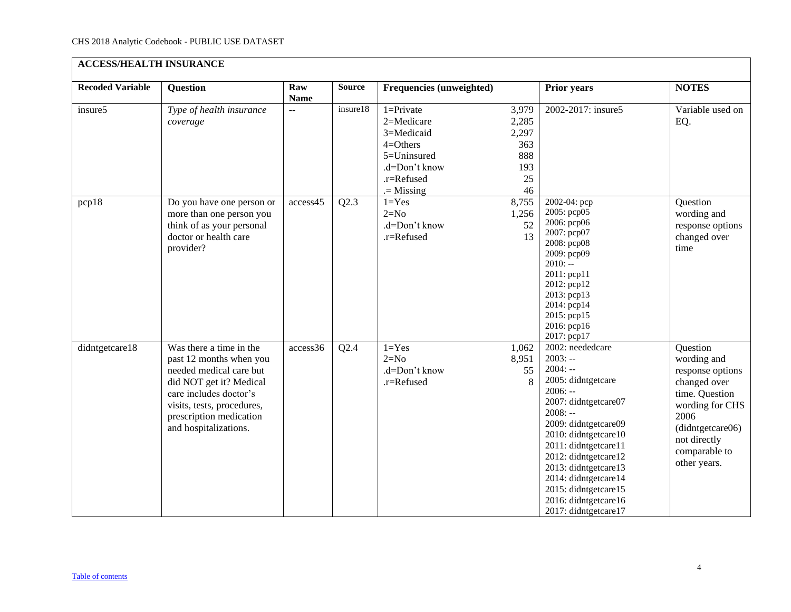| <b>ACCESS/HEALTH INSURANCE</b> |                                                                                                                                                                                                                      |                    |               |                                                                                                                        |                                                          |                                                                                                                                                                                                                                                                                                                                            |                                                                                                                                                                               |  |  |  |
|--------------------------------|----------------------------------------------------------------------------------------------------------------------------------------------------------------------------------------------------------------------|--------------------|---------------|------------------------------------------------------------------------------------------------------------------------|----------------------------------------------------------|--------------------------------------------------------------------------------------------------------------------------------------------------------------------------------------------------------------------------------------------------------------------------------------------------------------------------------------------|-------------------------------------------------------------------------------------------------------------------------------------------------------------------------------|--|--|--|
| <b>Recoded Variable</b>        | <b>Question</b>                                                                                                                                                                                                      | Raw<br><b>Name</b> | <b>Source</b> | <b>Frequencies (unweighted)</b>                                                                                        |                                                          | <b>Prior years</b>                                                                                                                                                                                                                                                                                                                         | <b>NOTES</b>                                                                                                                                                                  |  |  |  |
| insure5                        | Type of health insurance<br>coverage                                                                                                                                                                                 | $\overline{a}$     | insure18      | $1 =$ Private<br>2=Medicare<br>3=Medicaid<br>$4 =$ Others<br>5=Uninsured<br>.d=Don't know<br>.r=Refused<br>$=$ Missing | 3,979<br>2,285<br>2,297<br>363<br>888<br>193<br>25<br>46 | 2002-2017: insure5                                                                                                                                                                                                                                                                                                                         | Variable used on<br>EQ.                                                                                                                                                       |  |  |  |
| pcp18                          | Do you have one person or<br>more than one person you<br>think of as your personal<br>doctor or health care<br>provider?                                                                                             | access45           | Q2.3          | $1 = Yes$<br>$2=N0$<br>.d=Don't know<br>.r=Refused                                                                     | 8,755<br>1,256<br>52<br>13                               | 2002-04: pcp<br>2005: pcp05<br>2006: рер06<br>2007: pcp07<br>2008: pcp08<br>2009: pcp09<br>$2010: -$<br>2011: pcp11<br>2012: pcp12<br>2013: pcp13<br>2014: pcp14<br>2015: pcp15<br>2016: pcp16<br>2017: pcp17                                                                                                                              | Question<br>wording and<br>response options<br>changed over<br>time                                                                                                           |  |  |  |
| didntgetcare18                 | Was there a time in the<br>past 12 months when you<br>needed medical care but<br>did NOT get it? Medical<br>care includes doctor's<br>visits, tests, procedures,<br>prescription medication<br>and hospitalizations. | access36           | Q2.4          | $1 = Yes$<br>$2=N0$<br>.d=Don't know<br>.r=Refused                                                                     | 1,062<br>8,951<br>55<br>8                                | 2002: neededcare<br>$2003: -$<br>$2004: -$<br>2005: didntgetcare<br>$2006: -$<br>2007: didntgetcare07<br>$2008: -$<br>2009: didntgetcare09<br>2010: didntgetcare10<br>2011: didntgetcare11<br>2012: didntgetcare12<br>2013: didntgetcare13<br>2014: didntgetcare14<br>2015: didntgetcare15<br>2016: didntgetcare16<br>2017: didntgetcare17 | Question<br>wording and<br>response options<br>changed over<br>time. Question<br>wording for CHS<br>2006<br>(didntgetcare06)<br>not directly<br>comparable to<br>other years. |  |  |  |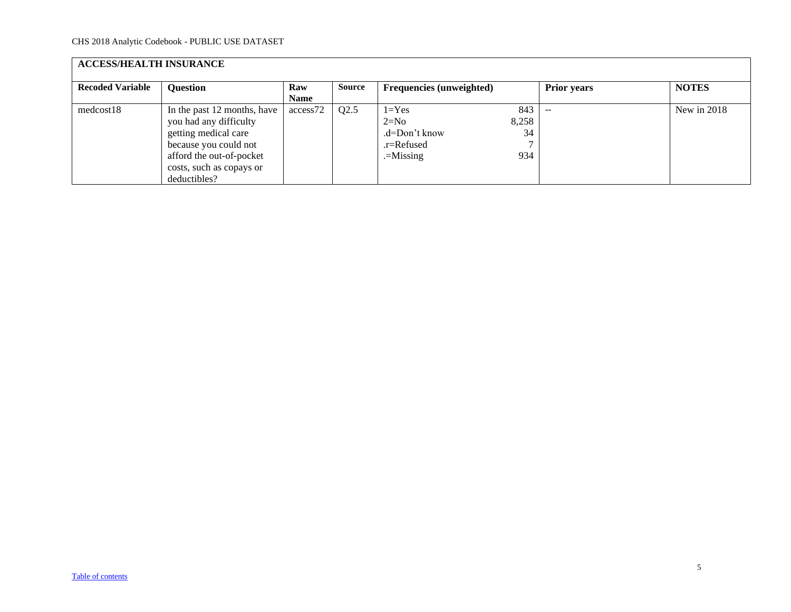| <b>ACCESS/HEALTH INSURANCE</b> |                                                                                                                                                                                |                    |               |                                                                   |                           |                    |              |  |  |  |
|--------------------------------|--------------------------------------------------------------------------------------------------------------------------------------------------------------------------------|--------------------|---------------|-------------------------------------------------------------------|---------------------------|--------------------|--------------|--|--|--|
| <b>Recoded Variable</b>        | <b>Question</b>                                                                                                                                                                | Raw<br><b>Name</b> | <b>Source</b> | <b>Frequencies</b> (unweighted)                                   |                           | <b>Prior years</b> | <b>NOTES</b> |  |  |  |
| medcost18                      | In the past 12 months, have<br>you had any difficulty<br>getting medical care<br>because you could not<br>afford the out-of-pocket<br>costs, such as copays or<br>deductibles? | access72           | Q2.5          | $1 = Yes$<br>$2=N0$<br>.d=Don't know<br>.r=Refused<br>$=$ Missing | 843<br>8,258<br>34<br>934 | $-$                | New in 2018  |  |  |  |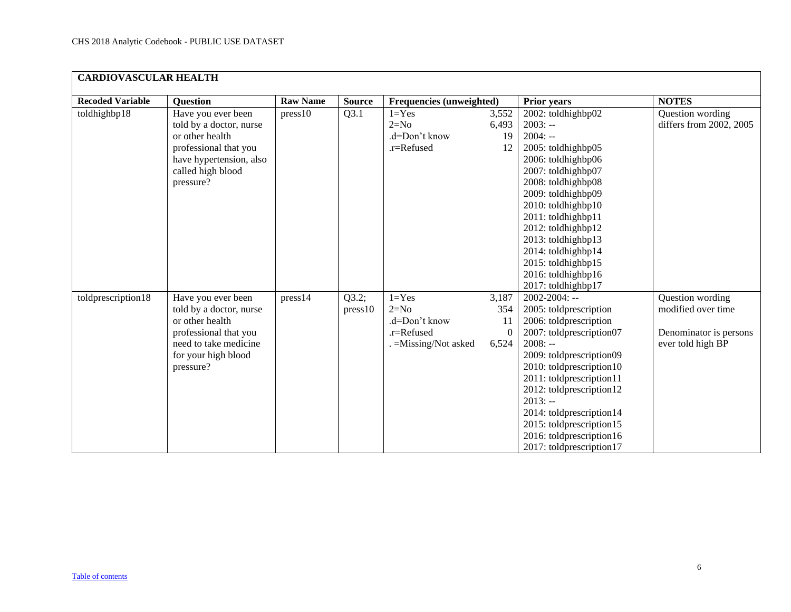<span id="page-5-0"></span>

|                         | <b>CARDIOVASCULAR HEALTH</b>                                                                                                                           |                 |                  |                                                                          |                                         |                                                                                                                                                                                                                                                                                                                                                              |                                                                                       |  |  |  |  |  |
|-------------------------|--------------------------------------------------------------------------------------------------------------------------------------------------------|-----------------|------------------|--------------------------------------------------------------------------|-----------------------------------------|--------------------------------------------------------------------------------------------------------------------------------------------------------------------------------------------------------------------------------------------------------------------------------------------------------------------------------------------------------------|---------------------------------------------------------------------------------------|--|--|--|--|--|
| <b>Recoded Variable</b> | <b>Question</b>                                                                                                                                        | <b>Raw Name</b> | <b>Source</b>    | Frequencies (unweighted)                                                 |                                         | <b>Prior years</b>                                                                                                                                                                                                                                                                                                                                           | <b>NOTES</b>                                                                          |  |  |  |  |  |
| toldhighbp18            | Have you ever been<br>told by a doctor, nurse<br>or other health<br>professional that you<br>have hypertension, also<br>called high blood<br>pressure? | press10         | Q3.1             | $1 = Yes$<br>$2=N0$<br>.d=Don't know<br>.r=Refused                       | 3,552<br>6,493<br>19<br>12              | 2002: toldhighbp02<br>$2003: -$<br>$2004: -$<br>2005: toldhighbp05<br>2006: toldhighbp06<br>2007: toldhighbp07<br>2008: toldhighbp08<br>2009: toldhighbp09<br>2010: toldhighbp10<br>2011: toldhighbp11<br>2012: toldhighbp12<br>2013: toldhighbp13<br>2014: toldhighbp14<br>2015: toldhighbp15<br>2016: toldhighbp16<br>2017: toldhighbp17                   | Question wording<br>differs from 2002, 2005                                           |  |  |  |  |  |
| toldprescription18      | Have you ever been<br>told by a doctor, nurse<br>or other health<br>professional that you<br>need to take medicine<br>for your high blood<br>pressure? | press14         | Q3.2;<br>press10 | $1 = Yes$<br>$2=N0$<br>.d=Don't know<br>.r=Refused<br>=Missing/Not asked | 3,187<br>354<br>11<br>$\theta$<br>6,524 | $2002 - 2004$ : --<br>2005: toldprescription<br>2006: toldprescription<br>2007: toldprescription07<br>$2008: -$<br>2009: toldprescription09<br>2010: toldprescription10<br>2011: toldprescription11<br>2012: toldprescription12<br>$2013: -$<br>2014: toldprescription14<br>2015: toldprescription15<br>2016: toldprescription16<br>2017: toldprescription17 | Question wording<br>modified over time<br>Denominator is persons<br>ever told high BP |  |  |  |  |  |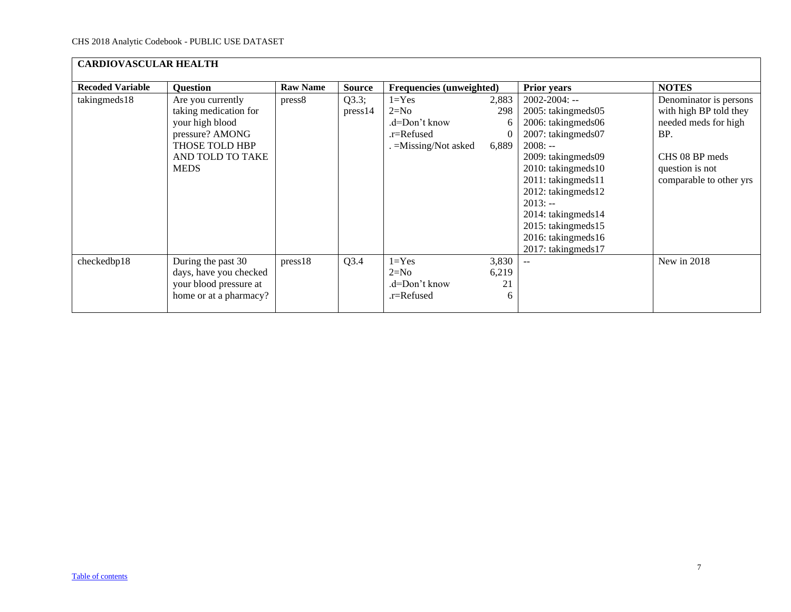| <b>CARDIOVASCULAR HEALTH</b> |                                                                                                                                       |                 |                  |                                                                              |                                        |                                                                                                                                                                                                                                                                                                |                                                                                                                                                 |  |  |  |  |
|------------------------------|---------------------------------------------------------------------------------------------------------------------------------------|-----------------|------------------|------------------------------------------------------------------------------|----------------------------------------|------------------------------------------------------------------------------------------------------------------------------------------------------------------------------------------------------------------------------------------------------------------------------------------------|-------------------------------------------------------------------------------------------------------------------------------------------------|--|--|--|--|
| <b>Recoded Variable</b>      | <b>Question</b>                                                                                                                       | <b>Raw Name</b> | <b>Source</b>    | <b>Frequencies (unweighted)</b>                                              |                                        | <b>Prior years</b>                                                                                                                                                                                                                                                                             | <b>NOTES</b>                                                                                                                                    |  |  |  |  |
| takingmeds18                 | Are you currently<br>taking medication for<br>your high blood<br>pressure? AMONG<br>THOSE TOLD HBP<br>AND TOLD TO TAKE<br><b>MEDS</b> | press8          | Q3.3;<br>press14 | $1 = Yes$<br>$2=N0$<br>$d=Don't know$<br>.r=Refused<br>. = Missing/Not asked | 2,883<br>298<br>6<br>$\bf{0}$<br>6,889 | $2002 - 2004$ : --<br>2005: takingmeds05<br>2006: takingmeds06<br>2007: takingmeds07<br>$2008: -$<br>2009: takingmeds09<br>2010: takingmeds10<br>2011: takingmeds11<br>2012: takingmeds12<br>$2013: -$<br>2014: takingmeds14<br>2015: takingmeds15<br>2016: takingmeds16<br>2017: takingmeds17 | Denominator is persons<br>with high BP told they<br>needed meds for high<br>BP.<br>CHS 08 BP meds<br>question is not<br>comparable to other yrs |  |  |  |  |
| checkedbp18                  | During the past 30<br>days, have you checked<br>your blood pressure at<br>home or at a pharmacy?                                      | press18         | Q3.4             | $1 = Yes$<br>$2=N0$<br>.d=Don't know<br>.r=Refused                           | 3,830<br>6,219<br>21<br>6              | $-$                                                                                                                                                                                                                                                                                            | New in 2018                                                                                                                                     |  |  |  |  |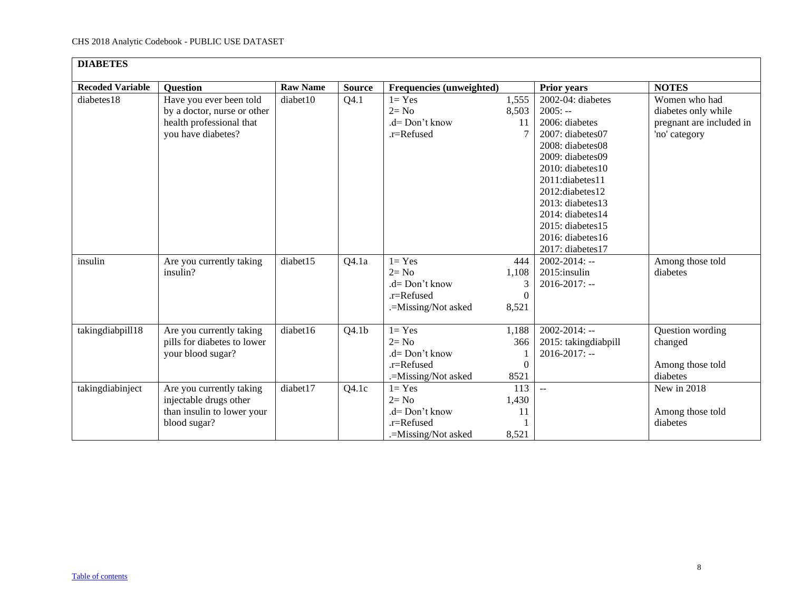<span id="page-7-0"></span>

| <b>DIABETES</b>         |                             |                 |                   |                                 |                  |                      |                          |
|-------------------------|-----------------------------|-----------------|-------------------|---------------------------------|------------------|----------------------|--------------------------|
| <b>Recoded Variable</b> | <b>Question</b>             | <b>Raw Name</b> | <b>Source</b>     | <b>Frequencies (unweighted)</b> |                  | <b>Prior years</b>   | <b>NOTES</b>             |
| diabetes18              | Have you ever been told     | diabet10        | Q4.1              | $1 = Yes$                       | 1,555            | 2002-04: diabetes    | Women who had            |
|                         | by a doctor, nurse or other |                 |                   | $2 = No$                        | 8,503            | $2005: -$            | diabetes only while      |
|                         | health professional that    |                 |                   | $d = Don't know$                | 11               | 2006: diabetes       | pregnant are included in |
|                         | you have diabetes?          |                 |                   | .r=Refused                      |                  | 2007: diabetes07     | 'no' category            |
|                         |                             |                 |                   |                                 |                  | 2008: diabetes08     |                          |
|                         |                             |                 |                   |                                 |                  | 2009: diabetes09     |                          |
|                         |                             |                 |                   |                                 |                  | 2010: diabetes10     |                          |
|                         |                             |                 |                   |                                 |                  | 2011:diabetes11      |                          |
|                         |                             |                 |                   |                                 |                  | 2012:diabetes12      |                          |
|                         |                             |                 |                   |                                 |                  | $2013$ : diabetes 13 |                          |
|                         |                             |                 |                   |                                 |                  | $2014$ : diabetes 14 |                          |
|                         |                             |                 |                   |                                 |                  | 2015: diabetes15     |                          |
|                         |                             |                 |                   |                                 |                  | 2016: diabetes16     |                          |
|                         |                             |                 |                   |                                 |                  | 2017: diabetes17     |                          |
| insulin                 | Are you currently taking    | diabet15        | Q4.1a             | $1 = Yes$                       | 444              | $2002 - 2014$ : --   | Among those told         |
|                         | insulin?                    |                 |                   | $2 = No$                        | 1,108            | 2015:insulin         | diabetes                 |
|                         |                             |                 |                   | .d= Don't know                  | 3                | $2016 - 2017$ : --   |                          |
|                         |                             |                 |                   | .r=Refused                      | $\boldsymbol{0}$ |                      |                          |
|                         |                             |                 |                   | .=Missing/Not asked             | 8,521            |                      |                          |
| takingdiabpill18        | Are you currently taking    | diabet16        | Q4.1 <sub>b</sub> | $1 = Yes$                       | 1,188            | $2002 - 2014$ : --   | Question wording         |
|                         | pills for diabetes to lower |                 |                   | $2 = No$                        | 366              | 2015: takingdiabpill | changed                  |
|                         | your blood sugar?           |                 |                   | $d=$ Don't know                 |                  | $2016 - 2017$ : --   |                          |
|                         |                             |                 |                   | $.r =$ Refused                  | $\mathbf{0}$     |                      | Among those told         |
|                         |                             |                 |                   | .=Missing/Not asked             | 8521             |                      | diabetes                 |
| takingdiabinject        | Are you currently taking    | diabet17        | Q4.1c             | $1 = Yes$                       | 113              | $\overline{a}$       | New in 2018              |
|                         | injectable drugs other      |                 |                   | $2 = No$                        | 1,430            |                      |                          |
|                         | than insulin to lower your  |                 |                   | $d=$ Don't know                 | 11               |                      | Among those told         |
|                         | blood sugar?                |                 |                   | .r=Refused                      |                  |                      | diabetes                 |
|                         |                             |                 |                   | .=Missing/Not asked             | 8,521            |                      |                          |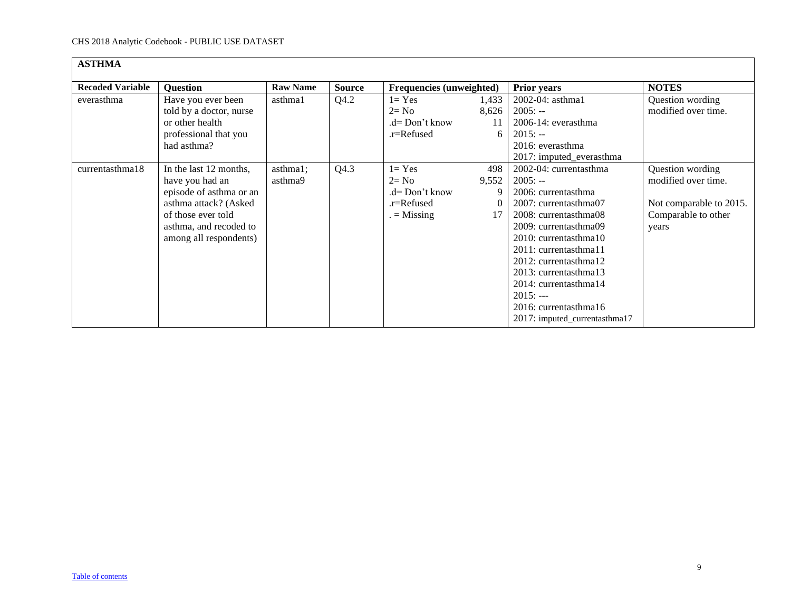<span id="page-8-0"></span>

| <b>ASTHMA</b>           |                                                                                                                                                                         |                     |               |                                                                      |                           |                                                                                                                                                                                                                                                                                                                                            |                                                                                                    |  |  |  |
|-------------------------|-------------------------------------------------------------------------------------------------------------------------------------------------------------------------|---------------------|---------------|----------------------------------------------------------------------|---------------------------|--------------------------------------------------------------------------------------------------------------------------------------------------------------------------------------------------------------------------------------------------------------------------------------------------------------------------------------------|----------------------------------------------------------------------------------------------------|--|--|--|
| <b>Recoded Variable</b> | <b>Question</b>                                                                                                                                                         | <b>Raw Name</b>     | <b>Source</b> | Frequencies (unweighted)                                             |                           | <b>Prior years</b>                                                                                                                                                                                                                                                                                                                         | <b>NOTES</b>                                                                                       |  |  |  |
| everasthma              | Have you ever been<br>told by a doctor, nurse<br>or other health<br>professional that you<br>had asthma?                                                                | asthma1             | Q4.2          | $1 = Yes$<br>$2 = No$<br>.d= Don't know<br>.r=Refused                | 1,433<br>8,626<br>11<br>6 | 2002-04: asthma1<br>$2005: -$<br>2006-14: everasthma<br>$2015: -$<br>2016: everasthma<br>2017: imputed_everasthma                                                                                                                                                                                                                          | Question wording<br>modified over time.                                                            |  |  |  |
| currentasthma18         | In the last 12 months,<br>have you had an<br>episode of asthma or an<br>asthma attack? (Asked<br>of those ever told<br>asthma, and recoded to<br>among all respondents) | asthma1;<br>asthma9 | Q4.3          | $1 = Yes$<br>$2 = No$<br>.d= Don't know<br>.r=Refused<br>$=$ Missing | 498<br>9,552<br>17        | 2002-04: currentasthma<br>$2005: -$<br>2006: currentasthma<br>2007: currentasthma07<br>2008: currentasthma08<br>2009: currentasthma09<br>2010: currentasthma10<br>2011: currentasthma11<br>2012: currentasthma12<br>2013: currentasthma13<br>2014: currentasthma14<br>$2015: --$<br>2016: currentasthma16<br>2017: imputed_currentasthma17 | Question wording<br>modified over time.<br>Not comparable to 2015.<br>Comparable to other<br>years |  |  |  |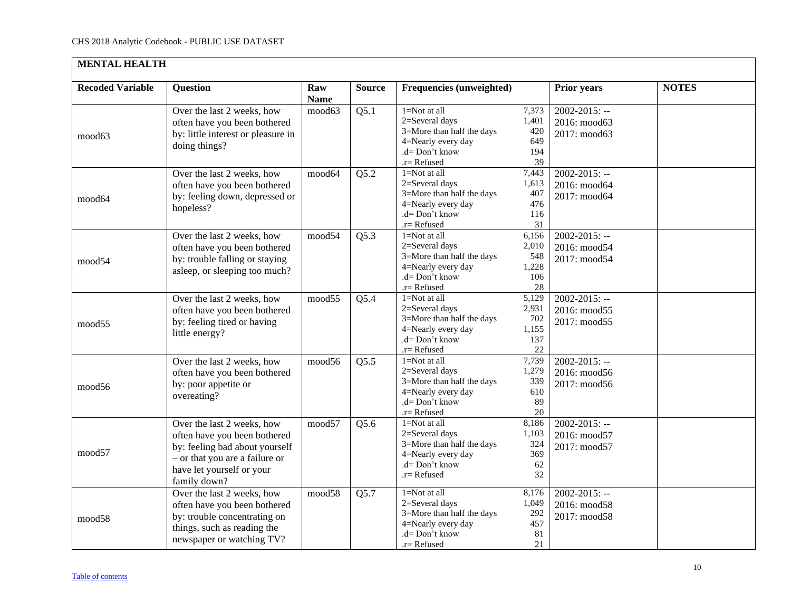<span id="page-9-0"></span>

| <b>MENTAL HEALTH</b>    |                                                                                                                                                                             |                     |               |                                                                                                                            |                                             |                                                    |              |  |  |  |
|-------------------------|-----------------------------------------------------------------------------------------------------------------------------------------------------------------------------|---------------------|---------------|----------------------------------------------------------------------------------------------------------------------------|---------------------------------------------|----------------------------------------------------|--------------|--|--|--|
| <b>Recoded Variable</b> | <b>Ouestion</b>                                                                                                                                                             | Raw<br><b>Name</b>  | <b>Source</b> | <b>Frequencies (unweighted)</b>                                                                                            |                                             | <b>Prior years</b>                                 | <b>NOTES</b> |  |  |  |
| mood63                  | Over the last 2 weeks, how<br>often have you been bothered<br>by: little interest or pleasure in<br>doing things?                                                           | mood63              | Q5.1          | $1 = Not$ at all<br>2=Several days<br>3=More than half the days<br>4=Nearly every day<br>$d = Don't know$<br>.r=Refused    | 7,373<br>1,401<br>420<br>649<br>194<br>39   | $2002 - 2015$ : --<br>2016: mood63<br>2017: mood63 |              |  |  |  |
| mood64                  | Over the last 2 weeks, how<br>often have you been bothered<br>by: feeling down, depressed or<br>hopeless?                                                                   | mood64              | Q5.2          | $1 = Not$ at all<br>2=Several days<br>3=More than half the days<br>4=Nearly every day<br>.d= Don't know<br>$r =$ Refused   | 7,443<br>1,613<br>407<br>476<br>116<br>31   | $2002 - 2015$ : --<br>2016: mood64<br>2017: mood64 |              |  |  |  |
| mood54                  | Over the last 2 weeks, how<br>often have you been bothered<br>by: trouble falling or staying<br>asleep, or sleeping too much?                                               | mood54              | Q5.3          | $1 = Not$ at all<br>2=Several days<br>3=More than half the days<br>4=Nearly every day<br>.d= Don't know<br>.r= Refused     | 6,156<br>2,010<br>548<br>1,228<br>106<br>28 | $2002 - 2015$ : --<br>2016: mood54<br>2017: mood54 |              |  |  |  |
| mood <sub>55</sub>      | Over the last 2 weeks, how<br>often have you been bothered<br>by: feeling tired or having<br>little energy?                                                                 | mood55              | Q5.4          | $1 = Not$ at all<br>2=Several days<br>3=More than half the days<br>4=Nearly every day<br>.d= Don't know<br>$r =$ Refused   | 5,129<br>2,931<br>702<br>1,155<br>137<br>22 | $2002 - 2015$ : --<br>2016: mood55<br>2017: mood55 |              |  |  |  |
| mood56                  | Over the last 2 weeks, how<br>often have you been bothered<br>by: poor appetite or<br>overeating?                                                                           | mood56              | Q5.5          | 1=Not at all<br>2=Several days<br>3=More than half the days<br>4=Nearly every day<br>.d= Don't know<br>.r= Refused         | 7,739<br>1,279<br>339<br>610<br>89<br>20    | $2002 - 2015$ : --<br>2016: mood56<br>2017: mood56 |              |  |  |  |
| mood57                  | Over the last 2 weeks, how<br>often have you been bothered<br>by: feeling bad about yourself<br>- or that you are a failure or<br>have let yourself or your<br>family down? | $mood5\overline{7}$ | Q5.6          | $1 = Not$ at all<br>2=Several days<br>3=More than half the days<br>4=Nearly every day<br>$d = Don't know$<br>.r=Refused    | 8,186<br>1,103<br>324<br>369<br>62<br>32    | $2002 - 2015$ : --<br>2016: mood57<br>2017: mood57 |              |  |  |  |
| mood58                  | Over the last 2 weeks, how<br>often have you been bothered<br>by: trouble concentrating on<br>things, such as reading the<br>newspaper or watching TV?                      | mood58              | Q5.7          | $1 = Not$ at all<br>2=Several days<br>3=More than half the days<br>4=Nearly every day<br>$d = Don't know$<br>$r =$ Refused | 8,176<br>1,049<br>292<br>457<br>81<br>21    | $2002 - 2015$ : --<br>2016: mood58<br>2017: mood58 |              |  |  |  |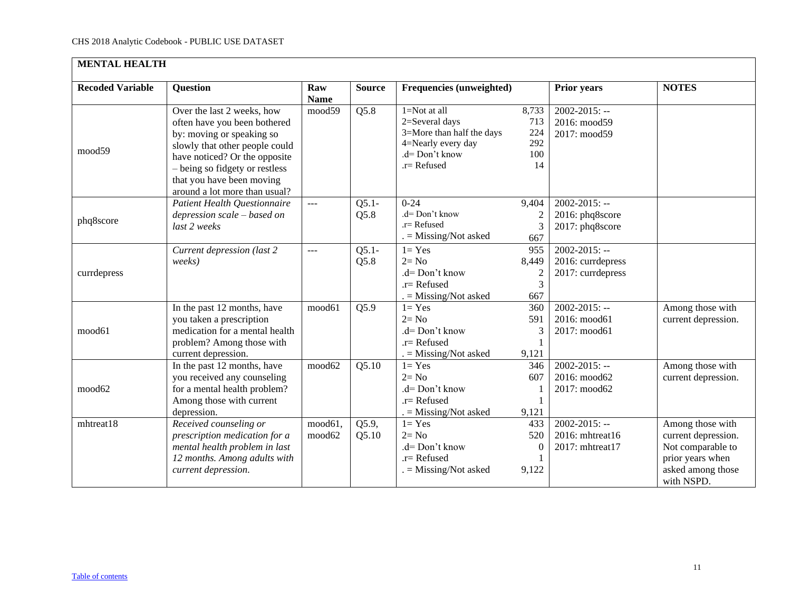| <b>MENTAL HEALTH</b>    |                                                                                                                                                                                                                                                            |                    |                 |                                                                                                                        |                                            |                                                              |                                                                                                                     |  |  |  |
|-------------------------|------------------------------------------------------------------------------------------------------------------------------------------------------------------------------------------------------------------------------------------------------------|--------------------|-----------------|------------------------------------------------------------------------------------------------------------------------|--------------------------------------------|--------------------------------------------------------------|---------------------------------------------------------------------------------------------------------------------|--|--|--|
| <b>Recoded Variable</b> | <b>Question</b>                                                                                                                                                                                                                                            | Raw<br><b>Name</b> | <b>Source</b>   | Frequencies (unweighted)                                                                                               |                                            | <b>Prior years</b>                                           | <b>NOTES</b>                                                                                                        |  |  |  |
| mood59                  | Over the last 2 weeks, how<br>often have you been bothered<br>by: moving or speaking so<br>slowly that other people could<br>have noticed? Or the opposite<br>- being so fidgety or restless<br>that you have been moving<br>around a lot more than usual? | mood59             | Q5.8            | $1 = Not$ at all<br>2=Several days<br>3=More than half the days<br>4=Nearly every day<br>.d= Don't know<br>.r= Refused | 8,733<br>713<br>224<br>292<br>100<br>14    | $2002 - 2015$ : --<br>2016: mood59<br>2017: mood59           |                                                                                                                     |  |  |  |
| phq8score               | Patient Health Questionnaire<br>depression scale – based on<br>last 2 weeks                                                                                                                                                                                | $\overline{a}$     | $Q5.1-$<br>Q5.8 | $0 - 24$<br>.d= Don't know<br>$.r =$ Refused<br>$=$ Missing/Not asked                                                  | 9,404<br>667                               | $2002 - 2015$ : --<br>2016: phq8score<br>2017: phq8score     |                                                                                                                     |  |  |  |
| currdepress             | Current depression (last 2<br>weeks)                                                                                                                                                                                                                       | ---                | $Q5.1-$<br>Q5.8 | $1 = Yes$<br>$2 = No$<br>.d= Don't know<br>$.r =$ Refused<br>$=$ Missing/Not asked                                     | 955<br>8,449<br>$\overline{c}$<br>3<br>667 | $2002 - 2015$ : --<br>2016: currdepress<br>2017: currdepress |                                                                                                                     |  |  |  |
| mood61                  | In the past 12 months, have<br>you taken a prescription<br>medication for a mental health<br>problem? Among those with<br>current depression.                                                                                                              | mood61             | Q5.9            | $1 = Yes$<br>$2 = No$<br>$.d=Don't know$<br>$r =$ Refused<br>$=$ Missing/Not asked                                     | 360<br>591<br>3<br>9,121                   | $2002 - 2015$ : --<br>2016: mood61<br>2017: mood61           | Among those with<br>current depression.                                                                             |  |  |  |
| mood62                  | In the past 12 months, have<br>you received any counseling<br>for a mental health problem?<br>Among those with current<br>depression.                                                                                                                      | mood62             | Q5.10           | $1 = Yes$<br>$2 = No$<br>.d= Don't know<br>$.r =$ Refused<br>. = Missing/Not asked                                     | 346<br>607<br>9,121                        | $2002 - 2015$ : --<br>2016: mood62<br>2017: mood62           | Among those with<br>current depression.                                                                             |  |  |  |
| mhtreat18               | Received counseling or<br>prescription medication for a<br>mental health problem in last<br>12 months. Among adults with<br>current depression.                                                                                                            | mood61,<br>mood62  | Q5.9,<br>Q5.10  | $1 = Yes$<br>$2 = No$<br>.d= Don't know<br>$.r =$ Refused<br>$=$ Missing/Not asked                                     | 433<br>520<br>$\Omega$<br>9,122            | $2002 - 2015$ : --<br>2016: mhtreat16<br>2017: mhtreat17     | Among those with<br>current depression.<br>Not comparable to<br>prior years when<br>asked among those<br>with NSPD. |  |  |  |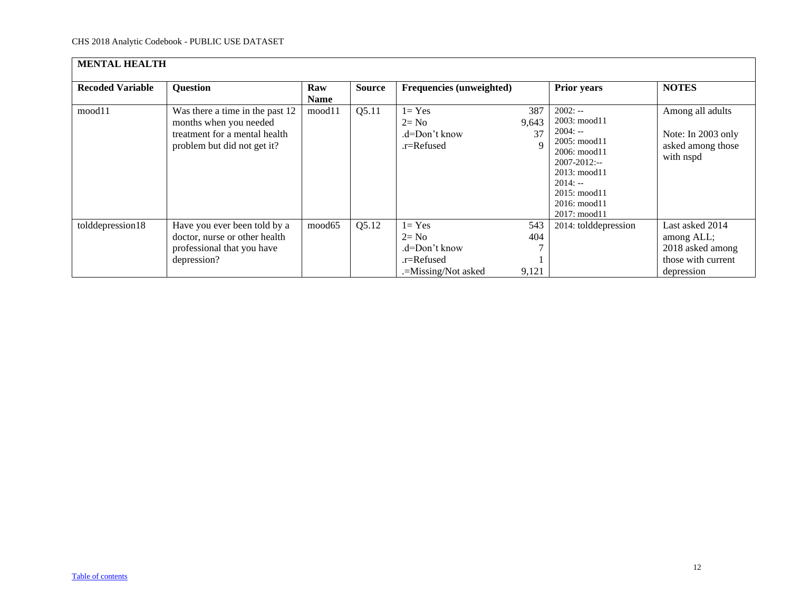| <b>MENTAL HEALTH</b>    |                                                                                                                           |             |               |                                                                             |                     |                                                                                                                                                                                          |                                                                                       |  |  |  |
|-------------------------|---------------------------------------------------------------------------------------------------------------------------|-------------|---------------|-----------------------------------------------------------------------------|---------------------|------------------------------------------------------------------------------------------------------------------------------------------------------------------------------------------|---------------------------------------------------------------------------------------|--|--|--|
| <b>Recoded Variable</b> | <b>Question</b>                                                                                                           | Raw<br>Name | <b>Source</b> | Frequencies (unweighted)                                                    |                     | <b>Prior years</b>                                                                                                                                                                       | <b>NOTES</b>                                                                          |  |  |  |
| mood11                  | Was there a time in the past 12<br>months when you needed<br>treatment for a mental health<br>problem but did not get it? | mood11      | Q5.11         | $1 = Yes$<br>$2 = No$<br>.d=Don't know<br>.r=Refused                        | 387<br>9,643<br>37  | $2002: -$<br>2003: mood11<br>$2004: -$<br>2005: mood11<br>$2006: \text{mod } 11$<br>$2007 - 2012$ :--<br>2013: mood11<br>$2014: -$<br>2015: mood11<br>$2016$ : mood $11$<br>2017: mood11 | Among all adults<br>Note: In 2003 only<br>asked among those<br>with nspd              |  |  |  |
| tolddepression18        | Have you ever been told by a<br>doctor, nurse or other health<br>professional that you have<br>depression?                | mood65      | Q5.12         | $1 = Yes$<br>$2 = No$<br>.d=Don't know<br>.r=Refused<br>.=Missing/Not asked | 543<br>404<br>9,121 | 2014: tolddepression                                                                                                                                                                     | Last asked 2014<br>among ALL;<br>2018 asked among<br>those with current<br>depression |  |  |  |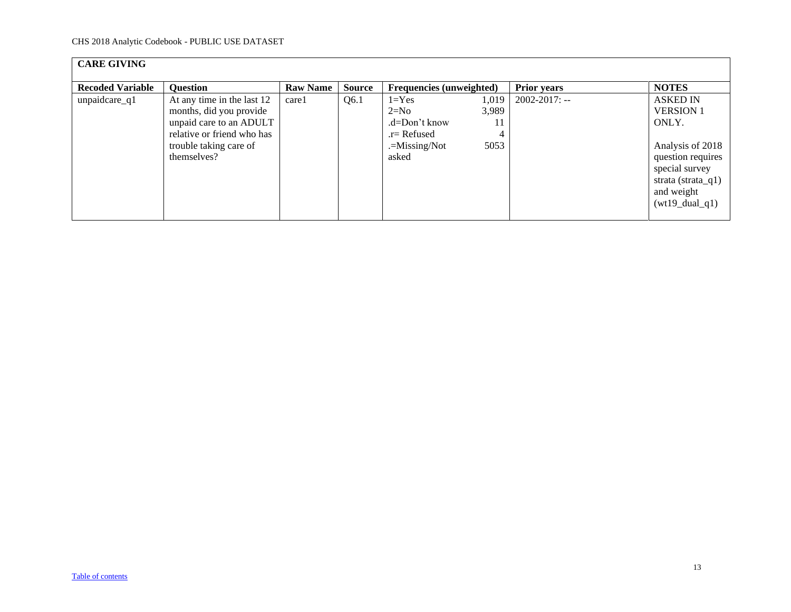<span id="page-12-0"></span>

| <b>CARE GIVING</b>      |                                                                                                                                                         |                 |               |                                                                                                                      |                    |                                                                                                                                                                  |
|-------------------------|---------------------------------------------------------------------------------------------------------------------------------------------------------|-----------------|---------------|----------------------------------------------------------------------------------------------------------------------|--------------------|------------------------------------------------------------------------------------------------------------------------------------------------------------------|
| <b>Recoded Variable</b> | <b>Question</b>                                                                                                                                         | <b>Raw Name</b> | <b>Source</b> | <b>Frequencies (unweighted)</b>                                                                                      | <b>Prior years</b> | <b>NOTES</b>                                                                                                                                                     |
| unpaidcare_q1           | At any time in the last 12<br>months, did you provide<br>unpaid care to an ADULT<br>relative or friend who has<br>trouble taking care of<br>themselves? | care1           | Q6.1          | $1 = Yes$<br>1,019<br>3,989<br>$2=N0$<br>.d=Don't know<br>11<br>$r =$ Refused<br>4<br>5053<br>.=Missing/Not<br>asked | $2002 - 2017$ : -- | <b>ASKED IN</b><br><b>VERSION 1</b><br>ONLY.<br>Analysis of 2018<br>question requires<br>special survey<br>strata (strata_q1)<br>and weight<br>$(wt19\_dual_q1)$ |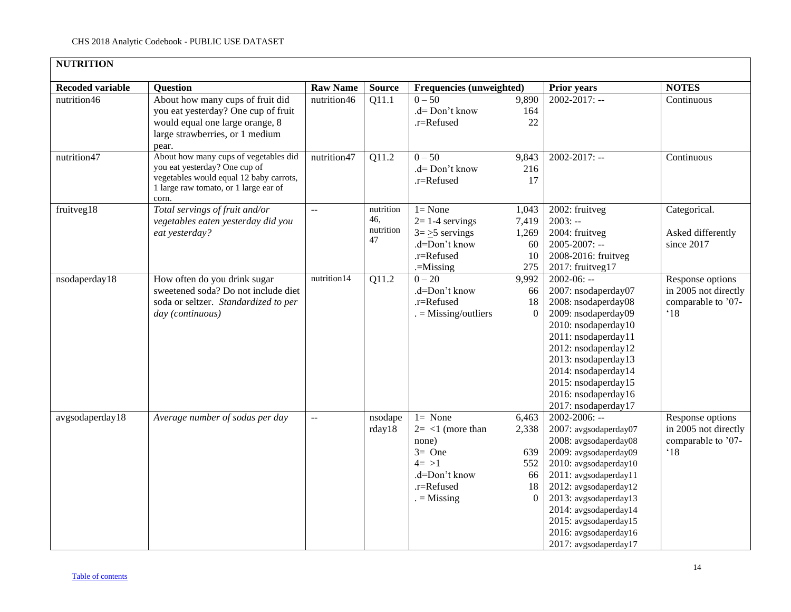<span id="page-13-0"></span>

| <b>NUTRITION</b>        |                                                                                                                                                                     |                 |                                     |                                                                                                                 |                                                      |                                                                                                                                                                                                                                                                                                       |                                                                                |
|-------------------------|---------------------------------------------------------------------------------------------------------------------------------------------------------------------|-----------------|-------------------------------------|-----------------------------------------------------------------------------------------------------------------|------------------------------------------------------|-------------------------------------------------------------------------------------------------------------------------------------------------------------------------------------------------------------------------------------------------------------------------------------------------------|--------------------------------------------------------------------------------|
| <b>Recoded variable</b> | <b>Question</b>                                                                                                                                                     | <b>Raw Name</b> | <b>Source</b>                       | Frequencies (unweighted)                                                                                        |                                                      | <b>Prior years</b>                                                                                                                                                                                                                                                                                    | <b>NOTES</b>                                                                   |
| nutrition46             | About how many cups of fruit did<br>you eat yesterday? One cup of fruit<br>would equal one large orange, 8<br>large strawberries, or 1 medium<br>pear.              | nutrition46     | Q11.1                               | $0 - 50$<br>.d= Don't know<br>.r=Refused                                                                        | 9,890<br>164<br>22                                   | $2002 - 2017$ : --                                                                                                                                                                                                                                                                                    | Continuous                                                                     |
| nutrition47             | About how many cups of vegetables did<br>you eat yesterday? One cup of<br>vegetables would equal 12 baby carrots,<br>1 large raw tomato, or 1 large ear of<br>corn. | nutrition47     | Q11.2                               | $0 - 50$<br>.d= Don't know<br>.r=Refused                                                                        | 9,843<br>216<br>17                                   | 2002-2017: --                                                                                                                                                                                                                                                                                         | Continuous                                                                     |
| fruitveg18              | Total servings of fruit and/or<br>vegetables eaten yesterday did you<br>eat yesterday?                                                                              | $\sim$ $\sim$   | nutrition<br>46,<br>nutrition<br>47 | $1 = None$<br>$2=1-4$ servings<br>$3 = \ge 5$ servings<br>.d=Don't know<br>.r=Refused<br>$=$ Missing            | 1,043<br>7,419<br>1,269<br>60<br>10<br>275           | 2002: fruitveg<br>$2003: -$<br>2004: fruitveg<br>$2005 - 2007$ : --<br>2008-2016: fruitveg<br>2017: fruitveg17                                                                                                                                                                                        | Categorical.<br>Asked differently<br>since 2017                                |
| nsodaperday18           | How often do you drink sugar<br>sweetened soda? Do not include diet<br>soda or seltzer. Standardized to per<br>day (continuous)                                     | nutrition14     | Q11.2                               | $0 - 20$<br>.d=Don't know<br>.r=Refused<br>$=$ Missing/outliers                                                 | 9,992<br>66<br>18<br>$\Omega$                        | $2002 - 06: -$<br>2007: nsodaperday07<br>2008: nsodaperday08<br>2009: nsodaperday09<br>2010: nsodaperday10<br>2011: nsodaperday11<br>2012: nsodaperday12<br>2013: nsodaperday13<br>2014: nsodaperday14<br>2015: nsodaperday15<br>2016: nsodaperday16<br>2017: nsodaperday17                           | Response options<br>in 2005 not directly<br>comparable to '07-<br>$^{\circ}18$ |
| avgsodaperday18         | Average number of sodas per day                                                                                                                                     | Ц.              | nsodape<br>rday18                   | $1 = None$<br>$2 = 1$ (more than<br>none)<br>$3=$ One<br>$4 = >1$<br>.d=Don't know<br>.r=Refused<br>$=$ Missing | 6,463<br>2,338<br>639<br>552<br>66<br>18<br>$\Omega$ | $2002 - 2006$ : --<br>2007: avgsodaperday07<br>2008: avgsodaperday08<br>2009: avgsodaperday09<br>2010: avgsodaperday10<br>2011: avgsodaperday11<br>2012: avgsodaperday12<br>2013: avgsodaperday13<br>2014: avgsodaperday14<br>2015: avgsodaperday15<br>2016: avgsodaperday16<br>2017: avgsodaperday17 | Response options<br>in 2005 not directly<br>comparable to '07-<br>$^{\circ}18$ |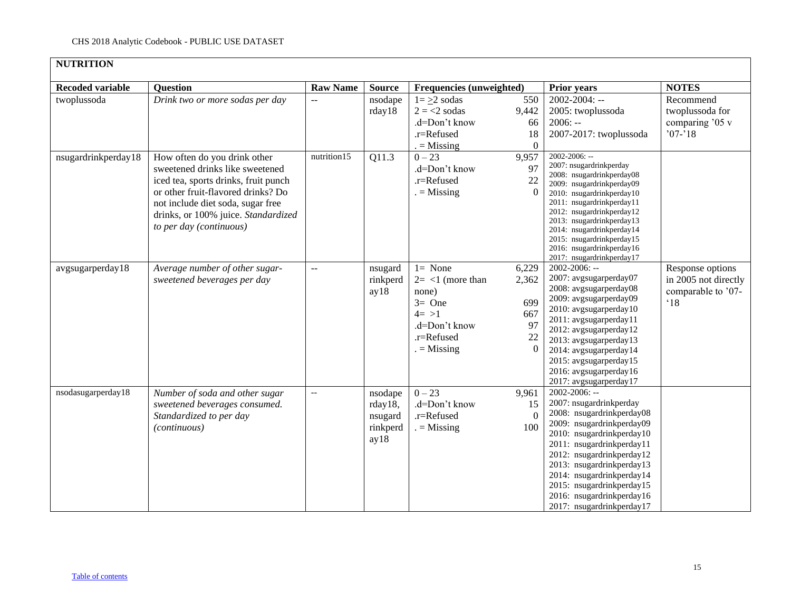| <b>NUTRITION</b>        |                                                                                                                                                                                                                                                      |                          |                                                   |                                                                                                                  |                                          |                                                                                                                                                                                                                                                                                                                                                 |                                                                                |
|-------------------------|------------------------------------------------------------------------------------------------------------------------------------------------------------------------------------------------------------------------------------------------------|--------------------------|---------------------------------------------------|------------------------------------------------------------------------------------------------------------------|------------------------------------------|-------------------------------------------------------------------------------------------------------------------------------------------------------------------------------------------------------------------------------------------------------------------------------------------------------------------------------------------------|--------------------------------------------------------------------------------|
| <b>Recoded variable</b> | <b>Question</b>                                                                                                                                                                                                                                      | <b>Raw Name</b>          | <b>Source</b>                                     | Frequencies (unweighted)                                                                                         |                                          | <b>Prior years</b>                                                                                                                                                                                                                                                                                                                              | <b>NOTES</b>                                                                   |
| twoplussoda             | Drink two or more sodas per day                                                                                                                                                                                                                      |                          | nsodape<br>rday18                                 | $1 = \geq 2$ sodas<br>$2 = 2$ sodas<br>.d=Don't know<br>.r=Refused<br>$=$ Missing                                | 550<br>9,442<br>66<br>18<br>$\theta$     | $2002 - 2004$ : --<br>2005: twoplussoda<br>$2006: -$<br>2007-2017: twoplussoda                                                                                                                                                                                                                                                                  | Recommend<br>twoplussoda for<br>comparing '05 v<br>$'07 - 18$                  |
| nsugardrinkperday18     | How often do you drink other<br>sweetened drinks like sweetened<br>iced tea, sports drinks, fruit punch<br>or other fruit-flavored drinks? Do<br>not include diet soda, sugar free<br>drinks, or 100% juice. Standardized<br>to per day (continuous) | nutrition15              | Q11.3                                             | $0 - 23$<br>.d=Don't know<br>.r=Refused<br>$=$ Missing                                                           | 9,957<br>97<br>22                        | $2002 - 2006$ : --<br>2007: nsugardrinkperday<br>2008: nsugardrinkperday08<br>2009: nsugardrinkperday09<br>2010: nsugardrinkperday10<br>2011: nsugardrinkperday11<br>2012: nsugardrinkperday12<br>2013: nsugardrinkperday13<br>2014: nsugardrinkperday14<br>2015: nsugardrinkperday15<br>2016: nsugardrinkperday16<br>2017: nsugardrinkperday17 |                                                                                |
| avgsugarperday18        | Average number of other sugar-<br>sweetened beverages per day                                                                                                                                                                                        | $-$                      | nsugard<br>rinkperd<br>ay18                       | $l = None$<br>$2 = <1$ (more than<br>none)<br>$3=$ One<br>$4 = >1$<br>.d=Don't know<br>.r=Refused<br>$=$ Missing | 6,229<br>2,362<br>699<br>667<br>97<br>22 | 2002-2006: --<br>2007: avgsugarperday07<br>2008: avgsugarperday08<br>2009: avgsugarperday09<br>2010: avgsugarperday10<br>2011: avgsugarperday11<br>2012: avgsugarperday12<br>2013: avgsugarperday13<br>2014: avgsugarperday14<br>2015: avgsugarperday15<br>2016: avgsugarperday16<br>2017: avgsugarperday17                                     | Response options<br>in 2005 not directly<br>comparable to '07-<br>$^{\circ}18$ |
| nsodasugarperday18      | Number of soda and other sugar<br>sweetened beverages consumed.<br>Standardized to per day<br>(continuous)                                                                                                                                           | $\overline{\phantom{m}}$ | nsodape<br>rday18,<br>nsugard<br>rinkperd<br>ay18 | $0 - 23$<br>.d=Don't know<br>.r=Refused<br>$=$ Missing                                                           | 9,961<br>15<br>$\Omega$<br>100           | 2002-2006: --<br>2007: nsugardrinkperday<br>2008: nsugardrinkperday08<br>2009: nsugardrinkperday09<br>2010: nsugardrinkperday10<br>2011: nsugardrinkperday11<br>2012: nsugardrinkperday12<br>2013: nsugardrinkperday13<br>2014: nsugardrinkperday14<br>2015: nsugardrinkperday15<br>2016: nsugardrinkperday16<br>2017: nsugardrinkperday17      |                                                                                |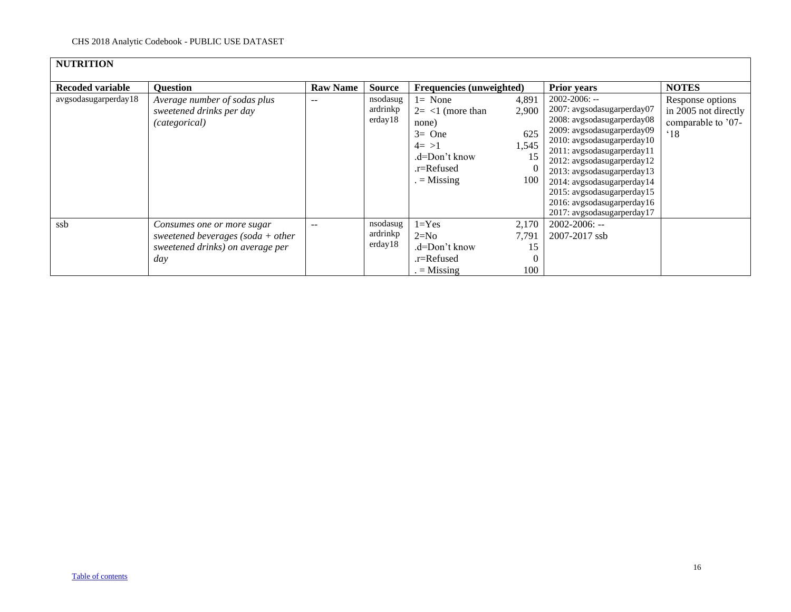| <b>NUTRITION</b>        |                                                                                                              |                 |                                 |                                                                                                                 |                                             |                                                                                                                                                                                                                                                                                                                                                              |                                                                                |
|-------------------------|--------------------------------------------------------------------------------------------------------------|-----------------|---------------------------------|-----------------------------------------------------------------------------------------------------------------|---------------------------------------------|--------------------------------------------------------------------------------------------------------------------------------------------------------------------------------------------------------------------------------------------------------------------------------------------------------------------------------------------------------------|--------------------------------------------------------------------------------|
|                         |                                                                                                              |                 |                                 |                                                                                                                 |                                             |                                                                                                                                                                                                                                                                                                                                                              |                                                                                |
| <b>Recoded variable</b> | <b>Question</b>                                                                                              | <b>Raw Name</b> | <b>Source</b>                   | <b>Frequencies (unweighted)</b>                                                                                 |                                             | <b>Prior years</b>                                                                                                                                                                                                                                                                                                                                           | <b>NOTES</b>                                                                   |
| avgsodasugarperday18    | Average number of sodas plus<br>sweetened drinks per day<br>(categorical)                                    |                 | nsodasug<br>ardrinkp<br>erday18 | $l = None$<br>$2 = 1$ (more than<br>none)<br>$3=$ One<br>$4 = >1$<br>.d=Don't know<br>.r=Refused<br>$=$ Missing | 4,891<br>2,900<br>625<br>1,545<br>15<br>100 | $2002 - 2006$ : --<br>2007: avgsodasugarperday07<br>2008: avgsodasugarperday08<br>2009: avgsodasugarperday09<br>2010: avgsodasugarperday10<br>2011: avgsodasugarperday11<br>2012: avgsodasugarperday12<br>2013: avgsodasugarperday13<br>2014: avgsodasugarperday14<br>2015: avgsodasugarperday15<br>2016: avgsodasugarperday16<br>2017: avgsodasugarperday17 | Response options<br>in 2005 not directly<br>comparable to '07-<br>$^{\circ}18$ |
| ssb                     | Consumes one or more sugar<br>sweetened beverages (soda $+$ other<br>sweetened drinks) on average per<br>day | $-$             | nsodasug<br>ardrinkp<br>erday18 | $1 = Yes$<br>$2=N0$<br>.d=Don't know<br>.r=Refused<br>$=$ Missing                                               | 2,170<br>7,791<br>15<br>100                 | $2002 - 2006$ : --<br>2007-2017 ssb                                                                                                                                                                                                                                                                                                                          |                                                                                |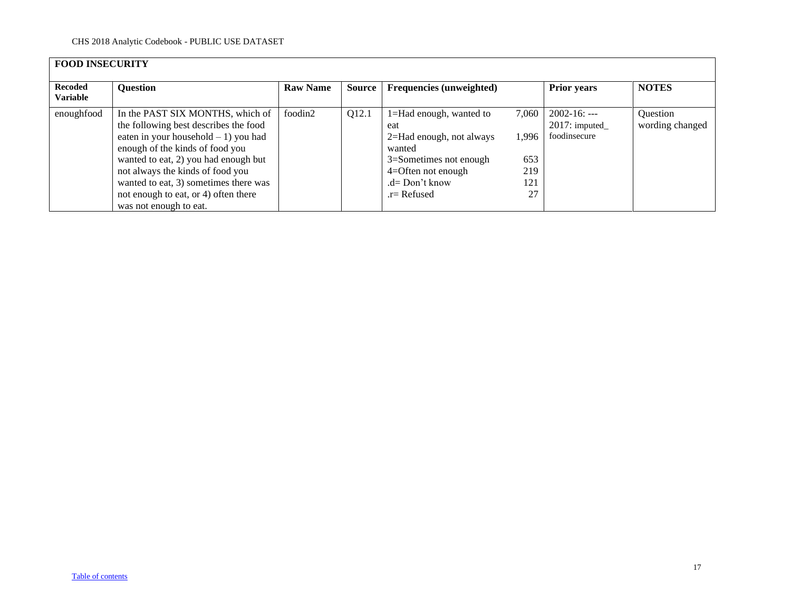<span id="page-16-0"></span>

| <b>FOOD INSECURITY</b>            |                                                                                                                                                                                                                                                                                                                                               |                 |        |                                                                                                                                                                |                                           |                                                   |                             |  |  |  |
|-----------------------------------|-----------------------------------------------------------------------------------------------------------------------------------------------------------------------------------------------------------------------------------------------------------------------------------------------------------------------------------------------|-----------------|--------|----------------------------------------------------------------------------------------------------------------------------------------------------------------|-------------------------------------------|---------------------------------------------------|-----------------------------|--|--|--|
| <b>Recoded</b><br><b>Variable</b> | <b>Question</b>                                                                                                                                                                                                                                                                                                                               | <b>Raw Name</b> | Source | Frequencies (unweighted)                                                                                                                                       |                                           | <b>Prior years</b>                                | <b>NOTES</b>                |  |  |  |
| enoughfood                        | In the PAST SIX MONTHS, which of<br>the following best describes the food<br>eaten in your household $-1$ ) you had<br>enough of the kinds of food you<br>wanted to eat, 2) you had enough but<br>not always the kinds of food you<br>wanted to eat, 3) sometimes there was<br>not enough to eat, or 4) often there<br>was not enough to eat. | foodin2         | Q12.1  | 1=Had enough, wanted to<br>eat<br>2=Had enough, not always<br>wanted<br>3=Sometimes not enough<br>$4 =$ Often not enough<br>$.d = Don't know$<br>$r =$ Refused | 7.060<br>1.996<br>653<br>219<br>121<br>27 | $2002 - 16: --$<br>2017: imputed_<br>foodinsecure | Question<br>wording changed |  |  |  |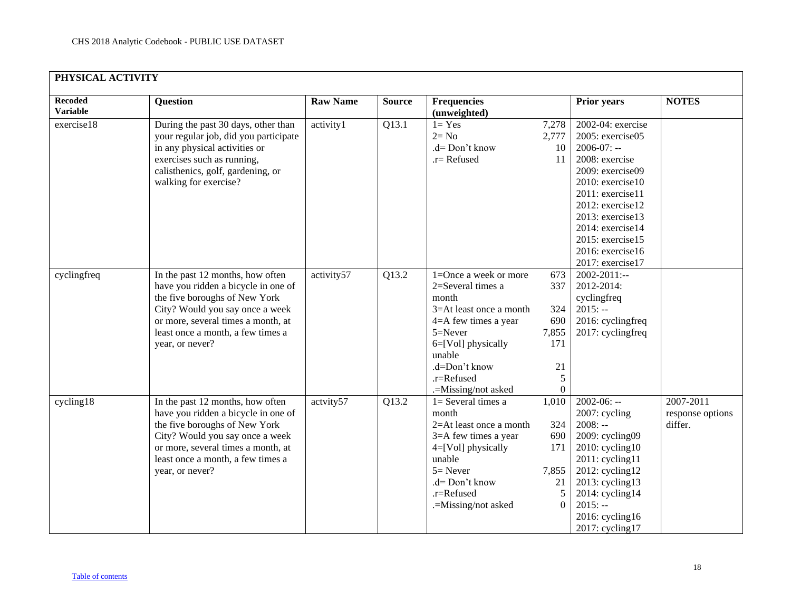<span id="page-17-0"></span>

| <b>Recoded</b><br><b>Variable</b> | <b>Question</b>                                                                                                                                                                                                                           | <b>Raw Name</b> | <b>Source</b> | <b>Frequencies</b><br>(unweighted)                                                                                                                                                                                  |                                                                 | <b>Prior years</b>                                                                                                                                                                                                                                                | <b>NOTES</b>                             |
|-----------------------------------|-------------------------------------------------------------------------------------------------------------------------------------------------------------------------------------------------------------------------------------------|-----------------|---------------|---------------------------------------------------------------------------------------------------------------------------------------------------------------------------------------------------------------------|-----------------------------------------------------------------|-------------------------------------------------------------------------------------------------------------------------------------------------------------------------------------------------------------------------------------------------------------------|------------------------------------------|
| exercise18                        | During the past 30 days, other than<br>your regular job, did you participate<br>in any physical activities or<br>exercises such as running,<br>calisthenics, golf, gardening, or<br>walking for exercise?                                 | activity1       | Q13.1         | $1 = Yes$<br>$2 = No$<br>.d= Don't know<br>.r= Refused                                                                                                                                                              | 7,278<br>2,777<br>10<br>11                                      | 2002-04: exercise<br>2005: exercise05<br>$2006-07: -$<br>2008: exercise<br>2009: exercise09<br>$2010$ : exercise $10$<br>2011: exercise11<br>2012: exercise12<br>2013: exercise13<br>2014: exercise14<br>2015: exercise15<br>2016: exercise16<br>2017: exercise17 |                                          |
| cyclingfreq                       | In the past 12 months, how often<br>have you ridden a bicycle in one of<br>the five boroughs of New York<br>City? Would you say once a week<br>or more, several times a month, at<br>least once a month, a few times a<br>year, or never? | activity57      | Q13.2         | $1 =$ Once a week or more<br>2=Several times a<br>month<br>$3 = At$ least once a month<br>$4 = A$ few times a year<br>5=Never<br>6=[Vol] physically<br>unable<br>.d=Don't know<br>.r=Refused<br>.=Missing/not asked | 673<br>337<br>324<br>690<br>7,855<br>171<br>21<br>5<br>$\theta$ | $2002 - 2011$ :--<br>2012-2014:<br>cyclingfreq<br>$2015: -$<br>2016: cyclingfreq<br>2017: cyclingfreq                                                                                                                                                             |                                          |
| cycling18                         | In the past 12 months, how often<br>have you ridden a bicycle in one of<br>the five boroughs of New York<br>City? Would you say once a week<br>or more, several times a month, at<br>least once a month, a few times a<br>year, or never? | actvity57       | Q13.2         | $1 =$ Several times a<br>month<br>$2=At$ least once a month<br>3=A few times a year<br>4=[Vol] physically<br>unable<br>$5 =$ Never<br>.d= Don't know<br>.r=Refused<br>.=Missing/not asked                           | 1,010<br>324<br>690<br>171<br>7,855<br>21<br>5<br>$\Omega$      | $2002 - 06: -$<br>2007: cycling<br>$2008: -$<br>2009: cycling09<br>$2010$ : cycling $10$<br>$2011$ : cycling11<br>2012: cycling12<br>$2013$ : cycling13<br>2014: cycling14<br>$2015: -$<br>2016: cycling16<br>2017: cycling17                                     | 2007-2011<br>response options<br>differ. |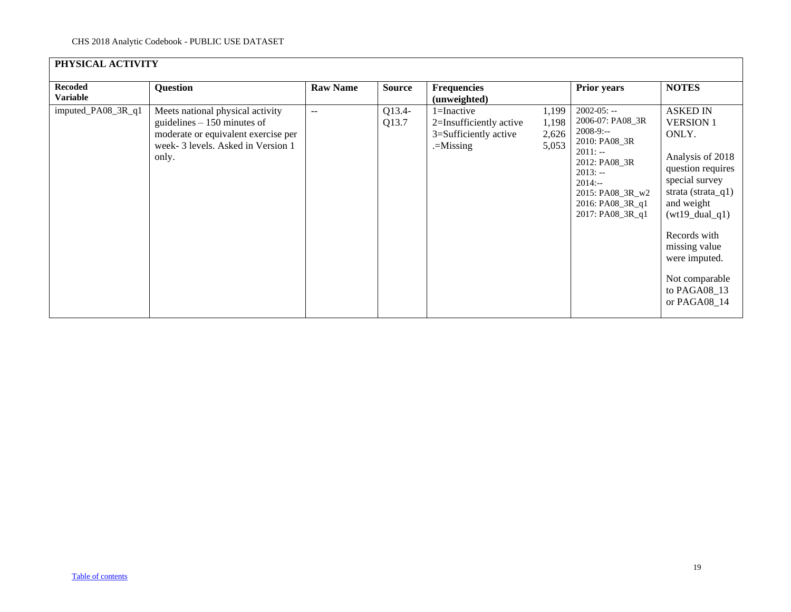| PHYSICAL ACTIVITY                 |                                                                                                                                                       |                 |                 |                                                                                   |                                  |                                                                                                                                                                                         |                                                                                                                                                                                                                                                                      |
|-----------------------------------|-------------------------------------------------------------------------------------------------------------------------------------------------------|-----------------|-----------------|-----------------------------------------------------------------------------------|----------------------------------|-----------------------------------------------------------------------------------------------------------------------------------------------------------------------------------------|----------------------------------------------------------------------------------------------------------------------------------------------------------------------------------------------------------------------------------------------------------------------|
| <b>Recoded</b><br><b>Variable</b> | Question                                                                                                                                              | <b>Raw Name</b> | <b>Source</b>   | <b>Frequencies</b><br>(unweighted)                                                |                                  | <b>Prior years</b>                                                                                                                                                                      | <b>NOTES</b>                                                                                                                                                                                                                                                         |
| imputed_PA08_3R_q1                | Meets national physical activity<br>guidelines $-150$ minutes of<br>moderate or equivalent exercise per<br>week-3 levels. Asked in Version 1<br>only. | $\mathbf{u}$    | Q13.4-<br>Q13.7 | $1 = Inactive$<br>2=Insufficiently active<br>3=Sufficiently active<br>$=$ Missing | 1,199<br>1,198<br>2,626<br>5,053 | $2002 - 05: -$<br>2006-07: PA08_3R<br>$2008-9:$ --<br>2010: PA08_3R<br>$2011: -$<br>2012: PA08 3R<br>$2013: -$<br>$2014: -$<br>2015: PA08_3R_w2<br>2016: PA08_3R_q1<br>2017: PA08_3R_q1 | <b>ASKED IN</b><br><b>VERSION 1</b><br>ONLY.<br>Analysis of 2018<br>question requires<br>special survey<br>strata (strata_q1)<br>and weight<br>$(wt19\_dual_q1)$<br>Records with<br>missing value<br>were imputed.<br>Not comparable<br>to PAGA08_13<br>or PAGA08_14 |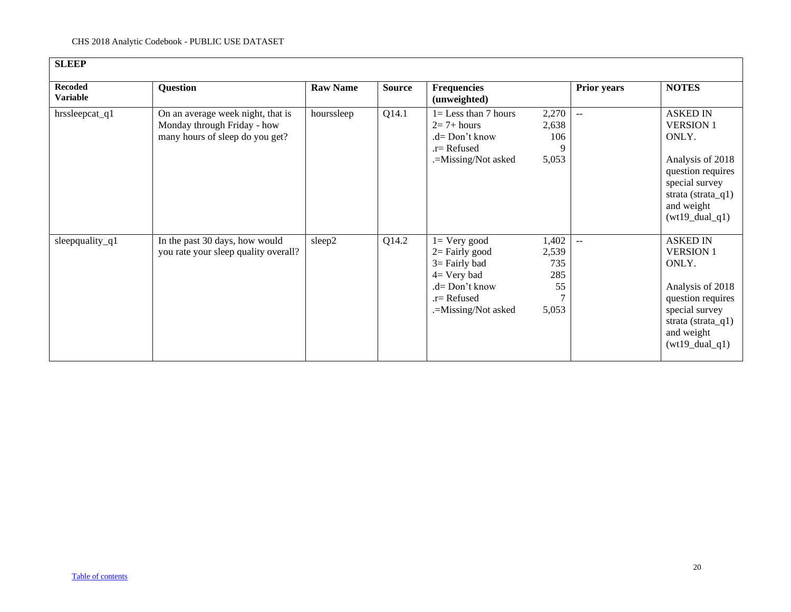<span id="page-19-0"></span>

| <b>Recoded</b><br><b>Variable</b> | <b>Question</b>                                                                                     | <b>Raw Name</b> | <b>Source</b> | <b>Frequencies</b><br>(unweighted)                                                                                                   |                                             | <b>Prior years</b> | <b>NOTES</b>                                                                                                                                                     |
|-----------------------------------|-----------------------------------------------------------------------------------------------------|-----------------|---------------|--------------------------------------------------------------------------------------------------------------------------------------|---------------------------------------------|--------------------|------------------------------------------------------------------------------------------------------------------------------------------------------------------|
| hrssleepcat_q1                    | On an average week night, that is<br>Monday through Friday - how<br>many hours of sleep do you get? | hourssleep      | Q14.1         | $1 =$ Less than 7 hours<br>$2=7+ hours$<br>.d= Don't know<br>$.r =$ Refused<br>.=Missing/Not asked                                   | 2,270<br>2,638<br>106<br>9<br>5,053         | $\sim$ $\sim$      | <b>ASKED IN</b><br><b>VERSION 1</b><br>ONLY.<br>Analysis of 2018<br>question requires<br>special survey<br>strata (strata_q1)<br>and weight<br>$(wt19\_dual_q1)$ |
| sleepquality_q1                   | In the past 30 days, how would<br>you rate your sleep quality overall?                              | sleep2          | Q14.2         | $l = V$ ery good<br>$2=$ Fairly good<br>$3 =$ Fairly bad<br>$4=$ Very bad<br>.d= Don't know<br>$.r =$ Refused<br>.=Missing/Not asked | 1,402<br>2,539<br>735<br>285<br>55<br>5,053 | $-$                | <b>ASKED IN</b><br><b>VERSION 1</b><br>ONLY.<br>Analysis of 2018<br>question requires<br>special survey<br>strata (strata_q1)<br>and weight<br>$(wt19\_dual_q1)$ |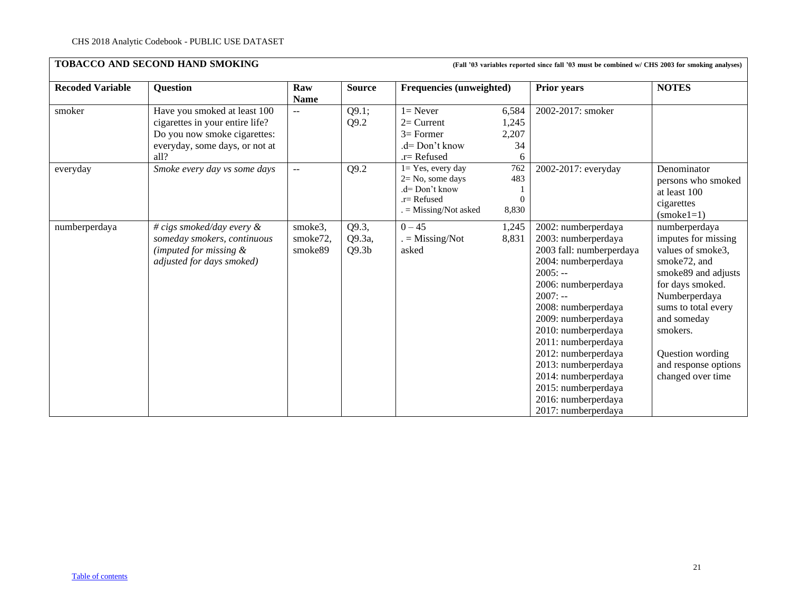<span id="page-20-0"></span>

| <b>Recoded Variable</b> | <b>Question</b>                                                                                                                           | Raw<br><b>Name</b>             | <b>Source</b>                        | <b>Frequencies (unweighted)</b>                                                                              |                                    | Prior years                                                                                                                                                                                                                                                                                                                                                                          | <b>NOTES</b>                                                                                                                                                                                                                                             |
|-------------------------|-------------------------------------------------------------------------------------------------------------------------------------------|--------------------------------|--------------------------------------|--------------------------------------------------------------------------------------------------------------|------------------------------------|--------------------------------------------------------------------------------------------------------------------------------------------------------------------------------------------------------------------------------------------------------------------------------------------------------------------------------------------------------------------------------------|----------------------------------------------------------------------------------------------------------------------------------------------------------------------------------------------------------------------------------------------------------|
| smoker                  | Have you smoked at least 100<br>cigarettes in your entire life?<br>Do you now smoke cigarettes:<br>everyday, some days, or not at<br>all? | $\overline{a}$                 | Q9.1;<br>Q9.2                        | $l =$ Never<br>$2=$ Current<br>$3=$ Former<br>.d= Don't know<br>$.r =$ Refused                               | 6,584<br>1,245<br>2,207<br>34<br>6 | 2002-2017: smoker                                                                                                                                                                                                                                                                                                                                                                    |                                                                                                                                                                                                                                                          |
| everyday                | Smoke every day vs some days                                                                                                              | $\sim$ $\sim$                  | Q9.2                                 | $l = Yes$ , every day<br>$2 = No$ , some days<br>$d = Don't know$<br>$.r =$ Refused<br>$=$ Missing/Not asked | 762<br>483<br>$\Omega$<br>8,830    | 2002-2017: everyday                                                                                                                                                                                                                                                                                                                                                                  | Denominator<br>persons who smoked<br>at least 100<br>cigarettes<br>$(smoke1=1)$                                                                                                                                                                          |
| numberperdaya           | # cigs smoked/day every $\&$<br>someday smokers, continuous<br>(imputed for missing $\&$<br>adjusted for days smoked)                     | smoke3,<br>smoke72,<br>smoke89 | Q9.3,<br>Q9.3a,<br>Q9.3 <sub>b</sub> | $0 - 45$<br>$=$ Missing/Not<br>asked                                                                         | 1,245<br>8,831                     | 2002: numberperdaya<br>2003: numberperdaya<br>2003 fall: numberperdaya<br>2004: numberperdaya<br>$2005: -$<br>2006: numberperdaya<br>$2007: -$<br>2008: numberperdaya<br>2009: numberperdaya<br>2010: numberperdaya<br>2011: numberperdaya<br>2012: numberperdaya<br>2013: numberperdaya<br>2014: numberperdaya<br>2015: numberperdaya<br>2016: numberperdaya<br>2017: numberperdaya | numberperdaya<br>imputes for missing<br>values of smoke3,<br>smoke72, and<br>smoke89 and adjusts<br>for days smoked.<br>Numberperdaya<br>sums to total every<br>and someday<br>smokers.<br>Question wording<br>and response options<br>changed over time |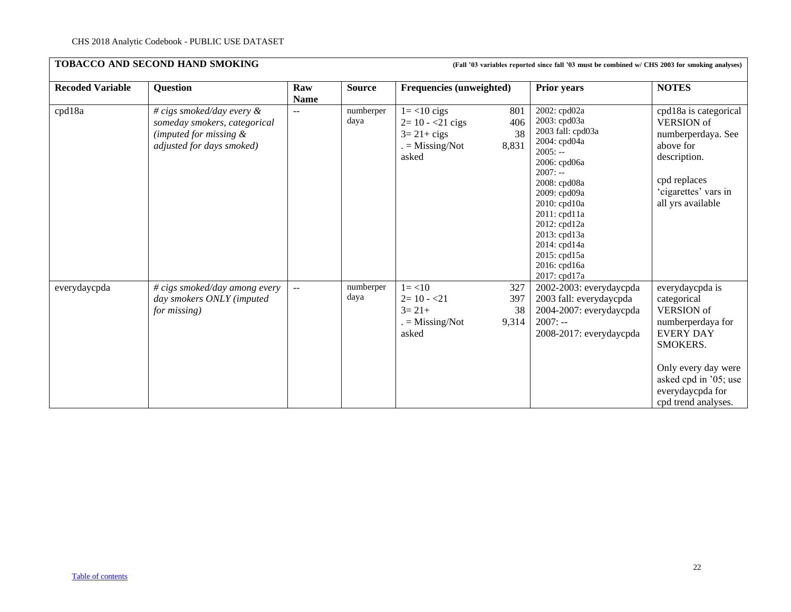| <b>TOBACCO AND SECOND HAND SMOKING</b><br>(Fall '03 variables reported since fall '03 must be combined w/ CHS 2003 for smoking analyses) |                                                                                                                        |                    |                   |                                                                                                               |                                                                                                                                                                                                                                                                             |                                                                                                                                                                                                     |  |
|------------------------------------------------------------------------------------------------------------------------------------------|------------------------------------------------------------------------------------------------------------------------|--------------------|-------------------|---------------------------------------------------------------------------------------------------------------|-----------------------------------------------------------------------------------------------------------------------------------------------------------------------------------------------------------------------------------------------------------------------------|-----------------------------------------------------------------------------------------------------------------------------------------------------------------------------------------------------|--|
| <b>Recoded Variable</b>                                                                                                                  | <b>Question</b>                                                                                                        | Raw<br><b>Name</b> | <b>Source</b>     | <b>Frequencies (unweighted)</b>                                                                               | <b>Prior years</b>                                                                                                                                                                                                                                                          | <b>NOTES</b>                                                                                                                                                                                        |  |
| cpd18a                                                                                                                                   | # cigs smoked/day every $\&$<br>someday smokers, categorical<br>(imputed for missing $\&$<br>adjusted for days smoked) | $-$                | numberper<br>daya | $1 = < 10$ cigs<br>801<br>$2 = 10 - 21$ cigs<br>406<br>38<br>$3=21+cigs$<br>8,831<br>$=$ Missing/Not<br>asked | 2002: cpd02a<br>2003: cpd03a<br>2003 fall: cpd03a<br>2004: cpd04a<br>$2005: -$<br>2006: cpd06a<br>$2007: -$<br>2008: cpd08a<br>2009: cpd09a<br>2010: cpd10a<br>2011: cpd11a<br>2012: cpd12a<br>2013: cpd13a<br>2014: cpd14a<br>2015: cpd15a<br>2016: cpd16a<br>2017: cpd17a | cpd18a is categorical<br><b>VERSION</b> of<br>numberperdaya. See<br>above for<br>description.<br>cpd replaces<br>'cigarettes' vars in<br>all yrs available                                          |  |
| everydaycpda                                                                                                                             | # cigs smoked/day among every<br>day smokers ONLY (imputed<br>for missing)                                             | $- -$              | numberper<br>daya | $1 = < 10$<br>327<br>$2=10 - 21$<br>397<br>$3=21+$<br>38<br>9,314<br>$=$ Missing/Not<br>asked                 | 2002-2003: everydaycpda<br>2003 fall: everydaycpda<br>2004-2007: everydaycpda<br>$2007: -$<br>2008-2017: everydaycpda                                                                                                                                                       | everydaycpda is<br>categorical<br><b>VERSION</b> of<br>numberperdaya for<br><b>EVERY DAY</b><br>SMOKERS.<br>Only every day were<br>asked cpd in '05; use<br>everydaycpda for<br>cpd trend analyses. |  |

# [Table of contents](#page-0-0)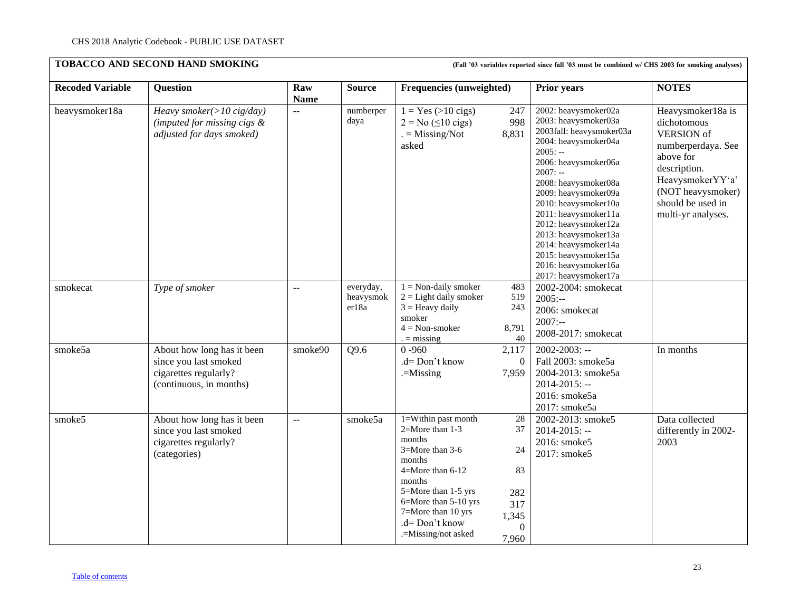| <b>Recoded Variable</b> | <b>Question</b>                                                                                         | Raw<br><b>Name</b>    | <b>Source</b>                   | Frequencies (unweighted)                                                                                                                                                                                                  |                                                                      | <b>Prior years</b>                                                                                                                                                                                                                                                                                                                                                                                 | <b>NOTES</b>                                                                                                                                                                                 |
|-------------------------|---------------------------------------------------------------------------------------------------------|-----------------------|---------------------------------|---------------------------------------------------------------------------------------------------------------------------------------------------------------------------------------------------------------------------|----------------------------------------------------------------------|----------------------------------------------------------------------------------------------------------------------------------------------------------------------------------------------------------------------------------------------------------------------------------------------------------------------------------------------------------------------------------------------------|----------------------------------------------------------------------------------------------------------------------------------------------------------------------------------------------|
| heavysmoker18a          | Heavy smoker( $>$ 10 cig/day)<br>(imputed for missing cigs $\&$<br>adjusted for days smoked)            | $\mathcal{L}^{\perp}$ | numberper<br>daya               | $1 = Yes (>10 cigs)$<br>$2 = No (510 \text{ cigs})$<br>$=$ Missing/Not<br>asked                                                                                                                                           | 247<br>998<br>8,831                                                  | 2002: heavysmoker02a<br>2003: heavysmoker03a<br>2003fall: heavysmoker03a<br>2004: heavysmoker04a<br>$2005: -$<br>2006: heavysmoker06a<br>$2007: -$<br>2008: heavysmoker08a<br>2009: heavysmoker09a<br>2010: heavysmoker10a<br>2011: heavysmoker11a<br>2012: heavysmoker12a<br>2013: heavysmoker13a<br>2014: heavysmoker14a<br>2015: heavysmoker15a<br>2016: heavysmoker16a<br>2017: heavysmoker17a | Heavysmoker18a is<br>dichotomous<br><b>VERSION</b> of<br>numberperdaya. See<br>above for<br>description.<br>HeavysmokerYY'a'<br>(NOT heavysmoker)<br>should be used in<br>multi-yr analyses. |
| smokecat                | Type of smoker                                                                                          | $\sim$ $\sim$         | everyday,<br>heavysmok<br>er18a | $1 = Non-daily smoker$<br>$2 =$ Light daily smoker<br>$3 =$ Heavy daily<br>smoker<br>$4 = Non-smoker$<br>$=$ missing                                                                                                      | 483<br>519<br>243<br>8,791<br>40                                     | 2002-2004: smokecat<br>$2005: -$<br>2006: smokecat<br>$2007: -$<br>2008-2017: smokecat                                                                                                                                                                                                                                                                                                             |                                                                                                                                                                                              |
| smoke5a                 | About how long has it been<br>since you last smoked<br>cigarettes regularly?<br>(continuous, in months) | smoke90               | Q9.6                            | $0 - 960$<br>.d= Don't know<br>$=$ Missing                                                                                                                                                                                | 2,117<br>$\Omega$<br>7,959                                           | $2002 - 2003$ : --<br>Fall 2003: smoke5a<br>2004-2013: smoke5a<br>$2014 - 2015$ : --<br>2016: smoke5a<br>2017: smoke5a                                                                                                                                                                                                                                                                             | In months                                                                                                                                                                                    |
| smoke5                  | About how long has it been<br>since you last smoked<br>cigarettes regularly?<br>(categories)            | $\sim$ $\sim$         | smoke5a                         | 1=Within past month<br>2=More than 1-3<br>months<br>3=More than 3-6<br>months<br>4=More than 6-12<br>months<br>5=More than 1-5 yrs<br>6=More than 5-10 yrs<br>7=More than 10 yrs<br>.d= Don't know<br>.=Missing/not asked | 28<br>37<br>24<br>83<br>282<br>317<br>1,345<br>$\mathbf{0}$<br>7,960 | 2002-2013: smoke5<br>$2014 - 2015$ : --<br>2016: smoke5<br>2017: smoke5                                                                                                                                                                                                                                                                                                                            | Data collected<br>differently in 2002-<br>2003                                                                                                                                               |

### [Table of contents](#page-0-0)

23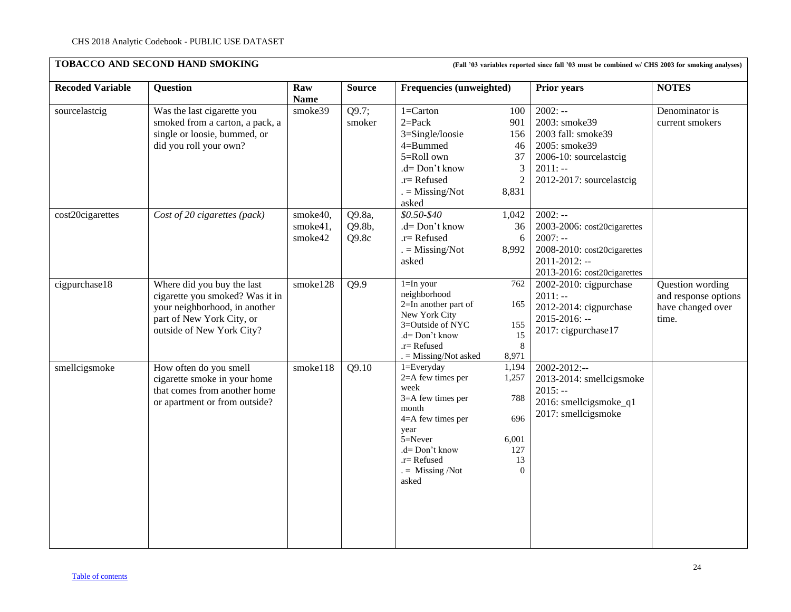| <b>Recoded Variable</b> | <b>Question</b>                                                                                                                                          | Raw<br><b>Name</b>              | <b>Source</b>             | <b>Frequencies (unweighted)</b>                                                                                                                                                                                                                           | <b>Prior years</b>                                                                                                                        | <b>NOTES</b>                                                           |
|-------------------------|----------------------------------------------------------------------------------------------------------------------------------------------------------|---------------------------------|---------------------------|-----------------------------------------------------------------------------------------------------------------------------------------------------------------------------------------------------------------------------------------------------------|-------------------------------------------------------------------------------------------------------------------------------------------|------------------------------------------------------------------------|
| sourcelastcig           | Was the last cigarette you<br>smoked from a carton, a pack, a<br>single or loosie, bummed, or<br>did you roll your own?                                  | smoke39                         | Q9.7;<br>smoker           | $1 =$ Carton<br>100<br>$2 = Pack$<br>901<br>3=Single/loosie<br>156<br>4=Bummed<br>46<br>5=Roll own<br>37<br>.d= Don't know<br>$\mathfrak{Z}$<br>$\overline{2}$<br>$.r =$ Refused<br>8,831<br>$=$ Missing/Not<br>asked                                     | $2002: -$<br>2003: smoke39<br>2003 fall: smoke39<br>2005: smoke39<br>2006-10: sourcelastcig<br>$2011: -$<br>2012-2017: sourcelastcig      | Denominator is<br>current smokers                                      |
| cost20cigarettes        | Cost of 20 cigarettes (pack)                                                                                                                             | smoke40,<br>smoke41,<br>smoke42 | Q9.8a,<br>Q9.8b,<br>Q9.8c | $$0.50-S40$<br>1,042<br>.d= Don't know<br>36<br>$.r =$ Refused<br>6<br>$=$ Missing/Not<br>8,992<br>asked                                                                                                                                                  | $2002: -$<br>2003-2006: cost20cigarettes<br>$2007: -$<br>2008-2010: cost20cigarettes<br>$2011 - 2012$ : --<br>2013-2016: cost20cigarettes |                                                                        |
| cigpurchase18           | Where did you buy the last<br>cigarette you smoked? Was it in<br>your neighborhood, in another<br>part of New York City, or<br>outside of New York City? | smoke128                        | Q9.9                      | $1 = In your$<br>762<br>neighborhood<br>2=In another part of<br>165<br>New York City<br>3=Outside of NYC<br>155<br>.d= Don't know<br>15<br>8<br>.r= Refused<br>$=$ Missing/Not asked<br>8,971                                                             | 2002-2010: cigpurchase<br>$2011: -$<br>2012-2014: cigpurchase<br>$2015 - 2016$ : --<br>2017: cigpurchase17                                | Question wording<br>and response options<br>have changed over<br>time. |
| smellcigsmoke           | How often do you smell<br>cigarette smoke in your home<br>that comes from another home<br>or apartment or from outside?                                  | smoke118                        | Q9.10                     | $1 = Every day$<br>1,194<br>2=A few times per<br>1,257<br>week<br>$3=$ A few times per<br>788<br>month<br>696<br>$4 = A$ few times per<br>year<br>5=Never<br>6,001<br>127<br>.d= Don't know<br>13<br>.r= Refused<br>$=$ Missing /Not<br>$\Omega$<br>asked | $2002 - 2012$ :--<br>2013-2014: smellcigsmoke<br>$2015: -$<br>2016: smellcigsmoke_q1<br>2017: smellcigsmoke                               |                                                                        |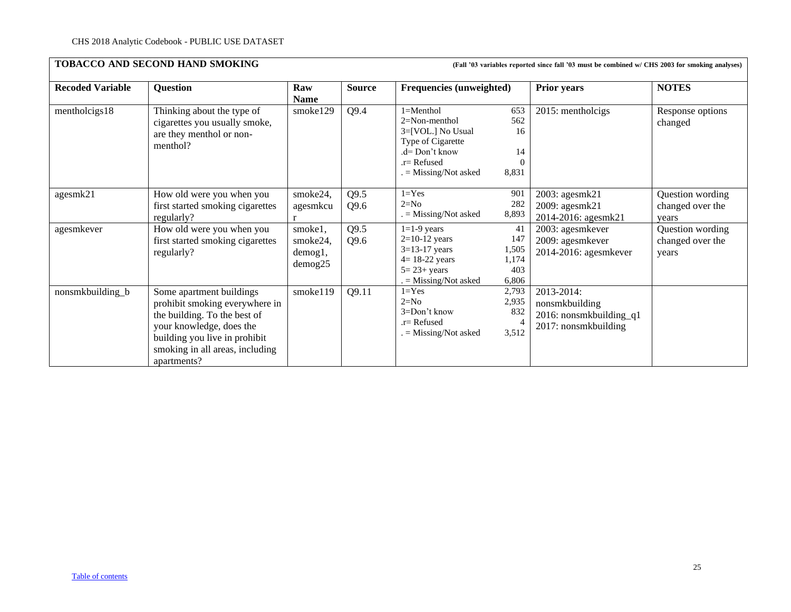| <b>Recoded Variable</b> | <b>Question</b>                                                                                                                                                                                           | Raw<br><b>Name</b>                               | <b>Source</b>                | <b>Frequencies (unweighted)</b>                                                                                                           |                                             | Prior years                                                                                     | <b>NOTES</b>                                                                          |
|-------------------------|-----------------------------------------------------------------------------------------------------------------------------------------------------------------------------------------------------------|--------------------------------------------------|------------------------------|-------------------------------------------------------------------------------------------------------------------------------------------|---------------------------------------------|-------------------------------------------------------------------------------------------------|---------------------------------------------------------------------------------------|
| mentholcigs18           | Thinking about the type of<br>cigarettes you usually smoke,<br>are they menthol or non-<br>menthol?                                                                                                       | smoke129                                         | Q9.4                         | $1 = Menthol$<br>$2 = Non-menthol$<br>3=[VOL.] No Usual<br>Type of Cigarette<br>$d=$ Don't know<br>$r =$ Refused<br>$=$ Missing/Not asked | 653<br>562<br>16<br>14<br>$\Omega$<br>8,831 | 2015: mentholcigs                                                                               | Response options<br>changed                                                           |
| agesmk21<br>agesmkever  | How old were you when you<br>first started smoking cigarettes<br>regularly?<br>How old were you when you<br>first started smoking cigarettes                                                              | smoke24,<br>agesmkcu<br>r<br>smoke1,<br>smoke24, | Q9.5<br>Q9.6<br>Q9.5<br>Q9.6 | $1 = Yes$<br>$2=N0$<br>$=$ Missing/Not asked<br>$1=1-9$ years<br>$2=10-12$ years                                                          | 901<br>282<br>8,893<br>41<br>147            | 2003: agesmk21<br>2009: agesmk21<br>2014-2016: agesmk21<br>2003: agesmkever<br>2009: agesmkever | Question wording<br>changed over the<br>years<br>Question wording<br>changed over the |
|                         | regularly?                                                                                                                                                                                                | demog1,<br>demog25                               |                              | $3=13-17$ years<br>$4 = 18-22$ years<br>$5 = 23 + years$<br>$=$ Missing/Not asked                                                         | 1,505<br>1,174<br>403<br>6,806              | 2014-2016: agesmkever                                                                           | vears                                                                                 |
| nonsmkbuilding_b        | Some apartment buildings<br>prohibit smoking everywhere in<br>the building. To the best of<br>your knowledge, does the<br>building you live in prohibit<br>smoking in all areas, including<br>apartments? | smoke119                                         | Q9.11                        | $1 = Yes$<br>$2=N0$<br>3=Don't know<br>$\mathbf{r}$ Refused<br>$=$ Missing/Not asked                                                      | 2,793<br>2,935<br>832<br>3,512              | 2013-2014:<br>nonsmkbuilding<br>2016: nonsmkbuilding_q1<br>2017: nonsmkbuilding                 |                                                                                       |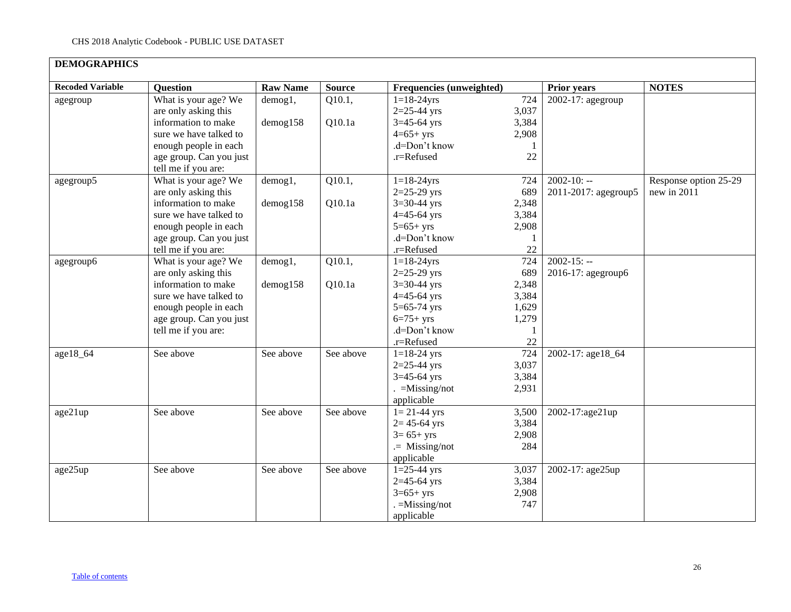<span id="page-25-0"></span>

| <b>DEMOGRAPHICS</b>     |                         |                 |               |                                 |       |                      |                       |
|-------------------------|-------------------------|-----------------|---------------|---------------------------------|-------|----------------------|-----------------------|
| <b>Recoded Variable</b> | <b>Question</b>         | <b>Raw Name</b> | <b>Source</b> | <b>Frequencies (unweighted)</b> |       | <b>Prior years</b>   | <b>NOTES</b>          |
| agegroup                | What is your age? We    | demog1,         | Q10.1,        | $1 = 18 - 24$ yrs               | 724   | 2002-17: agegroup    |                       |
|                         | are only asking this    |                 |               | $2=25-44$ yrs                   | 3,037 |                      |                       |
|                         | information to make     | $d$ emog $158$  | Q10.1a        | $3=45-64$ yrs                   | 3,384 |                      |                       |
|                         | sure we have talked to  |                 |               | $4=65+yrs$                      | 2,908 |                      |                       |
|                         | enough people in each   |                 |               | .d=Don't know                   |       |                      |                       |
|                         | age group. Can you just |                 |               | .r=Refused                      | 22    |                      |                       |
|                         | tell me if you are:     |                 |               |                                 |       |                      |                       |
| agegroup5               | What is your age? We    | demog1,         | Q10.1,        | $1 = 18 - 24$ yrs               | 724   | $2002 - 10: -$       | Response option 25-29 |
|                         | are only asking this    |                 |               | $2=25-29$ yrs                   | 689   | 2011-2017: agegroup5 | new in 2011           |
|                         | information to make     | demog158        | Q10.1a        | $3=30-44$ yrs                   | 2,348 |                      |                       |
|                         | sure we have talked to  |                 |               | $4=45-64$ yrs                   | 3,384 |                      |                       |
|                         | enough people in each   |                 |               | $5=65+yrs$                      | 2,908 |                      |                       |
|                         | age group. Can you just |                 |               | .d=Don't know                   |       |                      |                       |
|                         | tell me if you are:     |                 |               | .r=Refused                      | 22    |                      |                       |
| agegroup6               | What is your age? We    | demog1,         | Q10.1,        | $1 = 18 - 24$ yrs               | 724   | $2002 - 15: -$       |                       |
|                         | are only asking this    |                 |               | $2=25-29$ yrs                   | 689   | 2016-17: agegroup6   |                       |
|                         | information to make     | $d$ emog $158$  | Q10.1a        | $3 = 30 - 44$ yrs               | 2,348 |                      |                       |
|                         | sure we have talked to  |                 |               | $4 = 45 - 64$ yrs               | 3,384 |                      |                       |
|                         | enough people in each   |                 |               | $5 = 65 - 74$ yrs               | 1,629 |                      |                       |
|                         | age group. Can you just |                 |               | $6=75+yrs$                      | 1,279 |                      |                       |
|                         | tell me if you are:     |                 |               | .d=Don't know                   | 1     |                      |                       |
|                         |                         |                 |               | .r=Refused                      | 22    |                      |                       |
| age18_64                | See above               | See above       | See above     | $1 = 18 - 24$ yrs               | 724   | 2002-17: age18 64    |                       |
|                         |                         |                 |               | $2=25-44$ yrs                   | 3,037 |                      |                       |
|                         |                         |                 |               | $3=45-64$ yrs                   | 3,384 |                      |                       |
|                         |                         |                 |               | $=$ Missing/not                 | 2,931 |                      |                       |
|                         |                         |                 |               | applicable                      |       |                      |                       |
| age21up                 | See above               | See above       | See above     | $1 = 21 - 44$ yrs               | 3,500 | 2002-17:age21up      |                       |
|                         |                         |                 |               | $2 = 45 - 64$ yrs               | 3,384 |                      |                       |
|                         |                         |                 |               | $3 = 65 + yrs$                  | 2,908 |                      |                       |
|                         |                         |                 |               | $=$ Missing/not                 | 284   |                      |                       |
|                         |                         |                 |               | applicable                      |       |                      |                       |
| age25up                 | See above               | See above       | See above     | $1=25-44$ yrs                   | 3,037 | 2002-17: age25up     |                       |
|                         |                         |                 |               | $2=45-64$ yrs                   | 3,384 |                      |                       |
|                         |                         |                 |               | $3=65+yrs$                      | 2,908 |                      |                       |
|                         |                         |                 |               | $=$ Missing/not                 | 747   |                      |                       |
|                         |                         |                 |               | applicable                      |       |                      |                       |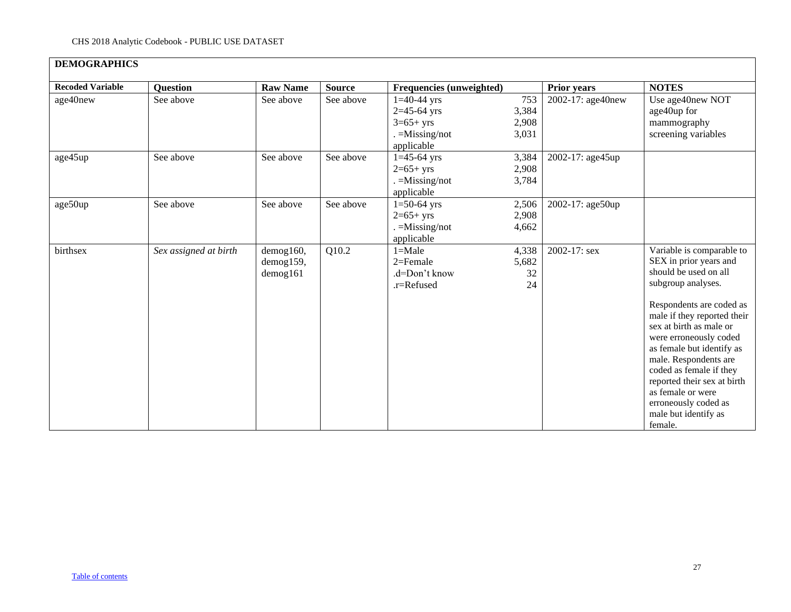# **DEMOGRAPHICS**

| <b>Recoded Variable</b> | <b>Question</b>       | <b>Raw Name</b> | <b>Source</b> | Frequencies (unweighted)       |              | <b>Prior years</b> | <b>NOTES</b>                                     |
|-------------------------|-----------------------|-----------------|---------------|--------------------------------|--------------|--------------------|--------------------------------------------------|
| age40new                | See above             | See above       | See above     | $1=40-44$ yrs<br>$2=45-64$ yrs | 753<br>3,384 | 2002-17: age40new  | Use age40new NOT<br>age40up for                  |
|                         |                       |                 |               | $3=65+yrs$                     | 2,908        |                    | mammography                                      |
|                         |                       |                 |               | $=M$ issing/not                | 3,031        |                    | screening variables                              |
|                         |                       |                 |               | applicable                     |              |                    |                                                  |
| age45up                 | See above             | See above       | See above     | $1=45-64$ yrs                  | 3,384        | 2002-17: age45up   |                                                  |
|                         |                       |                 |               | $2=65+yrs$                     | 2,908        |                    |                                                  |
|                         |                       |                 |               | $=$ Missing/not                | 3,784        |                    |                                                  |
|                         |                       |                 |               | applicable                     |              |                    |                                                  |
| age50up                 | See above             | See above       | See above     | $1=50-64$ yrs                  | 2,506        | 2002-17: age50up   |                                                  |
|                         |                       |                 |               | $2=65+yrs$                     | 2,908        |                    |                                                  |
|                         |                       |                 |               | $=$ Missing/not                | 4,662        |                    |                                                  |
|                         |                       |                 |               | applicable                     |              |                    |                                                  |
| birthsex                | Sex assigned at birth | $d$ emog160,    | Q10.2         | $1 = Male$                     | 4,338        | 2002-17: sex       | Variable is comparable to                        |
|                         |                       | demog159,       |               | $2=$ Female                    | 5,682        |                    | SEX in prior years and                           |
|                         |                       | $d$ emog $161$  |               | .d=Don't know                  | 32           |                    | should be used on all                            |
|                         |                       |                 |               | $.r =$ Refused                 | 24           |                    | subgroup analyses.                               |
|                         |                       |                 |               |                                |              |                    | Respondents are coded as                         |
|                         |                       |                 |               |                                |              |                    | male if they reported their                      |
|                         |                       |                 |               |                                |              |                    | sex at birth as male or                          |
|                         |                       |                 |               |                                |              |                    | were erroneously coded                           |
|                         |                       |                 |               |                                |              |                    | as female but identify as                        |
|                         |                       |                 |               |                                |              |                    | male. Respondents are                            |
|                         |                       |                 |               |                                |              |                    | coded as female if they                          |
|                         |                       |                 |               |                                |              |                    | reported their sex at birth<br>as female or were |
|                         |                       |                 |               |                                |              |                    | erroneously coded as                             |
|                         |                       |                 |               |                                |              |                    | male but identify as                             |
|                         |                       |                 |               |                                |              |                    | female.                                          |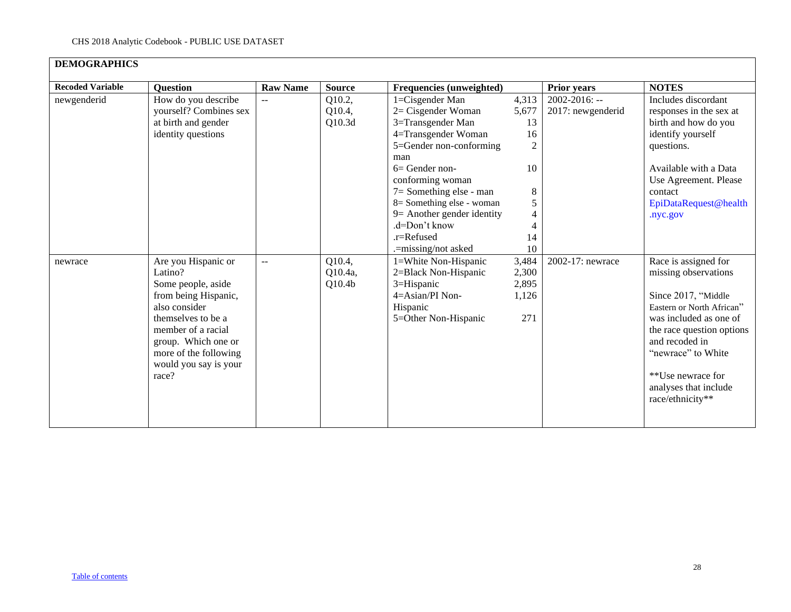| <b>Recoded Variable</b> | Question                                                                                                                                                                                                                    | <b>Raw Name</b>          | <b>Source</b>                           | Frequencies (unweighted)                                                                                                                                                                                                                                                            |                                                                         | <b>Prior years</b>                      | <b>NOTES</b>                                                                                                                                                                                                                                                      |
|-------------------------|-----------------------------------------------------------------------------------------------------------------------------------------------------------------------------------------------------------------------------|--------------------------|-----------------------------------------|-------------------------------------------------------------------------------------------------------------------------------------------------------------------------------------------------------------------------------------------------------------------------------------|-------------------------------------------------------------------------|-----------------------------------------|-------------------------------------------------------------------------------------------------------------------------------------------------------------------------------------------------------------------------------------------------------------------|
| newgenderid             | How do you describe<br>yourself? Combines sex<br>at birth and gender<br>identity questions                                                                                                                                  | $\overline{\phantom{a}}$ | Q10.2,<br>Q10.4,<br>Q10.3d              | 1=Cisgender Man<br>$2=$ Cisgender Woman<br>3=Transgender Man<br>4=Transgender Woman<br>5=Gender non-conforming<br>man<br>$6=$ Gender non-<br>conforming woman<br>7= Something else - man<br>8 = Something else - woman<br>9= Another gender identity<br>.d=Don't know<br>.r=Refused | 4,313<br>5,677<br>13<br>16<br>$\overline{2}$<br>10<br>8<br>5<br>4<br>14 | $2002 - 2016$ : --<br>2017: newgenderid | Includes discordant<br>responses in the sex at<br>birth and how do you<br>identify yourself<br>questions.<br>Available with a Data<br>Use Agreement. Please<br>contact<br>EpiDataRequest@health<br>.nyc.gov                                                       |
| newrace                 | Are you Hispanic or<br>Latino?<br>Some people, aside<br>from being Hispanic,<br>also consider<br>themselves to be a<br>member of a racial<br>group. Which one or<br>more of the following<br>would you say is your<br>race? | $\overline{\phantom{a}}$ | Q10.4,<br>Q10.4a,<br>Q10.4 <sub>b</sub> | .=missing/not asked<br>1=White Non-Hispanic<br>2=Black Non-Hispanic<br>3=Hispanic<br>4=Asian/PI Non-<br>Hispanic<br>5=Other Non-Hispanic                                                                                                                                            | 10<br>3,484<br>2,300<br>2,895<br>1,126<br>271                           | 2002-17: newrace                        | Race is assigned for<br>missing observations<br>Since 2017, "Middle<br>Eastern or North African"<br>was included as one of<br>the race question options<br>and recoded in<br>"newrace" to White<br>**Use newrace for<br>analyses that include<br>race/ethnicity** |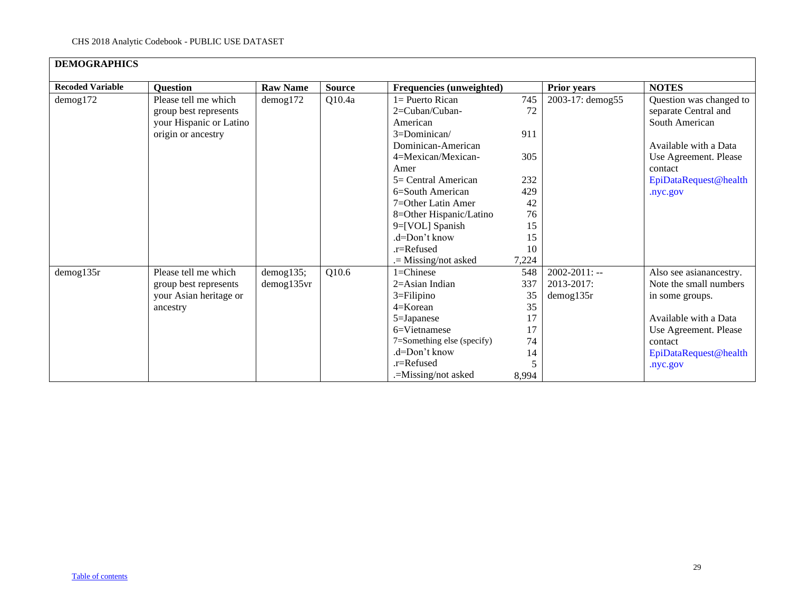| <b>DEMOGRAPHICS</b>     |                                                                          |                  |               |                                                     |             |                    |                                                                   |
|-------------------------|--------------------------------------------------------------------------|------------------|---------------|-----------------------------------------------------|-------------|--------------------|-------------------------------------------------------------------|
| <b>Recoded Variable</b> | <b>Question</b>                                                          | <b>Raw Name</b>  | <b>Source</b> | <b>Frequencies (unweighted)</b>                     |             | <b>Prior years</b> | <b>NOTES</b>                                                      |
| demog172                | Please tell me which<br>group best represents<br>your Hispanic or Latino | $d$ emog172      | Q10.4a        | $1 =$ Puerto Rican<br>2=Cuban/Cuban-<br>American    | 745<br>72   | 2003-17: demog55   | Question was changed to<br>separate Central and<br>South American |
|                         | origin or ancestry                                                       |                  |               | 3=Dominican/<br>Dominican-American                  | 911<br>305  |                    | Available with a Data                                             |
|                         |                                                                          |                  |               | 4=Mexican/Mexican-<br>Amer<br>$5=$ Central American | 232         |                    | Use Agreement. Please<br>contact<br>EpiDataRequest@health         |
|                         |                                                                          |                  |               | $6 =$ South American                                | 429         |                    | .nyc.gov                                                          |
|                         |                                                                          |                  |               | $7 =$ Other Latin Amer<br>8=Other Hispanic/Latino   | 42<br>76    |                    |                                                                   |
|                         |                                                                          |                  |               | 9=[VOL] Spanish<br>.d=Don't know                    | 15<br>15    |                    |                                                                   |
|                         |                                                                          |                  |               | $.r =$ Refused<br>$=$ Missing/not asked             | 10<br>7,224 |                    |                                                                   |
| $d$ emog135r            | Please tell me which                                                     | demog135;        | Q10.6         | 1=Chinese                                           | 548         | $2002 - 2011$ : -- | Also see asianancestry.                                           |
|                         | group best represents                                                    | $d$ emog135 $vr$ |               | $2 = Asian Indian$                                  | 337         | 2013-2017:         | Note the small numbers                                            |
|                         | your Asian heritage or                                                   |                  |               | $3 =$ Filipino                                      | 35          | $d$ emog $135r$    | in some groups.                                                   |
|                         | ancestry                                                                 |                  |               | $4=K$ orean<br>5=Japanese                           | 35<br>17    |                    | Available with a Data                                             |
|                         |                                                                          |                  |               | $6=V$ ietnamese                                     | 17          |                    | Use Agreement. Please                                             |
|                         |                                                                          |                  |               | 7=Something else (specify)                          | 74          |                    | contact                                                           |
|                         |                                                                          |                  |               | .d=Don't know<br>.r=Refused                         | 14          |                    | EpiDataRequest@health                                             |
|                         |                                                                          |                  |               | .=Missing/not asked                                 | 8,994       |                    | .nyc.gov                                                          |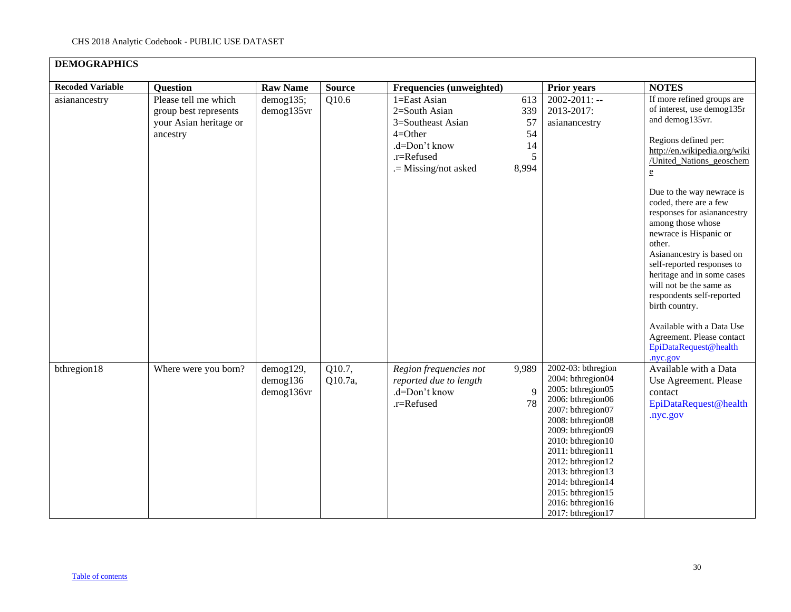| <b>DEMOGRAPHICS</b>     |                                                                                     |                                           |                   |                                                                                                                        |                                            |                                                                                                                                                                                                                                                                                                                          |                                                                                                                                                                                                                                                                                                                                                                                                                                                                                                                                                                                                              |
|-------------------------|-------------------------------------------------------------------------------------|-------------------------------------------|-------------------|------------------------------------------------------------------------------------------------------------------------|--------------------------------------------|--------------------------------------------------------------------------------------------------------------------------------------------------------------------------------------------------------------------------------------------------------------------------------------------------------------------------|--------------------------------------------------------------------------------------------------------------------------------------------------------------------------------------------------------------------------------------------------------------------------------------------------------------------------------------------------------------------------------------------------------------------------------------------------------------------------------------------------------------------------------------------------------------------------------------------------------------|
| <b>Recoded Variable</b> | Question                                                                            | <b>Raw Name</b>                           | <b>Source</b>     | Frequencies (unweighted)                                                                                               |                                            | Prior years                                                                                                                                                                                                                                                                                                              | <b>NOTES</b>                                                                                                                                                                                                                                                                                                                                                                                                                                                                                                                                                                                                 |
| asianancestry           | Please tell me which<br>group best represents<br>your Asian heritage or<br>ancestry | demog135;<br>demog135vr                   | Q10.6             | 1=East Asian<br>2=South Asian<br>3=Southeast Asian<br>$4=Other$<br>.d=Don't know<br>.r=Refused<br>.= Missing/not asked | 613<br>339<br>57<br>54<br>14<br>5<br>8,994 | $2002 - 2011$ : --<br>2013-2017:<br>asianancestry                                                                                                                                                                                                                                                                        | If more refined groups are<br>of interest, use demog135r<br>and demog135vr.<br>Regions defined per:<br>http://en.wikipedia.org/wiki<br>/United Nations geoschem<br>$\underline{\mathbf{e}}$<br>Due to the way newrace is<br>coded, there are a few<br>responses for asianancestry<br>among those whose<br>newrace is Hispanic or<br>other.<br>Asianancestry is based on<br>self-reported responses to<br>heritage and in some cases<br>will not be the same as<br>respondents self-reported<br>birth country.<br>Available with a Data Use<br>Agreement. Please contact<br>EpiDataRequest@health<br>nyc.gov. |
| bthregion18             | Where were you born?                                                                | demog129,<br>$d$ emog $136$<br>demog136vr | Q10.7,<br>Q10.7a, | Region frequencies not<br>reported due to length<br>.d=Don't know<br>.r=Refused                                        | 9,989<br>9<br>78                           | 2002-03: bthregion<br>2004: bthregion04<br>2005: bthregion05<br>2006: bthregion06<br>2007: bthregion07<br>2008: bthregion08<br>2009: bthregion09<br>2010: bthregion10<br>2011: bthregion11<br>2012: bthregion12<br>2013: bthregion13<br>2014: bthregion14<br>2015: bthregion15<br>2016: bthregion16<br>2017: bthregion17 | Available with a Data<br>Use Agreement. Please<br>contact<br>EpiDataRequest@health<br>.nyc.gov                                                                                                                                                                                                                                                                                                                                                                                                                                                                                                               |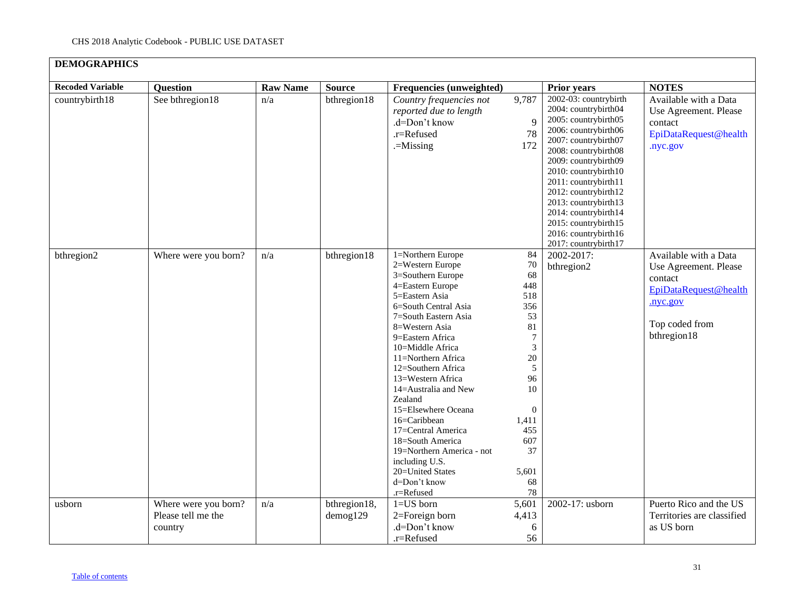### **DEMOGRAPHICS Recoded Variable Question Raw Name Source Frequencies (unweighted) Prior years NOTES** country birth 18 See bthregion 18 n/a bthregion 18 *Country frequencies not reported due to length* .d=Don't know .r=Refused .=Missing 9,787 9 78 172 2002-03: countrybirth 2004: countrybirth04 2005: countrybirth05 2006: countrybirth06 2007: countrybirth07 2008: countrybirth08 2009: countrybirth09 2010: countrybirth10 2011: countrybirth11 2012: countrybirth12 2013: countrybirth13 2014: countrybirth14 2015: countrybirth15 2016: countrybirth16 2017: countrybirth17 Available with a Data Use Agreement. Please contact EpiDataRequest@health .nyc.gov bthregion2 Where were you born?  $n/a$  bthregion18 1=Northern Europe 2=Western Europe 3=Southern Europe 4=Eastern Europe 5=Eastern Asia 6=South Central Asia 7=South Eastern Asia 8=Western Asia 9=Eastern Africa 10=Middle Africa 11=Northern Africa 12=Southern Africa 13=Western Africa 14=Australia and New Zealand 15=Elsewhere Oceana 16=Caribbean 17=Central America 18=South America 19=Northern America - not including U.S. 20=United States d=Don't know .r=Refused 84 70 68 448 518 356 53 81 7 3 20 5 96 10 0 1,411 455 607 37 5,601 68 78 2002-2017: bthregion2 Available with a Data Use Agreement. Please contact [EpiDataRequest@health](mailto:EpiDataRequest@health.nyc.gov) [.nyc.gov](mailto:EpiDataRequest@health.nyc.gov) Top coded from bthregion18 usborn Where were you born? Please tell me the country n/a bthregion18, demog129 1=US born 2=Foreign born .d=Don't know .r=Refused 5,601 4,413 6 56 2002-17: usborn Puerto Rico and the US Territories are classified as US born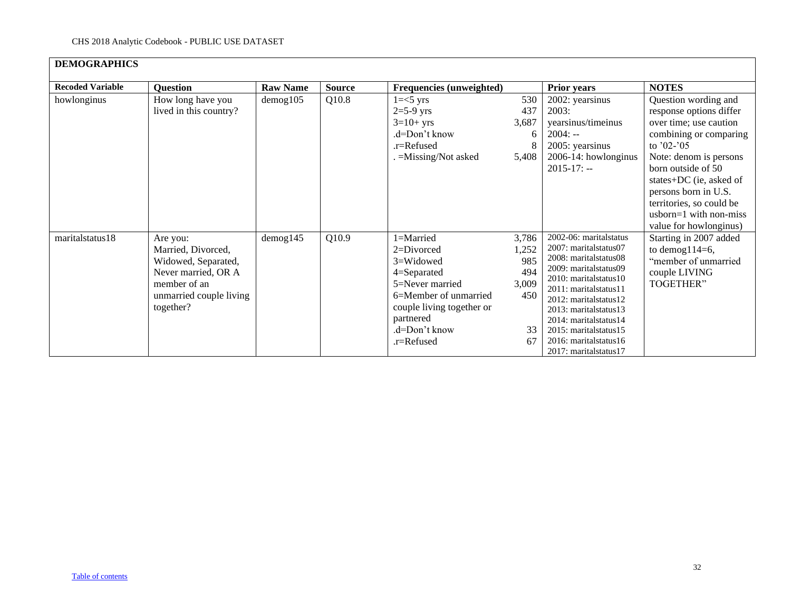| <b>DEMOGRAPHICS</b>     |                                                                                                                                      |                 |               |                                                                                                                                                                          |                                                          |                                                                                                                                                                                                                                                                                                                       |                                                                                                                                                                                                                                                                                                          |
|-------------------------|--------------------------------------------------------------------------------------------------------------------------------------|-----------------|---------------|--------------------------------------------------------------------------------------------------------------------------------------------------------------------------|----------------------------------------------------------|-----------------------------------------------------------------------------------------------------------------------------------------------------------------------------------------------------------------------------------------------------------------------------------------------------------------------|----------------------------------------------------------------------------------------------------------------------------------------------------------------------------------------------------------------------------------------------------------------------------------------------------------|
| <b>Recoded Variable</b> | <b>Question</b>                                                                                                                      | <b>Raw Name</b> | <b>Source</b> | <b>Frequencies (unweighted)</b>                                                                                                                                          |                                                          | <b>Prior years</b>                                                                                                                                                                                                                                                                                                    | <b>NOTES</b>                                                                                                                                                                                                                                                                                             |
| howlonginus             | How long have you<br>lived in this country?                                                                                          | demog105        | Q10.8         | $1 = < 5$ yrs<br>$2=5-9$ yrs<br>$3=10+$ yrs<br>.d=Don't know<br>.r=Refused<br>. = Missing/Not asked                                                                      | 530<br>437<br>3,687<br>6<br>8<br>5,408                   | 2002: yearsinus<br>2003:<br>yearsinus/timeinus<br>$2004: -$<br>2005: yearsinus<br>2006-14: howlonginus<br>$2015 - 17$ : --                                                                                                                                                                                            | Question wording and<br>response options differ<br>over time; use caution<br>combining or comparing<br>to $'02-'05$<br>Note: denom is persons<br>born outside of 50<br>states+DC (ie, asked of<br>persons born in U.S.<br>territories, so could be<br>$usborn=1$ with non-miss<br>value for howlonginus) |
| maritalstatus18         | Are you:<br>Married, Divorced,<br>Widowed, Separated,<br>Never married, OR A<br>member of an<br>unmarried couple living<br>together? | $d$ emog $145$  | Q10.9         | 1=Married<br>2=Divorced<br>3=Widowed<br>4=Separated<br>5=Never married<br>6=Member of unmarried<br>couple living together or<br>partnered<br>.d=Don't know<br>.r=Refused | 3,786<br>1,252<br>985<br>494<br>3,009<br>450<br>33<br>67 | 2002-06: maritalstatus<br>2007: maritalstatus07<br>2008: maritalstatus08<br>2009: maritalstatus09<br>2010: marital status 10<br>2011: maritalstatus11<br>2012: marital status 12<br>2013: marital status 13<br>2014: marital status 14<br>2015: maritalstatus15<br>2016: marital status 16<br>2017: marital status 17 | Starting in 2007 added<br>to demog $114=6$ ,<br>"member of unmarried<br>couple LIVING<br>TOGETHER"                                                                                                                                                                                                       |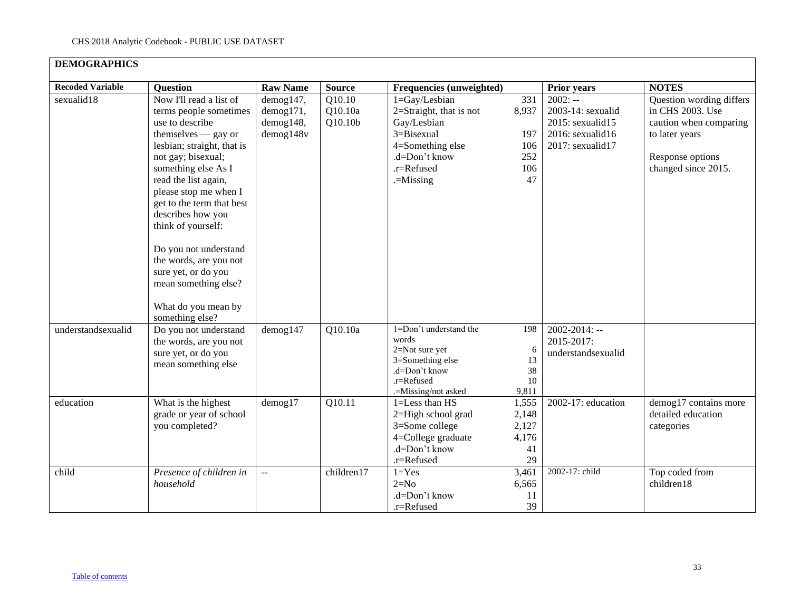| <b>DEMOGRAPHICS</b>             |                                                                                                                                                                                                                                                                                                                                                                                                                                               |                                                  |                              |                                                                                                                                               |                                                |                                                                                            |                                                                                                                                     |
|---------------------------------|-----------------------------------------------------------------------------------------------------------------------------------------------------------------------------------------------------------------------------------------------------------------------------------------------------------------------------------------------------------------------------------------------------------------------------------------------|--------------------------------------------------|------------------------------|-----------------------------------------------------------------------------------------------------------------------------------------------|------------------------------------------------|--------------------------------------------------------------------------------------------|-------------------------------------------------------------------------------------------------------------------------------------|
| <b>Recoded Variable</b>         | <b>Question</b>                                                                                                                                                                                                                                                                                                                                                                                                                               | <b>Raw Name</b>                                  | <b>Source</b>                | <b>Frequencies (unweighted)</b>                                                                                                               |                                                | <b>Prior years</b>                                                                         | <b>NOTES</b>                                                                                                                        |
| sexualid18                      | Now I'll read a list of<br>terms people sometimes<br>use to describe<br>$themselves - gay or$<br>lesbian; straight, that is<br>not gay; bisexual;<br>something else As I<br>read the list again,<br>please stop me when I<br>get to the term that best<br>describes how you<br>think of yourself:<br>Do you not understand<br>the words, are you not<br>sure yet, or do you<br>mean something else?<br>What do you mean by<br>something else? | demog147,<br>demog171,<br>demog148,<br>demog148v | Q10.10<br>Q10.10a<br>Q10.10b | 1=Gay/Lesbian<br>2=Straight, that is not<br>Gay/Lesbian<br>3=Bisexual<br>4=Something else<br>.d=Don't know<br>.r=Refused<br>$=$ Missing       | 331<br>8,937<br>197<br>106<br>252<br>106<br>47 | $2002: -$<br>2003-14: sexualid<br>2015: sexualid15<br>2016: sexualid16<br>2017: sexualid17 | Question wording differs<br>in CHS 2003. Use<br>caution when comparing<br>to later years<br>Response options<br>changed since 2015. |
| understandsexualid<br>education | Do you not understand<br>the words, are you not<br>sure yet, or do you<br>mean something else<br>What is the highest                                                                                                                                                                                                                                                                                                                          | $d$ emog $147$<br>$d$ emog $17$                  | Q10.10a<br>Q10.11            | 1=Don't understand the<br>words<br>2=Not sure yet<br>3=Something else<br>.d=Don't know<br>.r=Refused<br>.=Missing/not asked<br>1=Less than HS | 198<br>6<br>13<br>38<br>10<br>9,811<br>1,555   | $2002 - 2014$ : --<br>2015-2017:<br>understandsexualid<br>2002-17: education               | demog17 contains more                                                                                                               |
|                                 | grade or year of school<br>you completed?                                                                                                                                                                                                                                                                                                                                                                                                     |                                                  |                              | 2=High school grad<br>3=Some college<br>4=College graduate<br>.d=Don't know<br>.r=Refused                                                     | 2,148<br>2,127<br>4,176<br>41<br>29            |                                                                                            | detailed education<br>categories                                                                                                    |
| child                           | Presence of children in<br>household                                                                                                                                                                                                                                                                                                                                                                                                          | $\overline{a}$                                   | children17                   | $1 = Yes$<br>$2=N0$<br>.d=Don't know<br>.r=Refused                                                                                            | 3,461<br>6,565<br>11<br>39                     | 2002-17: child                                                                             | Top coded from<br>children18                                                                                                        |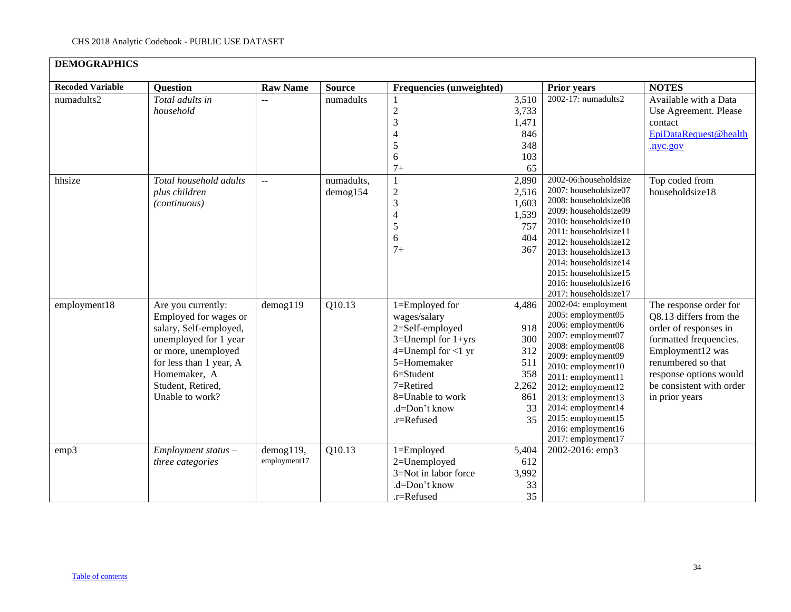### **DEMOGRAPHICS Recoded Variable Question Raw Name Source Frequencies (unweighted) Prior years NOTES** numadults2 *Total adults in household* --  $\vert$  numadults  $\vert$  1 2 3 4 5 6 7+ 3,510 3,733 1,471 846 348 103 65 2002-17: numadults2 Available with a Data Use Agreement. Please contact [EpiDataRequest@health](mailto:EpiDataRequest@health.nyc.gov) [.nyc.gov](mailto:EpiDataRequest@health.nyc.gov) hhsize *Total household adults plus children (continuous)* -- numadults, demog154 1 2 3 4 5 6 7+ 2,890 2,516 1,603 1,539 757 404 367 2002-06:householdsize 2007: householdsize07 2008: householdsize08 2009: householdsize09 2010: householdsize10 2011: householdsize11 2012: householdsize12 2013: householdsize13 2014: householdsize14 2015: householdsize15 2016: householdsize16 2017: householdsize17 Top coded from householdsize18 employment18 Are you currently: Employed for wages or salary, Self-employed, unemployed for 1 year or more, unemployed for less than 1 year, A Homemaker, A Student, Retired, Unable to work? demog119  $\boxed{Q10.13}$  1=Employed for wages/salary 2=Self-employed 3=Unempl for 1+yrs 4=Unempl for  $\lt 1$  yr 5=Homemaker 6=Student 7=Retired 8=Unable to work .d=Don't know .r=Refused 4,486 918 300 312 511 358 2,262 861 33 35 2002-04: employment 2005: employment05 2006: employment06 2007: employment07 2008: employment08 2009: employment09 2010: employment10 2011: employment11 2012: employment12 2013: employment13 2014: employment14 2015: employment15 2016: employment16 2017: employment17 The response order for Q8.13 differs from the order of responses in formatted frequencies. Employment12 was renumbered so that response options would be consistent with order in prior years emp3 *Employment status – three categories* demog119, employment17 Q10.13 1=Employed 2=Unemployed 3=Not in labor force .d=Don't know .r=Refused 5,404 612 3,992 33 35 2002-2016: emp3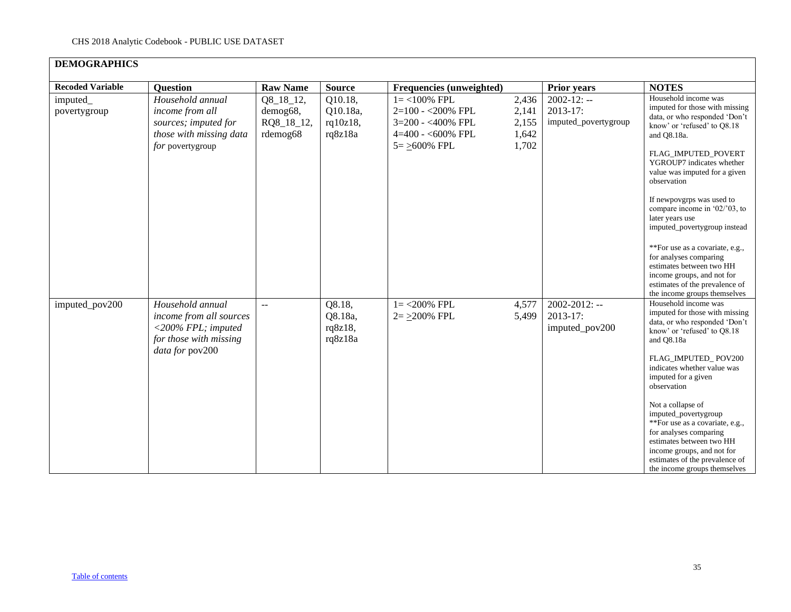| <b>Recoded Variable</b> | <b>Question</b>                                                                                                   | <b>Raw Name</b>                                 | <b>Source</b>                              | Frequencies (unweighted)                                                                                |                                           | <b>Prior years</b>                                    | <b>NOTES</b>                                                                                                                                                                                                                                                                                                                                                                                                                                                                                                                             |
|-------------------------|-------------------------------------------------------------------------------------------------------------------|-------------------------------------------------|--------------------------------------------|---------------------------------------------------------------------------------------------------------|-------------------------------------------|-------------------------------------------------------|------------------------------------------------------------------------------------------------------------------------------------------------------------------------------------------------------------------------------------------------------------------------------------------------------------------------------------------------------------------------------------------------------------------------------------------------------------------------------------------------------------------------------------------|
| imputed<br>povertygroup | Household annual<br>income from all<br>sources; imputed for<br>those with missing data<br>for povertygroup        | Q8_18_12,<br>demog68,<br>RQ8_18_12,<br>rdemog68 | Q10.18,<br>Q10.18a,<br>rq10z18,<br>rq8z18a | $1 = < 100\%$ FPL<br>2=100 - < 200% FPL<br>3=200 - <400% FPL<br>$4=400 - 600\%$ FPL<br>$5 = >600\%$ FPL | 2,436<br>2,141<br>2,155<br>1,642<br>1,702 | $2002 - 12: -$<br>$2013-17$ :<br>imputed_povertygroup | Household income was<br>imputed for those with missing<br>data, or who responded 'Don't<br>know' or 'refused' to Q8.18<br>and Q8.18a.<br>FLAG_IMPUTED_POVERT<br>YGROUP7 indicates whether<br>value was imputed for a given<br>observation<br>If newpovgrps was used to<br>compare income in $02/03$ , to<br>later years use<br>imputed_povertygroup instead<br>**For use as a covariate, e.g.,<br>for analyses comparing<br>estimates between two HH<br>income groups, and not for                                                       |
| imputed_pov200          | Household annual<br>income from all sources<br>$<$ 200% FPL; imputed<br>for those with missing<br>data for pov200 | $\sim$ $\sim$                                   | Q8.18,<br>Q8.18a,<br>rq8z18,<br>rq8z18a    | $1 = 200\%$ FPL<br>$2 = 200\%$ FPL                                                                      | 4,577<br>5,499                            | $2002 - 2012$ : --<br>2013-17:<br>imputed_pov200      | estimates of the prevalence of<br>the income groups themselves<br>Household income was<br>imputed for those with missing<br>data, or who responded 'Don't<br>know' or 'refused' to Q8.18<br>and Q8.18a<br>FLAG IMPUTED POV200<br>indicates whether value was<br>imputed for a given<br>observation<br>Not a collapse of<br>imputed_povertygroup<br>**For use as a covariate, e.g.,<br>for analyses comparing<br>estimates between two HH<br>income groups, and not for<br>estimates of the prevalence of<br>the income groups themselves |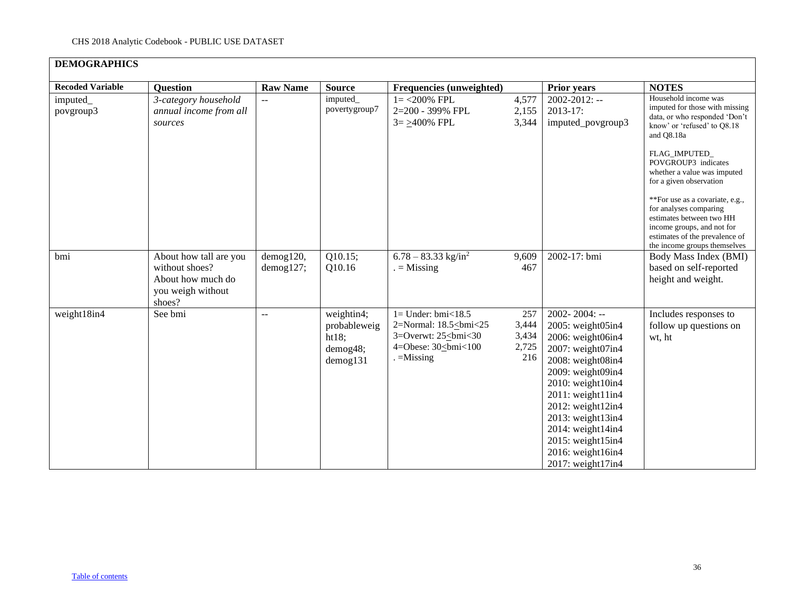| <b>Recoded Variable</b> | <b>Question</b>                                                                              | <b>Raw Name</b>        | <b>Source</b>                                               | <b>Frequencies (unweighted)</b>                                                                    |                                       | <b>Prior years</b>                                                                                                                                                                                                                                                                                                   | <b>NOTES</b>                                                                                                                                                                                                                                    |
|-------------------------|----------------------------------------------------------------------------------------------|------------------------|-------------------------------------------------------------|----------------------------------------------------------------------------------------------------|---------------------------------------|----------------------------------------------------------------------------------------------------------------------------------------------------------------------------------------------------------------------------------------------------------------------------------------------------------------------|-------------------------------------------------------------------------------------------------------------------------------------------------------------------------------------------------------------------------------------------------|
| imputed_<br>povgroup3   | 3-category household<br>annual income from all<br>sources                                    |                        | imputed_<br>povertygroup7                                   | $1 = 200\%$ FPL<br>2=200 - 399% FPL<br>$3 = \geq 400\%$ FPL                                        | 4,577<br>2,155<br>3,344               | $2002 - 2012$ : --<br>$2013 - 17$ :<br>imputed_povgroup3                                                                                                                                                                                                                                                             | Household income was<br>imputed for those with missing<br>data, or who responded 'Don't<br>know' or 'refused' to O8.18<br>and Q8.18a<br>FLAG_IMPUTED_<br>POVGROUP3 indicates                                                                    |
|                         |                                                                                              |                        |                                                             |                                                                                                    |                                       |                                                                                                                                                                                                                                                                                                                      | whether a value was imputed<br>for a given observation<br>**For use as a covariate, e.g.,<br>for analyses comparing<br>estimates between two HH<br>income groups, and not for<br>estimates of the prevalence of<br>the income groups themselves |
| bmi                     | About how tall are you<br>without shoes?<br>About how much do<br>you weigh without<br>shoes? | demog120,<br>demog127; | Q10.15;<br>Q10.16                                           | $6.78 - 83.33$ kg/in <sup>2</sup><br>$=$ Missing                                                   | 9,609<br>467                          | 2002-17: bmi                                                                                                                                                                                                                                                                                                         | Body Mass Index (BMI)<br>based on self-reported<br>height and weight.                                                                                                                                                                           |
| weight18in4             | See bmi                                                                                      | $\sim$ $\sim$          | weightin4;<br>probableweig<br>ht18;<br>demog48;<br>demog131 | $1=$ Under: bmi<18.5<br>2=Normal: 18.5<br>bmi<25<br>3=Overwt: $25 \leq b$ mi<30<br>4=Obese: 30<br> | 257<br>3,444<br>3,434<br>2,725<br>216 | $2002 - 2004$ : --<br>2005: weight05in4<br>2006: weight06in4<br>2007: weight07in4<br>2008: weight08in4<br>2009: weight09in4<br>2010: weight10in4<br>$2011$ : weight $11$ in $4$<br>$2012$ : weight $12$ in4<br>2013: weight13in4<br>2014: weight14in4<br>2015: weight15in4<br>2016: weight16in4<br>2017: weight17in4 | Includes responses to<br>follow up questions on<br>wt, ht                                                                                                                                                                                       |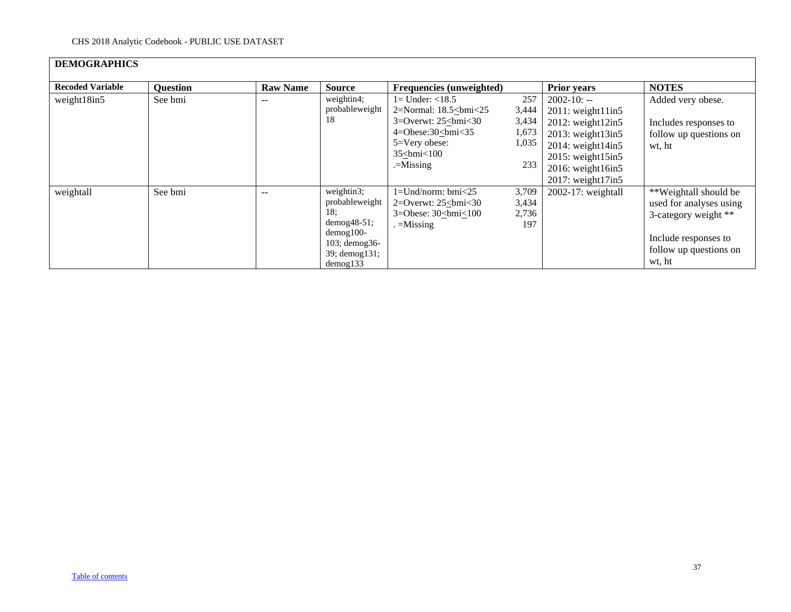# **DEMOGRAPHICS**

| <b>Recoded Variable</b> | <b>Question</b> | <b>Raw Name</b> | <b>Source</b>                                                                                                                 | Frequencies (unweighted)                                                                                                                                                                                                                                                                                                      |                                                | <b>Prior years</b>                                                                                                                                                                                         | <b>NOTES</b>                                                                                                                         |
|-------------------------|-----------------|-----------------|-------------------------------------------------------------------------------------------------------------------------------|-------------------------------------------------------------------------------------------------------------------------------------------------------------------------------------------------------------------------------------------------------------------------------------------------------------------------------|------------------------------------------------|------------------------------------------------------------------------------------------------------------------------------------------------------------------------------------------------------------|--------------------------------------------------------------------------------------------------------------------------------------|
| weight18in5             | See bmi         | $- -$           | weightin4;<br>probableweight<br>18                                                                                            | $1 =$ Under: $<$ 18.5<br>2=Normal: $18.5$<br>bmi<25<br>3=Overwt: $25\le$ bmi<30<br>$4 = Obese:30 \leq bmi < 35$<br>                                                                                                                                                                                                           | 257<br>3,444<br>3,434<br>1,673<br>1,035<br>233 | $2002 - 10: -$<br>2011: weight11in5<br>$2012$ : weight $12$ in5<br>$2013$ : weight $13$ in $5$<br>$2014$ : weight $14$ in5<br>$2015$ : weight $15$ in $5$<br>2016: weight16in5<br>$2017$ : weight $17$ in5 | Added very obese.<br>Includes responses to<br>follow up questions on<br>wt, ht                                                       |
| weightall               | See bmi         | $- -$           | weightin3;<br>probableweight<br>18:<br>$demog48-51$ ;<br>$d$ emog $100-$<br>$103$ ; demog $36$ -<br>39; demog131;<br>demog133 | $1 =$ Und/norm: bmi $\leq 25$<br>2=Overwt: $25$<br>$\leq$ 0.5 \le $\leq$ 0.5 \le $\leq$ 0.5 \le $\leq$ 0.5 \le $\leq$ 0.5 \le $\leq$ 0.5 \le $\leq$ 0.5 \le $\leq$ 0.5 \le $\leq$ 0.5 \le $\leq$ 0.5 \le $\leq$ 0.5 \le $\leq$ 0.5 \le $\leq$ 0.5 \le $\leq$ 0.5 \le $\leq$<br>3=Obese: $30 \leq bmi \leq 100$<br>$=$ Missing | 3,709<br>3,434<br>2,736<br>197                 | 2002-17: weightall                                                                                                                                                                                         | **Weightall should be<br>used for analyses using<br>3-category weight **<br>Include responses to<br>follow up questions on<br>wt, ht |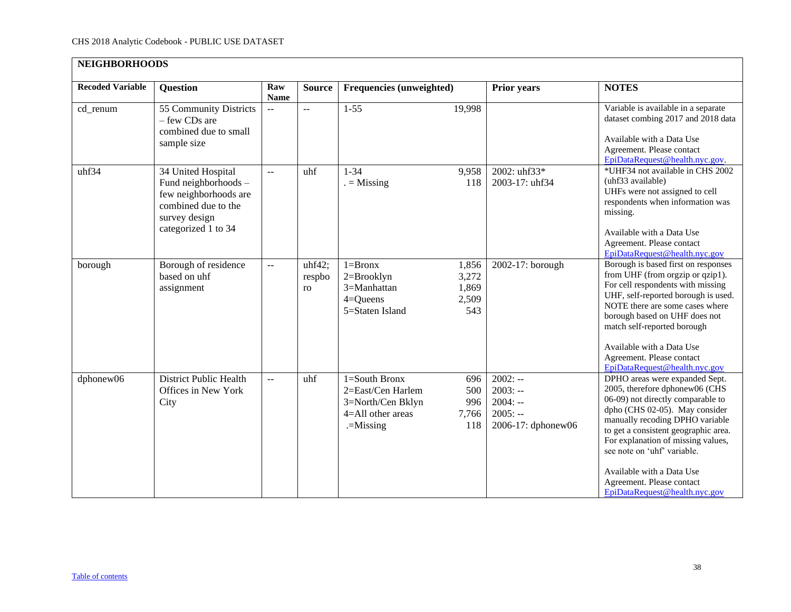<span id="page-37-0"></span>

| <b>NEIGHBORHOODS</b>    |                                                                                                                                    |                                               |                          |                                                                                                 |                                         |                                                                        |                                                                                                                                                                                                                                                                                                                                                                                    |
|-------------------------|------------------------------------------------------------------------------------------------------------------------------------|-----------------------------------------------|--------------------------|-------------------------------------------------------------------------------------------------|-----------------------------------------|------------------------------------------------------------------------|------------------------------------------------------------------------------------------------------------------------------------------------------------------------------------------------------------------------------------------------------------------------------------------------------------------------------------------------------------------------------------|
| <b>Recoded Variable</b> | Question                                                                                                                           | Raw<br><b>Name</b>                            | <b>Source</b>            | Frequencies (unweighted)                                                                        |                                         | <b>Prior years</b>                                                     | <b>NOTES</b>                                                                                                                                                                                                                                                                                                                                                                       |
| cd_renum                | 55 Community Districts<br>- few CDs are<br>combined due to small<br>sample size                                                    | $\mathord{\hspace{1pt}\text{--}\hspace{1pt}}$ | $\overline{\phantom{a}}$ | $1-55$                                                                                          | 19,998                                  |                                                                        | Variable is available in a separate<br>dataset combing 2017 and 2018 data<br>Available with a Data Use<br>Agreement. Please contact<br>EpiDataRequest@health.nyc.gov.                                                                                                                                                                                                              |
| uhf34                   | 34 United Hospital<br>Fund neighborhoods -<br>few neighborhoods are<br>combined due to the<br>survey design<br>categorized 1 to 34 | $\overline{a}$                                | uhf                      | $1 - 34$<br>$=$ Missing                                                                         | 9,958<br>118                            | 2002: uhf33*<br>2003-17: uhf34                                         | *UHF34 not available in CHS 2002<br>(uhf33 available)<br>UHFs were not assigned to cell<br>respondents when information was<br>missing.<br>Available with a Data Use<br>Agreement. Please contact<br>EpiDataRequest@health.nyc.gov                                                                                                                                                 |
| borough                 | Borough of residence<br>based on uhf<br>assignment                                                                                 | $\overline{a}$                                | uhf42;<br>respbo<br>ro   | $1 = Brownx$<br>$2 = Brooklyn$<br>3=Manhattan<br>$4 =$ Queens<br>5=Staten Island                | 1,856<br>3,272<br>1,869<br>2,509<br>543 | 2002-17: borough                                                       | Borough is based first on responses<br>from UHF (from orgzip or qzip1).<br>For cell respondents with missing<br>UHF, self-reported borough is used.<br>NOTE there are some cases where<br>borough based on UHF does not<br>match self-reported borough<br>Available with a Data Use<br>Agreement. Please contact<br>EpiDataRequest@health.nyc.gov                                  |
| dphonew06               | <b>District Public Health</b><br>Offices in New York<br>City                                                                       | $\mathbf{L}$                                  | uhf                      | $1 =$ South Bronx<br>2=East/Cen Harlem<br>3=North/Cen Bklyn<br>4=All other areas<br>$=$ Missing | 696<br>500<br>996<br>7,766<br>118       | $2002: -$<br>$2003: -$<br>$2004: -$<br>$2005: -$<br>2006-17: dphonew06 | DPHO areas were expanded Sept.<br>2005, therefore dphonew06 (CHS<br>06-09) not directly comparable to<br>dpho (CHS 02-05). May consider<br>manually recoding DPHO variable<br>to get a consistent geographic area.<br>For explanation of missing values,<br>see note on 'uhf' variable.<br>Available with a Data Use<br>Agreement. Please contact<br>EpiDataRequest@health.nyc.gov |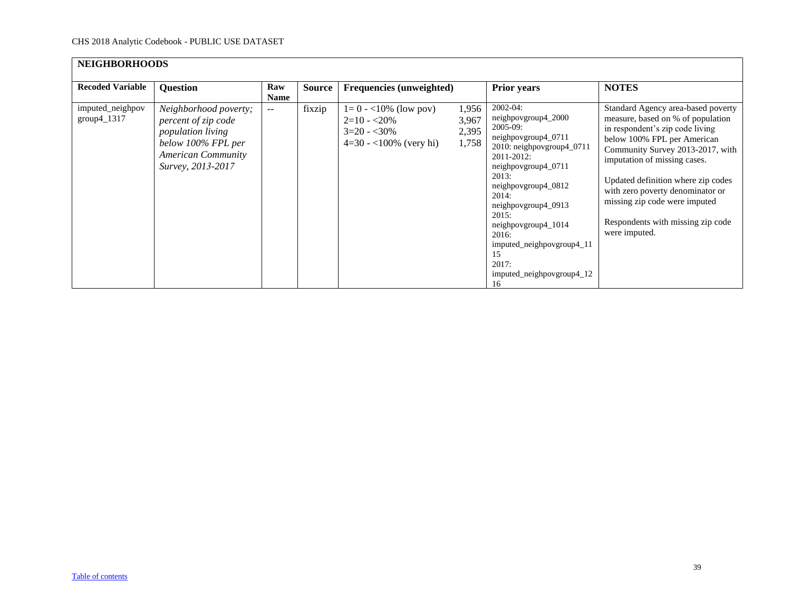| <b>NEIGHBORHOODS</b>              |                                                                                                                                           |                    |               |                                                                                      |                                  |                                                                                                                                                                                                                                                                                                                                      |                                                                                                                                                                                                                                                                                                                                                                                |
|-----------------------------------|-------------------------------------------------------------------------------------------------------------------------------------------|--------------------|---------------|--------------------------------------------------------------------------------------|----------------------------------|--------------------------------------------------------------------------------------------------------------------------------------------------------------------------------------------------------------------------------------------------------------------------------------------------------------------------------------|--------------------------------------------------------------------------------------------------------------------------------------------------------------------------------------------------------------------------------------------------------------------------------------------------------------------------------------------------------------------------------|
| <b>Recoded Variable</b>           | <b>Question</b>                                                                                                                           | Raw<br><b>Name</b> | <b>Source</b> | Frequencies (unweighted)                                                             |                                  | Prior years                                                                                                                                                                                                                                                                                                                          | <b>NOTES</b>                                                                                                                                                                                                                                                                                                                                                                   |
| imputed_neighpov<br>$group4_1317$ | Neighborhood poverty;<br>percent of zip code<br>population living<br>below 100% FPL per<br><b>American Community</b><br>Survey, 2013-2017 | $-1$               | fixzip        | $1=0 - 10\%$ (low pov)<br>$2=10 - 20\%$<br>$3=20 - 30\%$<br>$4=30 - 100\%$ (very hi) | 1,956<br>3,967<br>2,395<br>1,758 | $2002 - 04$ :<br>neighpovgroup4_2000<br>$2005-09$ :<br>neighpovgroup4_0711<br>2010: neighpovgroup4_0711<br>2011-2012:<br>neighpovgroup4_0711<br>2013:<br>neighpovgroup4_0812<br>2014:<br>neighpovgroup4_0913<br>2015:<br>neighpovgroup4_1014<br>2016:<br>imputed_neighpovgroup4_11<br>15<br>2017:<br>imputed_neighpovgroup4_12<br>16 | Standard Agency area-based poverty<br>measure, based on % of population<br>in respondent's zip code living<br>below 100% FPL per American<br>Community Survey 2013-2017, with<br>imputation of missing cases.<br>Updated definition where zip codes<br>with zero poverty denominator or<br>missing zip code were imputed<br>Respondents with missing zip code<br>were imputed. |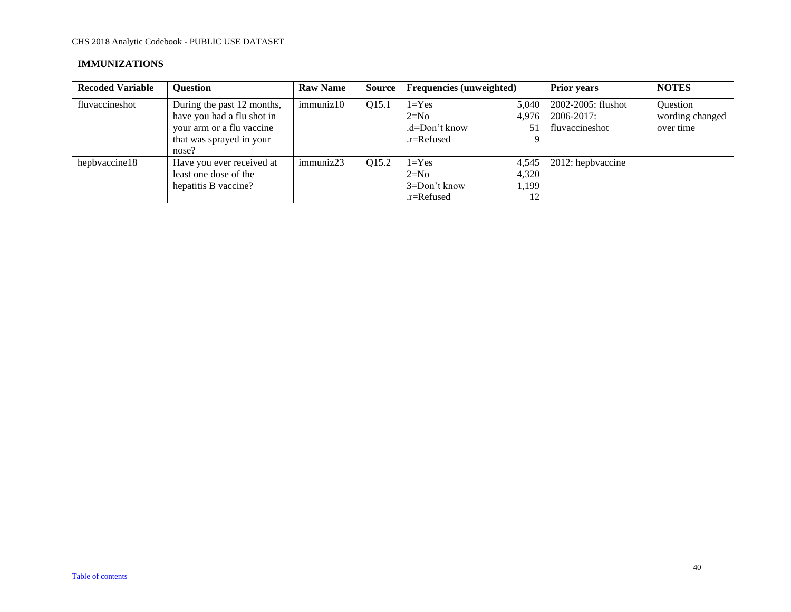<span id="page-39-0"></span>

| <b>IMMUNIZATIONS</b>    |                                                                                                                            |                 |        |                                                        |                               |                                                    |                                          |
|-------------------------|----------------------------------------------------------------------------------------------------------------------------|-----------------|--------|--------------------------------------------------------|-------------------------------|----------------------------------------------------|------------------------------------------|
| <b>Recoded Variable</b> | <b>Question</b>                                                                                                            | <b>Raw Name</b> | Source | Frequencies (unweighted)                               |                               | <b>Prior years</b>                                 | <b>NOTES</b>                             |
| fluvaccineshot          | During the past 12 months,<br>have you had a flu shot in<br>your arm or a flu vaccine<br>that was sprayed in your<br>nose? | immuniz10       | Q15.1  | $1 = Yes$<br>$2=N0$<br>.d=Don't know<br>$.r =$ Refused | 5,040<br>4.976<br>51<br>9     | 2002-2005: flushot<br>2006-2017:<br>fluvaccineshot | Question<br>wording changed<br>over time |
| hepbyaccine18           | Have you ever received at<br>least one dose of the<br>hepatitis B vaccine?                                                 | immuniz23       | Q15.2  | $1 = Yes$<br>$2=N0$<br>3=Don't know<br>$.r =$ Refused  | 4,545<br>4,320<br>1,199<br>12 | 2012: hepbyaccine                                  |                                          |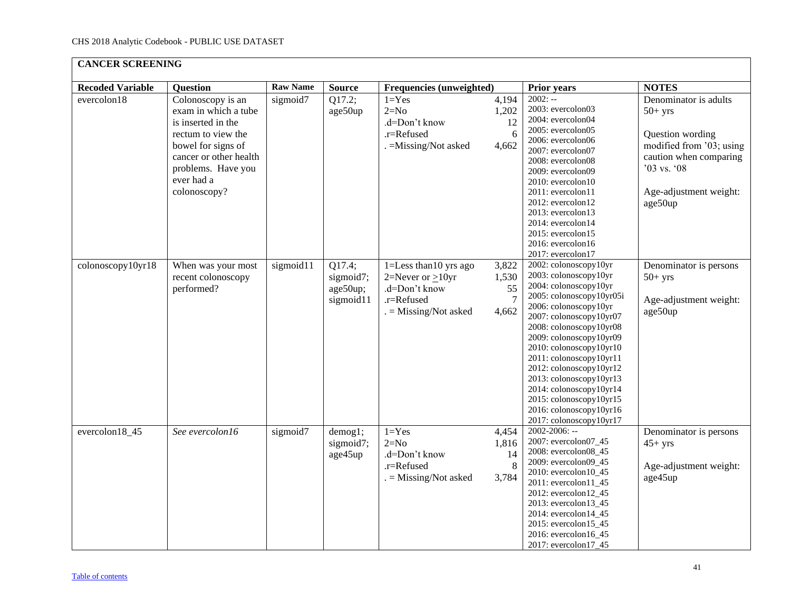<span id="page-40-0"></span>

| <b>CANCER SCREENING</b> |                                                                                                                                                                                           |                 |                                              |                                                                                                          |                                    |                                                                                                                                                                                                                                                                                                                                                                                                                                       |                                                                                                                                                                  |
|-------------------------|-------------------------------------------------------------------------------------------------------------------------------------------------------------------------------------------|-----------------|----------------------------------------------|----------------------------------------------------------------------------------------------------------|------------------------------------|---------------------------------------------------------------------------------------------------------------------------------------------------------------------------------------------------------------------------------------------------------------------------------------------------------------------------------------------------------------------------------------------------------------------------------------|------------------------------------------------------------------------------------------------------------------------------------------------------------------|
| <b>Recoded Variable</b> | <b>Question</b>                                                                                                                                                                           | <b>Raw Name</b> | <b>Source</b>                                | Frequencies (unweighted)                                                                                 |                                    | <b>Prior years</b>                                                                                                                                                                                                                                                                                                                                                                                                                    | <b>NOTES</b>                                                                                                                                                     |
| evercolon18             | Colonoscopy is an<br>exam in which a tube<br>is inserted in the<br>rectum to view the<br>bowel for signs of<br>cancer or other health<br>problems. Have you<br>ever had a<br>colonoscopy? | sigmoid7        | Q17.2;<br>age50up                            | $1 = Yes$<br>$2=N0$<br>.d=Don't know<br>.r=Refused<br>. = Missing/Not asked                              | 4,194<br>1,202<br>12<br>6<br>4,662 | $2002: -$<br>2003: evercolon03<br>2004: evercolon04<br>2005: evercolon05<br>2006: evercolon06<br>2007: evercolon07<br>2008: evercolon08<br>2009: evercolon09<br>2010: evercolon10<br>2011: evercolon11<br>2012: evercolon12<br>2013: evercolon13<br>2014: evercolon14<br>2015: evercolon15<br>2016: evercolon16<br>2017: evercolon17                                                                                                  | Denominator is adults<br>$50+$ yrs<br>Question wording<br>modified from '03; using<br>caution when comparing<br>'03 vs. '08<br>Age-adjustment weight:<br>age50up |
| colonoscopy10yr18       | When was your most<br>recent colonoscopy<br>performed?                                                                                                                                    | sigmoid11       | Q17.4;<br>sigmoid7;<br>age50up;<br>sigmoid11 | 1=Less than 10 yrs ago<br>$2=$ Never or $>10$ yr<br>.d=Don't know<br>.r=Refused<br>$=$ Missing/Not asked | 3,822<br>1,530<br>55<br>7<br>4,662 | 2002: colonoscopy10yr<br>2003: colonoscopy10yr<br>2004: colonoscopy10yr<br>2005: colonoscopy10yr05i<br>2006: colonoscopy10yr<br>2007: colonoscopy10yr07<br>2008: colonoscopy10yr08<br>2009: colonoscopy10yr09<br>2010: colonoscopy10yr10<br>2011: colonoscopy10yr11<br>2012: colonoscopy10yr12<br>2013: colonoscopy10yr13<br>2014: colonoscopy10yr14<br>2015: colonoscopy10yr15<br>2016: colonoscopy10yr16<br>2017: colonoscopy10yr17 | Denominator is persons<br>$50+$ yrs<br>Age-adjustment weight:<br>age50up                                                                                         |
| evercolon18_45          | See evercolon16                                                                                                                                                                           | sigmoid7        | demog1;<br>sigmoid7;<br>age45up              | $1 = Yes$<br>$2=N0$<br>.d=Don't know<br>.r=Refused<br>$. =$ Missing/Not asked                            | 4,454<br>1,816<br>14<br>8<br>3,784 | $2002 - 2006$ : --<br>2007: evercolon07_45<br>2008: evercolon08_45<br>2009: evercolon09_45<br>2010: evercolon10_45<br>$2011$ : evercolon $11$ <sub>-45</sub><br>2012: evercolon12_45<br>2013: evercolon13_45<br>2014: evercolon14_45<br>2015: evercolon15_45<br>2016: evercolon16_45<br>2017: evercolon17_45                                                                                                                          | Denominator is persons<br>$45+$ yrs<br>Age-adjustment weight:<br>age45up                                                                                         |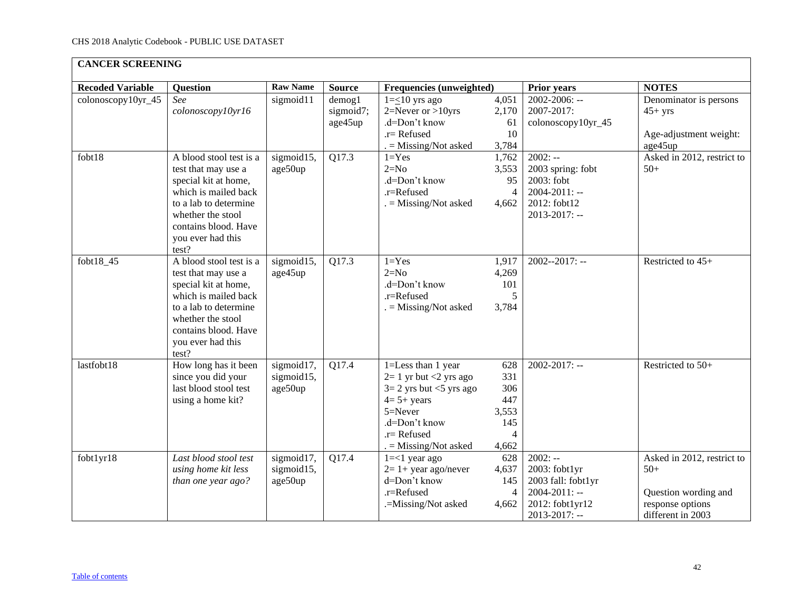| <b>CANCER SCREENING</b> |                                                                                                                                                                                                    |                                     |                                      |                                                                                                                                                                        |                                                                     |                                                                                                          |                                                                                                      |  |  |  |
|-------------------------|----------------------------------------------------------------------------------------------------------------------------------------------------------------------------------------------------|-------------------------------------|--------------------------------------|------------------------------------------------------------------------------------------------------------------------------------------------------------------------|---------------------------------------------------------------------|----------------------------------------------------------------------------------------------------------|------------------------------------------------------------------------------------------------------|--|--|--|
| <b>Recoded Variable</b> | <b>Question</b>                                                                                                                                                                                    | <b>Raw Name</b>                     | <b>Source</b>                        | Frequencies (unweighted)                                                                                                                                               |                                                                     | <b>Prior years</b>                                                                                       | <b>NOTES</b>                                                                                         |  |  |  |
| colonoscopy10yr_45      | See<br>colonoscopy10yr16                                                                                                                                                                           | sigmoid11                           | $d$ emog $1$<br>sigmoid7;<br>age45up | $1=\leq 10$ yrs ago<br>$2=$ Never or >10yrs<br>.d=Don't know<br>$.r =$ Refused<br>$=$ Missing/Not asked                                                                | 4,051<br>2,170<br>61<br>10<br>3,784                                 | 2002-2006: --<br>2007-2017:<br>colonoscopy10yr_45                                                        | Denominator is persons<br>$45+$ yrs<br>Age-adjustment weight:<br>age45up                             |  |  |  |
| fobt18                  | A blood stool test is a<br>test that may use a<br>special kit at home,<br>which is mailed back<br>to a lab to determine<br>whether the stool<br>contains blood. Have<br>you ever had this<br>test? | sigmoid15,<br>age50up               | Q17.3                                | $1 = Yes$<br>$2=N0$<br>.d=Don't know<br>.r=Refused<br>$=$ Missing/Not asked                                                                                            | 1,762<br>3,553<br>95<br>$\overline{4}$<br>4,662                     | $2002: -$<br>2003 spring: fobt<br>2003: fobt<br>$2004 - 2011$ : --<br>2012: fobt12<br>$2013 - 2017$ : -- | Asked in 2012, restrict to<br>$50+$                                                                  |  |  |  |
| fobt18_45               | A blood stool test is a<br>test that may use a<br>special kit at home,<br>which is mailed back<br>to a lab to determine<br>whether the stool<br>contains blood. Have<br>you ever had this<br>test? | sigmoid15,<br>age45up               | Q17.3                                | $1 = Yes$<br>$2=N0$<br>.d=Don't know<br>.r=Refused<br>$=$ Missing/Not asked                                                                                            | 1,917<br>4,269<br>101<br>5<br>3,784                                 | $2002 - 2017$ : --                                                                                       | Restricted to 45+                                                                                    |  |  |  |
| lastfobt18              | How long has it been<br>since you did your<br>last blood stool test<br>using a home kit?                                                                                                           | sigmoid17,<br>sigmoid15,<br>age50up | Q17.4                                | 1=Less than 1 year<br>$2=1$ yr but <2 yrs ago<br>$3=2$ yrs but $<5$ yrs ago<br>$4=5+$ years<br>$5 =$ Never<br>.d=Don't know<br>$.r =$ Refused<br>$=$ Missing/Not asked | 628<br>331<br>306<br>447<br>3,553<br>145<br>$\overline{4}$<br>4,662 | $2002 - 2017$ : --                                                                                       | Restricted to 50+                                                                                    |  |  |  |
| fobt1yr18               | Last blood stool test<br>using home kit less<br>than one year ago?                                                                                                                                 | sigmoid17,<br>sigmoid15,<br>age50up | Q17.4                                | $1 = < 1$ year ago<br>$2=1+$ year ago/never<br>d=Don't know<br>.r=Refused<br>.=Missing/Not asked                                                                       | 628<br>4,637<br>145<br>$\overline{4}$<br>4,662                      | $2002: -$<br>2003: fobt1yr<br>2003 fall: fobt1yr<br>2004-2011: --<br>2012: fobt1yr12<br>2013-2017: --    | Asked in 2012, restrict to<br>$50+$<br>Question wording and<br>response options<br>different in 2003 |  |  |  |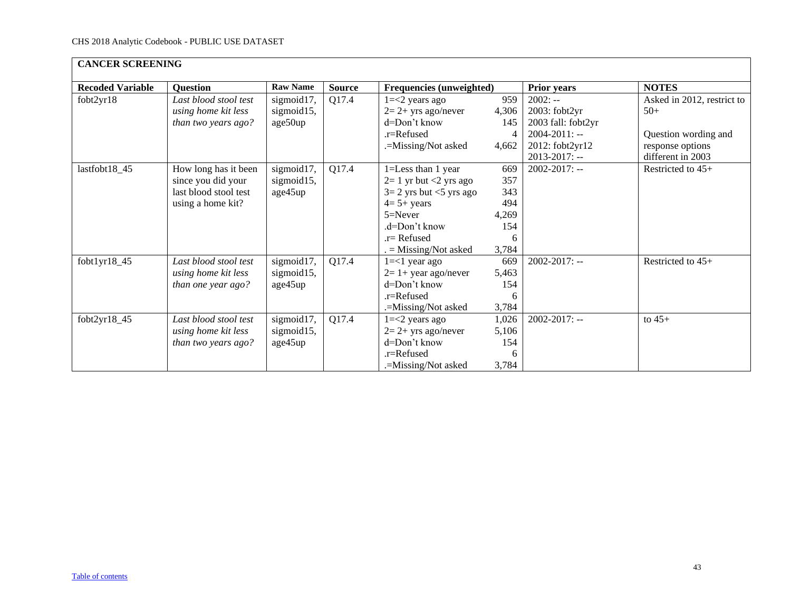| <b>CANCER SCREENING</b> |                       |                 |               |                            |                  |                    |                            |  |  |  |
|-------------------------|-----------------------|-----------------|---------------|----------------------------|------------------|--------------------|----------------------------|--|--|--|
| <b>Recoded Variable</b> | <b>Question</b>       | <b>Raw Name</b> | <b>Source</b> | Frequencies (unweighted)   |                  | <b>Prior years</b> | <b>NOTES</b>               |  |  |  |
| fobt2yr18               | Last blood stool test | sigmoid17,      | Q17.4         | $1 = 2$ years ago          | 959<br>$2002: -$ |                    | Asked in 2012, restrict to |  |  |  |
|                         | using home kit less   | sigmoid15,      |               | $2=2+$ yrs ago/never       | 4,306            | 2003: fobt2yr      | $50+$                      |  |  |  |
|                         | than two years ago?   | age50up         |               | d=Don't know               | 145              | 2003 fall: fobt2yr |                            |  |  |  |
|                         |                       |                 |               | $.r =$ Refused             | 4                | $2004 - 2011$ : -- | Question wording and       |  |  |  |
|                         |                       |                 |               | .=Missing/Not asked        | 4,662            | 2012: fobt2yr12    | response options           |  |  |  |
|                         |                       |                 |               |                            |                  | $2013 - 2017$ : -- | different in 2003          |  |  |  |
| lastfobt18_45           | How long has it been  | sigmoid17,      | Q17.4         | 1=Less than 1 year         | 669              | $2002 - 2017$ : -- | Restricted to 45+          |  |  |  |
|                         | since you did your    | sigmoid15,      |               | $2=1$ yr but <2 yrs ago    | 357              |                    |                            |  |  |  |
|                         | last blood stool test | age45up         |               | $3=2$ yrs but $<5$ yrs ago | 343              |                    |                            |  |  |  |
|                         | using a home kit?     |                 |               | $4=5+$ years               | 494              |                    |                            |  |  |  |
|                         |                       |                 |               | $5 =$ Never                | 4,269            |                    |                            |  |  |  |
|                         |                       |                 |               | $d = Dom't$ know           | 154              |                    |                            |  |  |  |
|                         |                       |                 |               | $r =$ Refused              | 6                |                    |                            |  |  |  |
|                         |                       |                 |               | $=$ Missing/Not asked      | 3,784            |                    |                            |  |  |  |
| fobt1yr18_45            | Last blood stool test | sigmoid17,      | Q17.4         | $1 = < 1$ year ago         | 669              | $2002 - 2017$ : -- | Restricted to $45+$        |  |  |  |
|                         | using home kit less   | sigmoid15,      |               | $2=1+$ year ago/never      | 5,463            |                    |                            |  |  |  |
|                         | than one year ago?    | age45up         |               | $d=Don't know$             | 154              |                    |                            |  |  |  |
|                         |                       |                 |               | $.r =$ Refused             | 6                |                    |                            |  |  |  |
|                         |                       |                 |               | .=Missing/Not asked        | 3,784            |                    |                            |  |  |  |
| fobt2yr18_45            | Last blood stool test | sigmoid17,      | Q17.4         | $1 = 2$ years ago          | 1,026            | $2002 - 2017$ : -- | to $45+$                   |  |  |  |
|                         | using home kit less   | sigmoid15,      |               | $2=2+$ yrs ago/never       | 5,106            |                    |                            |  |  |  |
|                         | than two years ago?   | age45up         |               | d=Don't know               | 154              |                    |                            |  |  |  |
|                         |                       |                 |               | $.r =$ Refused             | 6                |                    |                            |  |  |  |
|                         |                       |                 |               | .=Missing/Not asked        | 3,784            |                    |                            |  |  |  |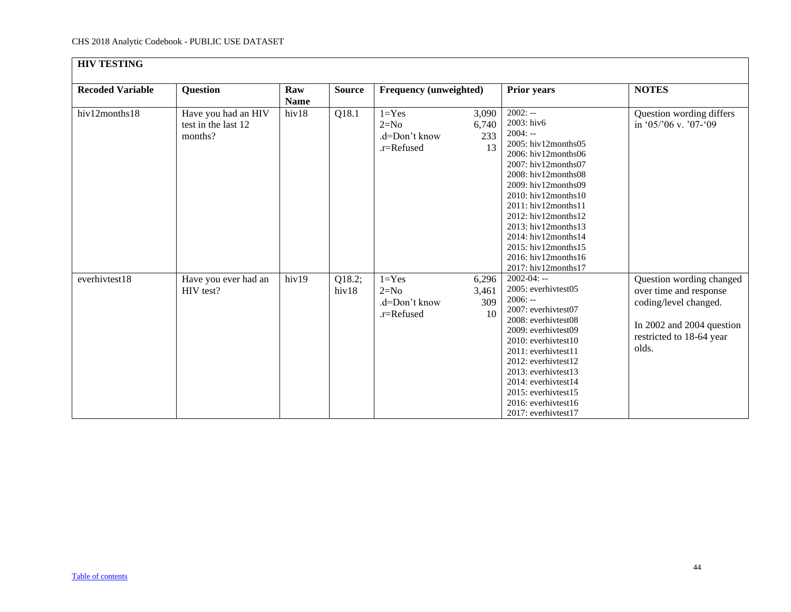<span id="page-43-0"></span>

| <b>HIV TESTING</b>      |                                                       |                    |                 |                                                    |                             |                                                                                                                                                                                                                                                                                                                                                                                                 |                                                                                                                                               |
|-------------------------|-------------------------------------------------------|--------------------|-----------------|----------------------------------------------------|-----------------------------|-------------------------------------------------------------------------------------------------------------------------------------------------------------------------------------------------------------------------------------------------------------------------------------------------------------------------------------------------------------------------------------------------|-----------------------------------------------------------------------------------------------------------------------------------------------|
| <b>Recoded Variable</b> | Question                                              | Raw<br><b>Name</b> | <b>Source</b>   | Frequency (unweighted)                             |                             | <b>Prior years</b>                                                                                                                                                                                                                                                                                                                                                                              | <b>NOTES</b>                                                                                                                                  |
| hiv12months18           | Have you had an HIV<br>test in the last 12<br>months? | hiv18              | Q18.1           | $1 = Yes$<br>$2=N0$<br>.d=Don't know<br>.r=Refused | 3,090<br>6,740<br>233<br>13 | $2002: -$<br>2003: hiv6<br>$2004: -$<br>$2005$ : hiv $12$ months $05$<br>2006: hiv12months06<br>2007: hiv12months07<br>2008: hiv12months08<br>2009: hiv12months09<br>$2010:$ hiv $12$ months $10$<br>$2011:$ hiv $12$ months $11$<br>$2012$ : hiv $12$ months $12$<br>2013: hiv12months13<br>$2014$ : hiv $12$ months $14$<br>2015: hiv12months15<br>2016: hiv12months16<br>2017: hiv12months17 | Question wording differs<br>in '05/'06 v. '07-'09                                                                                             |
| everhivtest18           | Have you ever had an<br>HIV test?                     | hiv19              | Q18.2;<br>hiv18 | $1 = Yes$<br>$2=N0$<br>.d=Don't know<br>.r=Refused | 6,296<br>3,461<br>309<br>10 | $2002 - 04: -$<br>2005: everhivtest05<br>$2006: -$<br>2007: everhivtest07<br>2008: everhivtest08<br>2009: everhivtest09<br>2010: everhivtest10<br>$2011$ : everhivtest $11$<br>2012: everhivtest12<br>2013: everhivtest13<br>2014: everhivtest14<br>2015: everhivtest15<br>2016: everhivtest16<br>2017: everhivtest17                                                                           | Question wording changed<br>over time and response<br>coding/level changed.<br>In 2002 and 2004 question<br>restricted to 18-64 year<br>olds. |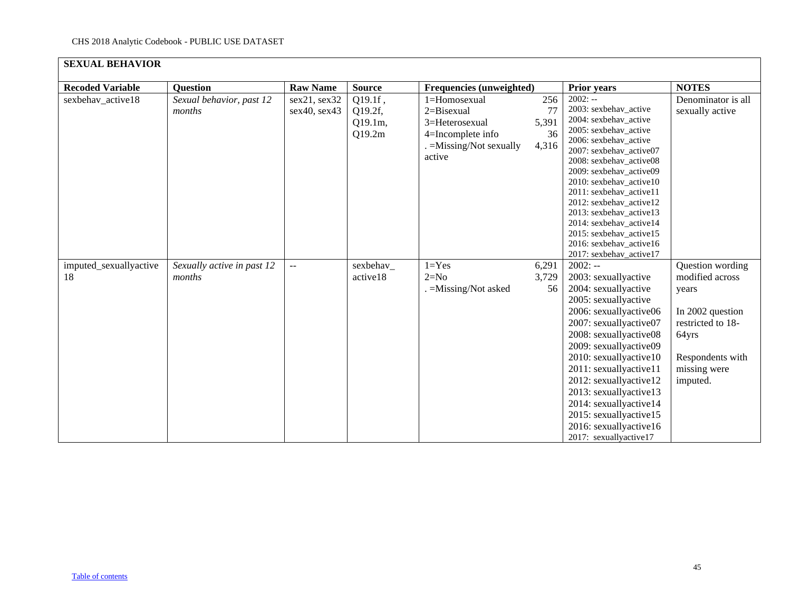<span id="page-44-0"></span>

| <b>SEXUAL BEHAVIOR</b>       |                                      |                              |                                         |                                                                                                         |                                   |                                                                                                                                                                                                                                                                                                                                                                                                                        |                                                                                                                                                |
|------------------------------|--------------------------------------|------------------------------|-----------------------------------------|---------------------------------------------------------------------------------------------------------|-----------------------------------|------------------------------------------------------------------------------------------------------------------------------------------------------------------------------------------------------------------------------------------------------------------------------------------------------------------------------------------------------------------------------------------------------------------------|------------------------------------------------------------------------------------------------------------------------------------------------|
| <b>Recoded Variable</b>      | <b>Question</b>                      | <b>Raw Name</b>              | <b>Source</b>                           | Frequencies (unweighted)                                                                                |                                   | <b>Prior years</b>                                                                                                                                                                                                                                                                                                                                                                                                     | <b>NOTES</b>                                                                                                                                   |
| sexbehav_active18            | Sexual behavior, past 12<br>months   | sex21, sex32<br>sex40, sex43 | Q19.1f,<br>Q19.2f,<br>Q19.1m,<br>Q19.2m | 1=Homosexual<br>2=Bisexual<br>3=Heterosexual<br>4=Incomplete info<br>. = Missing/Not sexually<br>active | 256<br>77<br>5,391<br>36<br>4,316 | $2002: -$<br>2003: sexbehav active<br>2004: sexbehav_active<br>2005: sexbehav active<br>2006: sexbehav_active<br>2007: sexbehav_active07<br>2008: sexbehav_active08<br>2009: sexbehav_active09<br>2010: sexbehav active10<br>2011: sexbehav_active11<br>2012: sexbehav_active12<br>2013: sexbehav_active13<br>2014: sexbehav_active14<br>2015: sexbehav active15<br>2016: sexbehav_active16<br>2017: sexbehav_active17 | Denominator is all<br>sexually active                                                                                                          |
| imputed_sexuallyactive<br>18 | Sexually active in past 12<br>months | $\overline{a}$               | sexbehav_<br>active18                   | $1 = Yes$<br>$2=N0$<br>. = Missing/Not asked                                                            | 6,291<br>3,729<br>56              | $2002: -$<br>2003: sexuallyactive<br>2004: sexuallyactive<br>2005: sexuallyactive<br>2006: sexuallyactive06<br>2007: sexuallyactive07<br>2008: sexuallyactive08<br>2009: sexuallyactive09<br>2010: sexuallyactive10<br>2011: sexuallyactive11<br>2012: sexuallyactive12<br>2013: sexuallyactive13<br>2014: sexuallyactive14<br>2015: sexuallyactive15<br>2016: sexuallyactive16<br>2017: sexuallyactive17              | Question wording<br>modified across<br>years<br>In 2002 question<br>restricted to 18-<br>64yrs<br>Respondents with<br>missing were<br>imputed. |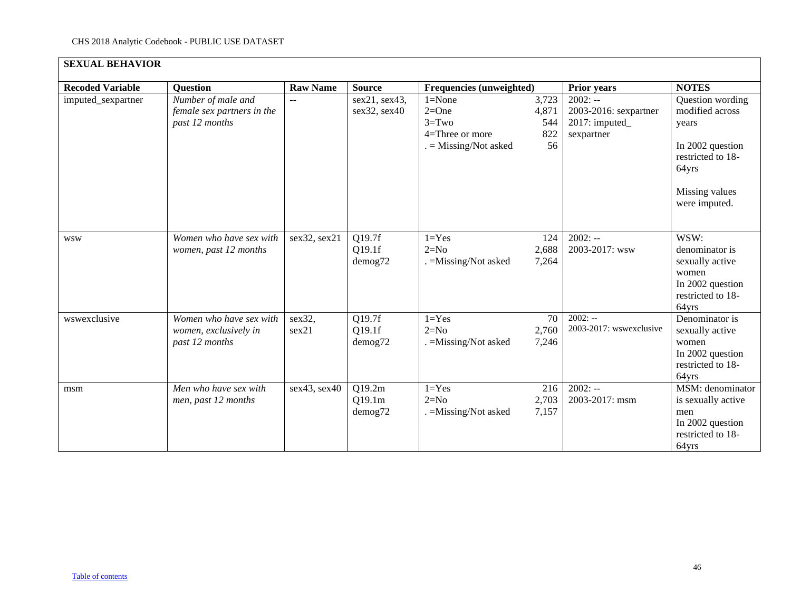| <b>SEXUAL BEHAVIOR</b>  |                                                                    |                 |                               |                                                                                |                                    |                                                                    |                                                                                                                                   |
|-------------------------|--------------------------------------------------------------------|-----------------|-------------------------------|--------------------------------------------------------------------------------|------------------------------------|--------------------------------------------------------------------|-----------------------------------------------------------------------------------------------------------------------------------|
| <b>Recoded Variable</b> | <b>Question</b>                                                    | <b>Raw Name</b> | <b>Source</b>                 | Frequencies (unweighted)                                                       |                                    | <b>Prior years</b>                                                 | <b>NOTES</b>                                                                                                                      |
| imputed_sexpartner      | Number of male and<br>female sex partners in the<br>past 12 months | $-$             | sex21, sex43,<br>sex32, sex40 | $1 = None$<br>$2=One$<br>$3 = Two$<br>4=Three or more<br>$=$ Missing/Not asked | 3,723<br>4,871<br>544<br>822<br>56 | $2002: -$<br>2003-2016: sexpartner<br>2017: imputed_<br>sexpartner | Question wording<br>modified across<br>years<br>In 2002 question<br>restricted to 18-<br>64yrs<br>Missing values<br>were imputed. |
| <b>WSW</b>              | Women who have sex with<br>women, past 12 months                   | sex32, sex21    | Q19.7f<br>Q19.1f<br>demog72   | $1 = Yes$<br>$2=N0$<br>. = Missing/Not asked                                   | 124<br>2,688<br>7,264              | $2002: -$<br>2003-2017: wsw                                        | WSW:<br>denominator is<br>sexually active<br>women<br>In 2002 question<br>restricted to 18-<br>64yrs                              |
| wswexclusive            | Women who have sex with<br>women, exclusively in<br>past 12 months | sex32,<br>sex21 | Q19.7f<br>Q19.1f<br>demog72   | $1 = Yes$<br>$2=N0$<br>. = Missing/Not asked                                   | 70<br>2,760<br>7,246               | $2002: -$<br>2003-2017: wswexclusive                               | Denominator is<br>sexually active<br>women<br>In 2002 question<br>restricted to 18-<br>64yrs                                      |
| msm                     | Men who have sex with<br>men, past 12 months                       | sex43, sex40    | Q19.2m<br>Q19.1m<br>demog72   | $1 = Yes$<br>$2=N0$<br>. = Missing/Not asked                                   | 216<br>2,703<br>7,157              | $2002: -$<br>2003-2017: msm                                        | MSM: denominator<br>is sexually active<br>men<br>In 2002 question<br>restricted to 18-<br>64yrs                                   |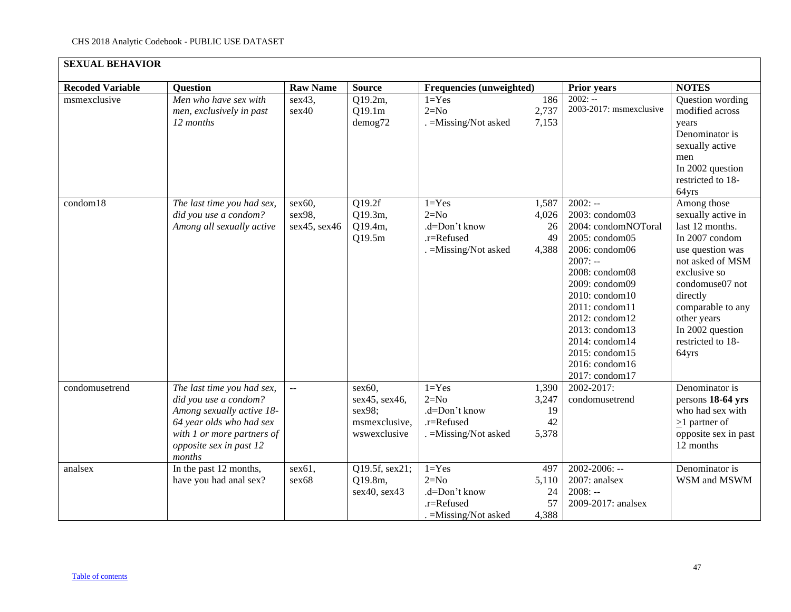| <b>SEXUAL BEHAVIOR</b>  |                                                                                                                                                                                 |                                     |                                                                    |                                                                             |                                     |                                                                                                                                                                                                                                                                                         |                                                                                                                                                                                                                                                     |
|-------------------------|---------------------------------------------------------------------------------------------------------------------------------------------------------------------------------|-------------------------------------|--------------------------------------------------------------------|-----------------------------------------------------------------------------|-------------------------------------|-----------------------------------------------------------------------------------------------------------------------------------------------------------------------------------------------------------------------------------------------------------------------------------------|-----------------------------------------------------------------------------------------------------------------------------------------------------------------------------------------------------------------------------------------------------|
| <b>Recoded Variable</b> | <b>Question</b>                                                                                                                                                                 | <b>Raw Name</b>                     | <b>Source</b>                                                      | Frequencies (unweighted)                                                    |                                     | <b>Prior years</b>                                                                                                                                                                                                                                                                      | <b>NOTES</b>                                                                                                                                                                                                                                        |
| msmexclusive            | Men who have sex with<br>men, exclusively in past<br>12 months                                                                                                                  | sex43,<br>sex40                     | Q19.2m,<br>Q19.1m<br>demog72                                       | $1 = Yes$<br>$2=N0$<br>. = Missing/Not asked                                | 186<br>2,737<br>7,153               | $2002: -$<br>2003-2017: msmexclusive                                                                                                                                                                                                                                                    | Question wording<br>modified across<br>vears<br>Denominator is<br>sexually active<br>men<br>In 2002 question<br>restricted to 18-<br>64yrs                                                                                                          |
| condom18                | The last time you had sex,<br>did you use a condom?<br>Among all sexually active                                                                                                | $sex60$ ,<br>sex98,<br>sex45, sex46 | Q19.2f<br>Q19.3m,<br>Q19.4m,<br>Q19.5m                             | $1 = Yes$<br>$2=N0$<br>.d=Don't know<br>.r=Refused<br>. = Missing/Not asked | 1,587<br>4,026<br>26<br>49<br>4,388 | $2002: -$<br>2003: condom03<br>2004: condomNOToral<br>2005: condom05<br>2006: condom06<br>$2007: -$<br>2008: condom08<br>2009: condom09<br>2010: condom10<br>2011: condom11<br>2012: condom12<br>2013: condom13<br>2014: condom14<br>2015: condom15<br>2016: condom16<br>2017: condom17 | Among those<br>sexually active in<br>last 12 months.<br>In 2007 condom<br>use question was<br>not asked of MSM<br>exclusive so<br>condomuse07 not<br>directly<br>comparable to any<br>other years<br>In 2002 question<br>restricted to 18-<br>64yrs |
| condomusetrend          | The last time you had sex,<br>did you use a condom?<br>Among sexually active 18-<br>64 year olds who had sex<br>with 1 or more partners of<br>opposite sex in past 12<br>months | $\mathbb{L}^2$                      | sex60.<br>sex45, sex46,<br>sex98;<br>msmexclusive,<br>wswexclusive | $1 = Yes$<br>$2=N0$<br>.d=Don't know<br>.r=Refused<br>. = Missing/Not asked | 1,390<br>3,247<br>19<br>42<br>5,378 | 2002-2017:<br>condomusetrend                                                                                                                                                                                                                                                            | Denominator is<br>persons 18-64 yrs<br>who had sex with<br>$\geq$ 1 partner of<br>opposite sex in past<br>12 months                                                                                                                                 |
| analsex                 | In the past 12 months,<br>have you had anal sex?                                                                                                                                | sex61,<br>sex68                     | Q19.5f, sex21;<br>Q19.8m,<br>sex40, sex43                          | $1 = Yes$<br>$2=N0$<br>.d=Don't know<br>.r=Refused<br>$=$ Missing/Not asked | 497<br>5,110<br>24<br>57<br>4,388   | $2002 - 2006: -$<br>2007: analsex<br>$2008: -$<br>2009-2017: analsex                                                                                                                                                                                                                    | Denominator is<br>WSM and MSWM                                                                                                                                                                                                                      |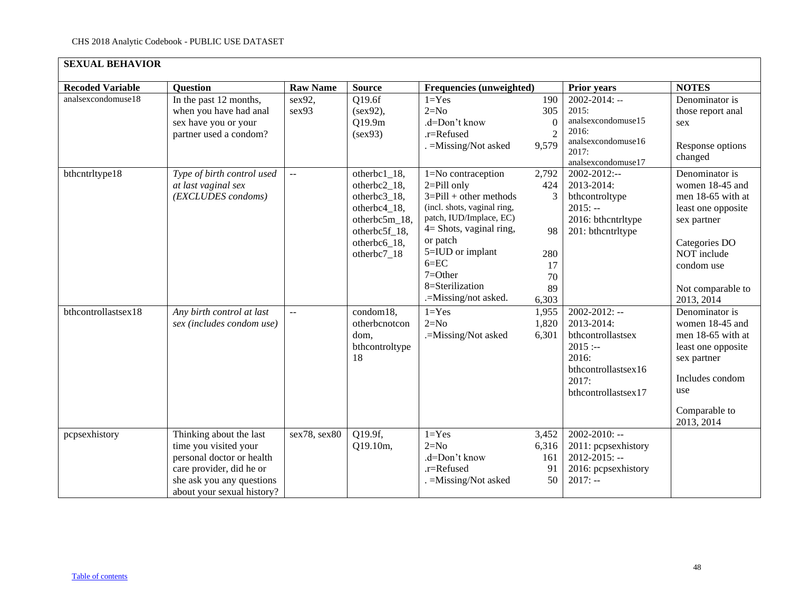| <b>SEXUAL BEHAVIOR</b>  |                                                                                                                                                                      |                 |                                                                                                                               |                                                                                                                                                                                                                                                                 |                                                           |                                                                                                                                     |                                                                                                                                                                              |
|-------------------------|----------------------------------------------------------------------------------------------------------------------------------------------------------------------|-----------------|-------------------------------------------------------------------------------------------------------------------------------|-----------------------------------------------------------------------------------------------------------------------------------------------------------------------------------------------------------------------------------------------------------------|-----------------------------------------------------------|-------------------------------------------------------------------------------------------------------------------------------------|------------------------------------------------------------------------------------------------------------------------------------------------------------------------------|
| <b>Recoded Variable</b> | <b>Question</b>                                                                                                                                                      | <b>Raw Name</b> | <b>Source</b>                                                                                                                 | Frequencies (unweighted)                                                                                                                                                                                                                                        |                                                           | Prior years                                                                                                                         | <b>NOTES</b>                                                                                                                                                                 |
| analsexcondomuse18      | In the past 12 months,<br>when you have had anal<br>sex have you or your<br>partner used a condom?                                                                   | sex92,<br>sex93 | Q19.6f<br>(sex92),<br>Q19.9m<br>(sex93)                                                                                       | $1 = Yes$<br>$2=N0$<br>.d=Don't know<br>.r=Refused<br>. = Missing/Not asked                                                                                                                                                                                     | 190<br>305<br>$\Omega$<br>2<br>9,579                      | $2002 - 2014$ : --<br>2015:<br>analsexcondomuse15<br>2016:<br>analsexcondomuse16<br>2017:<br>analsexcondomuse17                     | Denominator is<br>those report anal<br>sex<br>Response options<br>changed                                                                                                    |
| bthcntrltype18          | Type of birth control used<br>at last vaginal sex<br>(EXCLUDES condoms)                                                                                              | $\overline{a}$  | otherbc1_18,<br>otherbc2_18,<br>otherbc3_18,<br>otherbc4_18,<br>otherbc5m_18,<br>otherbc5f_18,<br>otherbc6_18,<br>otherbc7_18 | 1=No contraception<br>$2 =$ Pill only<br>$3 =$ Pill + other methods<br>(incl. shots, vaginal ring,<br>patch, IUD/Implace, EC)<br>$4 =$ Shots, vaginal ring,<br>or patch<br>5=IUD or implant<br>$6 = EC$<br>$7=Other$<br>8=Sterilization<br>.=Missing/not asked. | 2,792<br>424<br>3<br>98<br>280<br>17<br>70<br>89<br>6,303 | 2002-2012:--<br>2013-2014:<br>bthcontroltype<br>$2015: -$<br>2016: bthcntrltype<br>201: bthcntrltype                                | Denominator is<br>women 18-45 and<br>men 18-65 with at<br>least one opposite<br>sex partner<br>Categories DO<br>NOT include<br>condom use<br>Not comparable to<br>2013, 2014 |
| bthcontrollastsex18     | Any birth control at last<br>sex (includes condom use)                                                                                                               | $\sim$ $\sim$   | condom18,<br>otherbcnotcon<br>dom,<br>bthcontroltype<br>18                                                                    | $1 = Yes$<br>$2=N0$<br>.=Missing/Not asked                                                                                                                                                                                                                      | 1,955<br>1,820<br>6,301                                   | $2002 - 2012$ : --<br>2013-2014:<br>bthcontrollastsex<br>$2015$ :--<br>2016:<br>bthcontrollastsex16<br>2017:<br>bthcontrollastsex17 | Denominator is<br>women 18-45 and<br>men 18-65 with at<br>least one opposite<br>sex partner<br>Includes condom<br>use<br>Comparable to<br>2013, 2014                         |
| pcpsexhistory           | Thinking about the last<br>time you visited your<br>personal doctor or health<br>care provider, did he or<br>she ask you any questions<br>about your sexual history? | sex78, sex80    | Q19.9f,<br>Q19.10m,                                                                                                           | $1 = Yes$<br>$2=N0$<br>.d=Don't know<br>.r=Refused<br>. = Missing/Not asked                                                                                                                                                                                     | 3,452<br>6,316<br>161<br>91<br>50                         | $2002 - 2010$ : --<br>2011: pcpsexhistory<br>$2012 - 2015$ : --<br>2016: pcpsexhistory<br>$2017: -$                                 |                                                                                                                                                                              |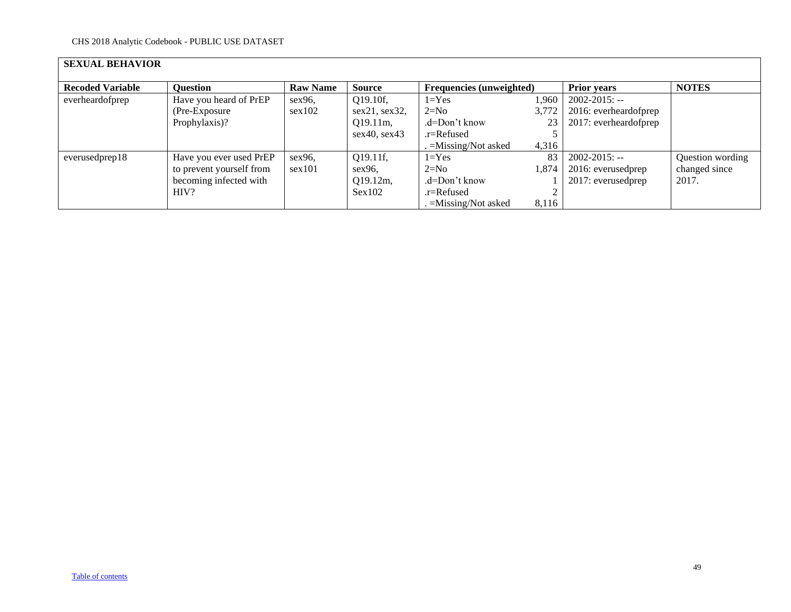| <b>SEXUAL BEHAVIOR</b>  |                          |                 |               |                                 |       |                       |                  |
|-------------------------|--------------------------|-----------------|---------------|---------------------------------|-------|-----------------------|------------------|
| <b>Recoded Variable</b> | <b>Question</b>          | <b>Raw Name</b> | <b>Source</b> | <b>Frequencies</b> (unweighted) |       | <b>Prior years</b>    | <b>NOTES</b>     |
| everheardofprep         | Have you heard of PrEP   | sex96,          | $Q19.10f$ ,   | $1 = Yes$                       | 1,960 | $2002 - 2015$ : --    |                  |
|                         | (Pre-Exposure)           | sex102          | sex21, sex32, | $2=N0$                          | 3,772 | 2016: everheardofprep |                  |
|                         | Prophylaxis)?            |                 | $Q19.11m$ ,   | .d=Don't know                   | 23    | 2017: everheardofprep |                  |
|                         |                          |                 | sex40, sex43  | .r=Refused                      |       |                       |                  |
|                         |                          |                 |               | . =Missing/Not asked            | 4,316 |                       |                  |
| everusedprep18          | Have you ever used PrEP  | $sex96$ ,       | $Q19.11f$ ,   | $1 = Yes$                       | 83    | $2002 - 2015$ : --    | Question wording |
|                         | to prevent yourself from | sex101          | $sex96$ ,     | $2=N0$                          | 1,874 | 2016: everusedprep    | changed since    |
|                         | becoming infected with   |                 | $Q19.12m$ ,   | .d=Don't know                   |       | 2017: everusedprep    | 2017.            |
|                         | HIV?                     |                 | Sex102        | .r=Refused                      |       |                       |                  |
|                         |                          |                 |               | . =Missing/Not asked            | 8,116 |                       |                  |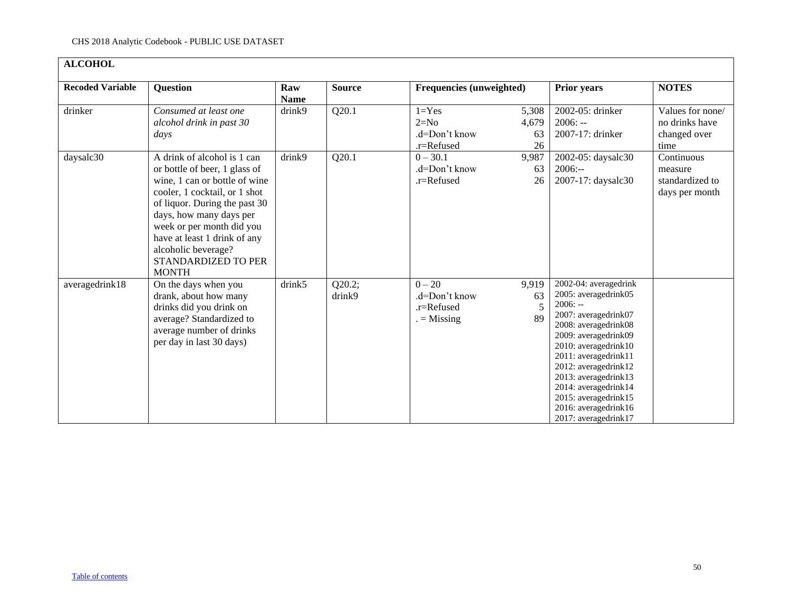<span id="page-49-0"></span>

| <b>ALCOHOL</b>          |                                                                                                                                                                                                                                                                                                                       |                    |                  |                                                            |                            |                                                                                                                                                                                                                                                                                                                                    |                                                            |
|-------------------------|-----------------------------------------------------------------------------------------------------------------------------------------------------------------------------------------------------------------------------------------------------------------------------------------------------------------------|--------------------|------------------|------------------------------------------------------------|----------------------------|------------------------------------------------------------------------------------------------------------------------------------------------------------------------------------------------------------------------------------------------------------------------------------------------------------------------------------|------------------------------------------------------------|
| <b>Recoded Variable</b> | <b>Question</b>                                                                                                                                                                                                                                                                                                       | Raw<br><b>Name</b> | <b>Source</b>    | <b>Frequencies (unweighted)</b>                            |                            | <b>Prior years</b>                                                                                                                                                                                                                                                                                                                 | <b>NOTES</b>                                               |
| drinker                 | Consumed at least one<br>alcohol drink in past 30<br>days                                                                                                                                                                                                                                                             | drink9             | Q20.1            | $1 = Yes$<br>$2=N0$<br>.d=Don't know<br>.r=Refused         | 5,308<br>4,679<br>63<br>26 | 2002-05: drinker<br>$2006: -$<br>2007-17: drinker                                                                                                                                                                                                                                                                                  | Values for none/<br>no drinks have<br>changed over<br>time |
| daysalc30               | A drink of alcohol is 1 can<br>or bottle of beer, 1 glass of<br>wine, 1 can or bottle of wine<br>cooler, 1 cocktail, or 1 shot<br>of liquor. During the past 30<br>days, how many days per<br>week or per month did you<br>have at least 1 drink of any<br>alcoholic beverage?<br>STANDARDIZED TO PER<br><b>MONTH</b> | drink9             | Q20.1            | $0 - 30.1$<br>.d=Don't know<br>.r=Refused                  | 9,987<br>63<br>26          | 2002-05: daysalc30<br>$2006: -$<br>2007-17: daysalc30                                                                                                                                                                                                                                                                              | Continuous<br>measure<br>standardized to<br>days per month |
| averagedrink18          | On the days when you<br>drank, about how many<br>drinks did you drink on<br>average? Standardized to<br>average number of drinks<br>per day in last 30 days)                                                                                                                                                          | drink5             | Q20.2;<br>drink9 | $0 - 20$<br>.d=Don't know<br>$.r =$ Refused<br>$=$ Missing | 9,919<br>63<br>5<br>89     | 2002-04: averagedrink<br>2005: averagedrink05<br>$2006: -$<br>2007: averagedrink07<br>2008: averagedrink08<br>2009: averagedrink09<br>2010: averagedrink10<br>2011: averagedrink11<br>2012: averagedrink12<br>2013: averagedrink13<br>2014: averagedrink14<br>2015: averagedrink15<br>2016: averagedrink16<br>2017: averagedrink17 |                                                            |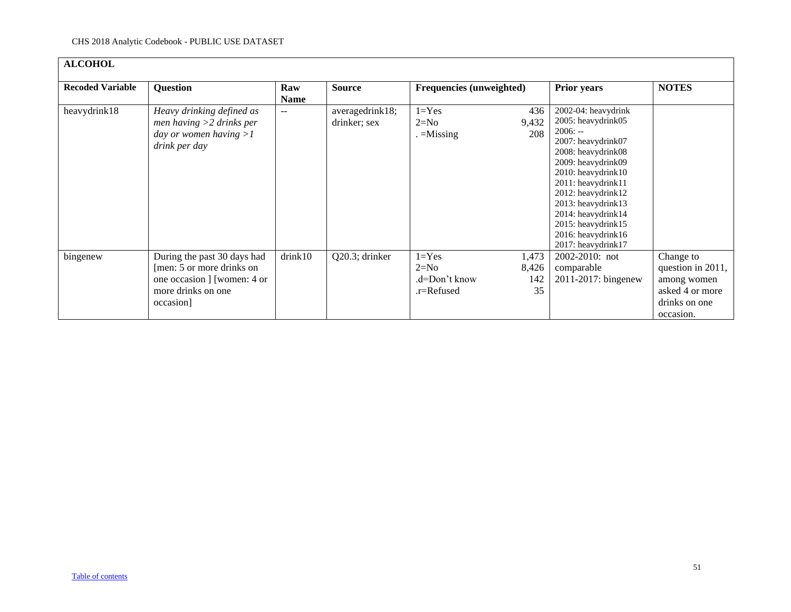| <b>ALCOHOL</b>          |                                                                                                                            |                          |                                 |                                                    |                             |                                                                                                                                                                                                                                                                                                          |                                                                                                |
|-------------------------|----------------------------------------------------------------------------------------------------------------------------|--------------------------|---------------------------------|----------------------------------------------------|-----------------------------|----------------------------------------------------------------------------------------------------------------------------------------------------------------------------------------------------------------------------------------------------------------------------------------------------------|------------------------------------------------------------------------------------------------|
| <b>Recoded Variable</b> | <b>Question</b>                                                                                                            | Raw<br><b>Name</b>       | <b>Source</b>                   | Frequencies (unweighted)                           |                             | <b>Prior years</b>                                                                                                                                                                                                                                                                                       | <b>NOTES</b>                                                                                   |
| heavydrink18            | Heavy drinking defined as<br>men having $>2$ drinks per<br>day or women having $>1$<br>drink per day                       | $\overline{\phantom{a}}$ | averagedrink18;<br>drinker; sex | $1 = Yes$<br>$2=N0$<br>$=$ Missing                 | 436<br>9,432<br>208         | 2002-04: heavydrink<br>2005: heavydrink05<br>$2006: -$<br>2007: heavydrink07<br>2008: heavydrink08<br>2009: heavydrink09<br>2010: heavydrink10<br>2011: heavydrink11<br>2012: heavydrink12<br>2013: heavydrink13<br>2014: heavydrink14<br>2015: heavydrink15<br>2016: heavydrink16<br>2017: heavydrink17 |                                                                                                |
| bingenew                | During the past 30 days had<br>[men: 5 or more drinks on<br>one occasion ] [women: 4 or<br>more drinks on one<br>occasion] | drink10                  | Q20.3; drinker                  | $1 = Yes$<br>$2=N0$<br>.d=Don't know<br>.r=Refused | 1,473<br>8,426<br>142<br>35 | $2002 - 2010$ ; not<br>comparable<br>2011-2017: bingenew                                                                                                                                                                                                                                                 | Change to<br>question in 2011,<br>among women<br>asked 4 or more<br>drinks on one<br>occasion. |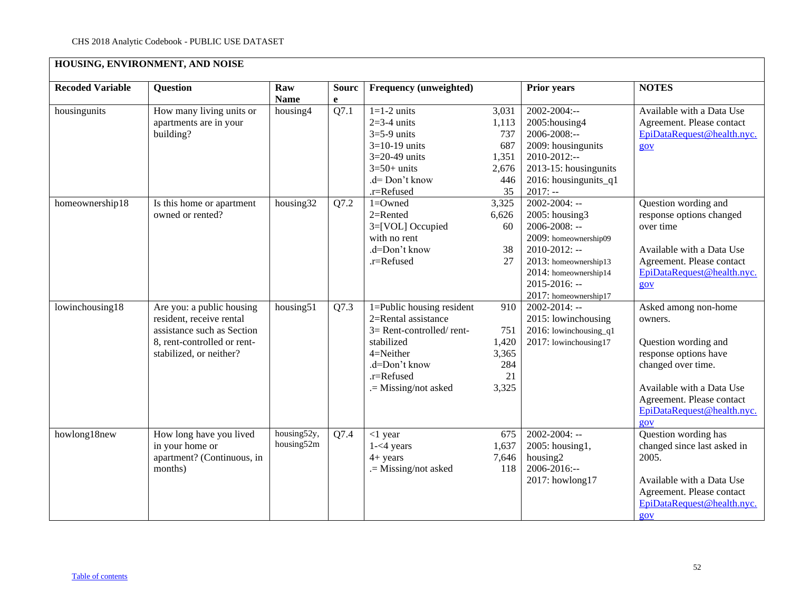# **HOUSING, ENVIRONMENT, AND NOISE**

<span id="page-51-0"></span>

| <b>Recoded Variable</b> | <b>Question</b>                                                                                                                               | Raw<br><b>Name</b>        | <b>Sourc</b><br>e | <b>Frequency (unweighted)</b>                                                                                                                                    |                                                             | <b>Prior years</b>                                                                                                                                                                                            | <b>NOTES</b>                                                                                                                                                                                          |
|-------------------------|-----------------------------------------------------------------------------------------------------------------------------------------------|---------------------------|-------------------|------------------------------------------------------------------------------------------------------------------------------------------------------------------|-------------------------------------------------------------|---------------------------------------------------------------------------------------------------------------------------------------------------------------------------------------------------------------|-------------------------------------------------------------------------------------------------------------------------------------------------------------------------------------------------------|
| housingunits            | How many living units or<br>apartments are in your<br>building?                                                                               | housing4                  | Q7.1              | $1=1-2$ units<br>$2=3-4$ units<br>$3=5-9$ units<br>$3=10-19$ units<br>$3=20-49$ units<br>$3=50+$ units<br>.d= Don't know<br>.r=Refused                           | 3,031<br>1,113<br>737<br>687<br>1,351<br>2,676<br>446<br>35 | 2002-2004:--<br>2005: housing 4<br>2006-2008:--<br>2009: housingunits<br>$2010 - 2012$ :--<br>2013-15: housingunits<br>2016: housingunits_q1<br>$2017: -$                                                     | Available with a Data Use<br>Agreement. Please contact<br>EpiDataRequest@health.nyc.<br>$\underline{g}ov$                                                                                             |
| homeownership18         | Is this home or apartment<br>owned or rented?                                                                                                 | housing32                 | Q7.2              | 1=Owned<br>$2=$ Rented<br>3=[VOL] Occupied<br>with no rent<br>.d=Don't know<br>.r=Refused                                                                        | 3,325<br>6,626<br>60<br>38<br>27                            | $2002 - 2004$ : --<br>$2005$ : housing3<br>$2006 - 2008$ : --<br>2009: homeownership09<br>$2010 - 2012$ : --<br>2013: homeownership13<br>2014: homeownership14<br>$2015 - 2016$ : --<br>2017: homeownership17 | Question wording and<br>response options changed<br>over time<br>Available with a Data Use<br>Agreement. Please contact<br>EpiDataRequest@health.nyc.<br>80V                                          |
| lowinchousing18         | Are you: a public housing<br>resident, receive rental<br>assistance such as Section<br>8, rent-controlled or rent-<br>stabilized, or neither? | housing51                 | Q7.3              | 1=Public housing resident<br>2=Rental assistance<br>$3=$ Rent-controlled/rent-<br>stabilized<br>4=Neither<br>.d=Don't know<br>.r=Refused<br>.= Missing/not asked | 910<br>751<br>1,420<br>3,365<br>284<br>21<br>3,325          | $2002 - 2014$ : --<br>2015: lowinchousing<br>2016: lowinchousing $q1$<br>2017: lowinchousing17                                                                                                                | Asked among non-home<br>owners.<br>Question wording and<br>response options have<br>changed over time.<br>Available with a Data Use<br>Agreement. Please contact<br>EpiDataRequest@health.nyc.<br>90V |
| howlong18new            | How long have you lived<br>in your home or<br>apartment? (Continuous, in<br>months)                                                           | housing52y,<br>housing52m | Q7.4              | $<$ 1 year<br>$1 - 4$ years<br>$4 + years$<br>.= Missing/not asked                                                                                               | 675<br>1,637<br>7,646<br>118                                | $2002 - 2004$ : --<br>2005: housing1,<br>housing2<br>$2006 - 2016$ :--<br>2017: howlong17                                                                                                                     | Question wording has<br>changed since last asked in<br>2005.<br>Available with a Data Use<br>Agreement. Please contact<br>EpiDataRequest@health.nyc.<br>$g_{OV}$                                      |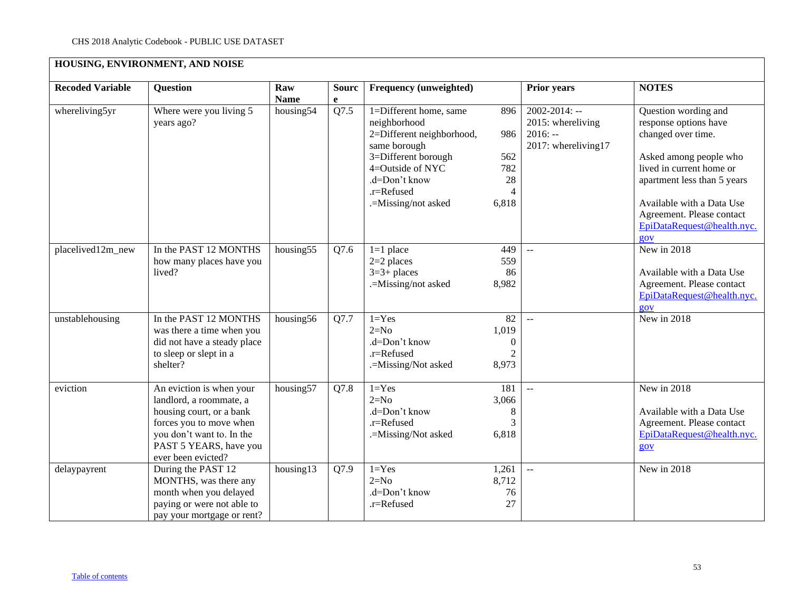# **HOUSING, ENVIRONMENT, AND NOISE**

| <b>Recoded Variable</b> | Question                                                                                                                                                                                | Raw<br><b>Name</b> | <b>Sourc</b><br>e | Frequency (unweighted)                                                                                                                                                               |                                                            | <b>Prior years</b>                                                          | <b>NOTES</b>                                                                                                                                                                                                                                            |
|-------------------------|-----------------------------------------------------------------------------------------------------------------------------------------------------------------------------------------|--------------------|-------------------|--------------------------------------------------------------------------------------------------------------------------------------------------------------------------------------|------------------------------------------------------------|-----------------------------------------------------------------------------|---------------------------------------------------------------------------------------------------------------------------------------------------------------------------------------------------------------------------------------------------------|
| whereliving5yr          | Where were you living 5<br>years ago?                                                                                                                                                   | housing $54$       | Q7.5              | 1=Different home, same<br>neighborhood<br>2=Different neighborhood,<br>same borough<br>3=Different borough<br>4=Outside of NYC<br>.d=Don't know<br>.r=Refused<br>.=Missing/not asked | 896<br>986<br>562<br>782<br>28<br>4<br>6,818               | $2002 - 2014$ : --<br>2015: whereliving<br>$2016: -$<br>2017: whereliving17 | Question wording and<br>response options have<br>changed over time.<br>Asked among people who<br>lived in current home or<br>apartment less than 5 years<br>Available with a Data Use<br>Agreement. Please contact<br>EpiDataRequest@health.nyc.<br>90V |
| placelived12m_new       | In the PAST 12 MONTHS<br>how many places have you<br>lived?                                                                                                                             | housing55          | Q7.6              | $1=1$ place<br>$2=2$ places<br>$3=3+$ places<br>.=Missing/not asked                                                                                                                  | 449<br>559<br>86<br>8,982                                  | $\sim$                                                                      | New in 2018<br>Available with a Data Use<br>Agreement. Please contact<br>EpiDataRequest@health.nyc.<br>$g_{OV}$                                                                                                                                         |
| unstablehousing         | In the PAST 12 MONTHS<br>was there a time when you<br>did not have a steady place<br>to sleep or slept in a<br>shelter?                                                                 | housing56          | Q7.7              | $1 = Yes$<br>$2=N0$<br>.d=Don't know<br>.r=Refused<br>.=Missing/Not asked                                                                                                            | 82<br>1,019<br>$\boldsymbol{0}$<br>$\overline{2}$<br>8,973 | $\mathbb{L}^{\mathbb{L}}$                                                   | New in 2018                                                                                                                                                                                                                                             |
| eviction                | An eviction is when your<br>landlord, a roommate, a<br>housing court, or a bank<br>forces you to move when<br>you don't want to. In the<br>PAST 5 YEARS, have you<br>ever been evicted? | housing57          | Q7.8              | $1 = Yes$<br>$2=N0$<br>.d=Don't know<br>.r=Refused<br>.=Missing/Not asked                                                                                                            | 181<br>3,066<br>8<br>3<br>6,818                            | $\sim$                                                                      | New in 2018<br>Available with a Data Use<br>Agreement. Please contact<br>EpiDataRequest@health.nyc.<br>gov                                                                                                                                              |
| delaypayrent            | During the PAST 12<br>MONTHS, was there any<br>month when you delayed<br>paying or were not able to<br>pay your mortgage or rent?                                                       | housing13          | Q7.9              | $1 = Yes$<br>$2=N0$<br>.d=Don't know<br>.r=Refused                                                                                                                                   | 1,261<br>8,712<br>76<br>27                                 | $\mathbb{L}^{\mathbb{L}}$                                                   | New in 2018                                                                                                                                                                                                                                             |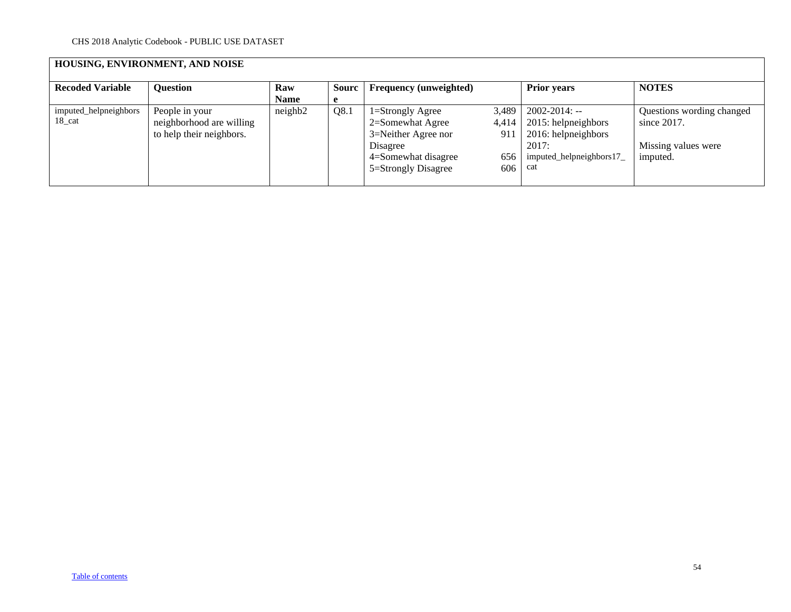# **HOUSING, ENVIRONMENT, AND NOISE**

| <b>Recoded Variable</b> | <b>Ouestion</b>          | Raw         | <b>Sourc</b> | <b>Frequency (unweighted)</b> |       | <b>Prior years</b>      | <b>NOTES</b>              |
|-------------------------|--------------------------|-------------|--------------|-------------------------------|-------|-------------------------|---------------------------|
|                         |                          | <b>Name</b> | e            |                               |       |                         |                           |
| imputed_helpneighbors   | People in your           | neighbour   | Q8.1         | $1 =$ Strongly Agree          | 3,489 | $2002 - 2014$ : --      | Questions wording changed |
| 18 cat                  | neighborhood are willing |             |              | 2=Somewhat Agree              | 4.414 | 2015: helpneighbors     | since $2017$ .            |
|                         | to help their neighbors. |             |              | 3=Neither Agree nor           | 911   | 2016: helpneighbors     |                           |
|                         |                          |             |              | Disagree                      |       | 2017:                   | Missing values were       |
|                         |                          |             |              | 4=Somewhat disagree           | 656   | imputed helpneighbors17 | imputed.                  |
|                         |                          |             |              | 5=Strongly Disagree           | 606   | cat                     |                           |
|                         |                          |             |              |                               |       |                         |                           |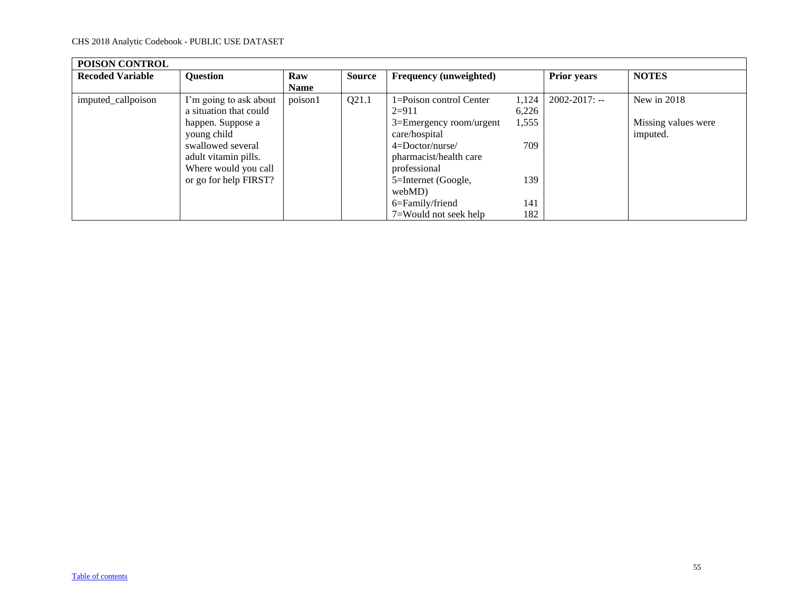<span id="page-54-0"></span>

| POISON CONTROL          |                        |             |               |                               |       |                    |                     |
|-------------------------|------------------------|-------------|---------------|-------------------------------|-------|--------------------|---------------------|
| <b>Recoded Variable</b> | <b>Question</b>        | Raw         | <b>Source</b> | <b>Frequency (unweighted)</b> |       | <b>Prior years</b> | <b>NOTES</b>        |
|                         |                        | <b>Name</b> |               |                               |       |                    |                     |
| imputed_callpoison      | I'm going to ask about | poison1     | Q21.1         | 1=Poison control Center       | 1,124 | $2002 - 2017$ : -- | New in 2018         |
|                         | a situation that could |             |               | $2=911$                       | 6,226 |                    |                     |
|                         | happen. Suppose a      |             |               | 3=Emergency room/urgent       | 1,555 |                    | Missing values were |
|                         | young child            |             |               | care/hospital                 |       |                    | imputed.            |
|                         | swallowed several      |             |               | $4 = Doctor/nurse/$           | 709   |                    |                     |
|                         | adult vitamin pills.   |             |               | pharmacist/health care        |       |                    |                     |
|                         | Where would you call   |             |               | professional                  |       |                    |                     |
|                         | or go for help FIRST?  |             |               | 5=Internet (Google,           | 139   |                    |                     |
|                         |                        |             |               | webMD)                        |       |                    |                     |
|                         |                        |             |               | 6=Family/friend               | 141   |                    |                     |
|                         |                        |             |               | 7=Would not seek help         | 182   |                    |                     |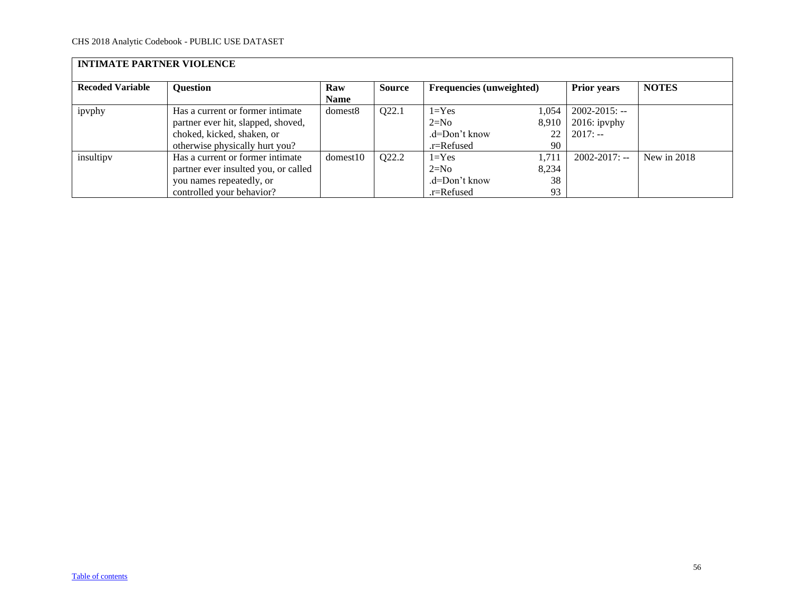<span id="page-55-0"></span>

| <b>INTIMATE PARTNER VIOLENCE</b> |                                                                                                                                        |                     |               |                                                    |                            |                                                    |               |  |  |
|----------------------------------|----------------------------------------------------------------------------------------------------------------------------------------|---------------------|---------------|----------------------------------------------------|----------------------------|----------------------------------------------------|---------------|--|--|
| <b>Recoded Variable</b>          | <b>Question</b>                                                                                                                        | Raw<br><b>Name</b>  | <b>Source</b> | <b>Frequencies (unweighted)</b>                    |                            | <b>Prior years</b>                                 | <b>NOTES</b>  |  |  |
| ipvphy                           | Has a current or former intimate<br>partner ever hit, slapped, shoved,<br>choked, kicked, shaken, or<br>otherwise physically hurt you? | domest <sub>8</sub> | Q22.1         | $1 = Yes$<br>$2=N0$<br>.d=Don't know<br>.r=Refused | 1,054<br>8,910<br>22<br>90 | $2002 - 2015$ : --<br>$2016$ : ipvphy<br>$2017: -$ |               |  |  |
| insultipy                        | Has a current or former intimate<br>partner ever insulted you, or called<br>you names repeatedly, or<br>controlled your behavior?      | domest10            | Q22.2         | $1 = Yes$<br>$2=N0$<br>.d=Don't know<br>.r=Refused | 1.711<br>8,234<br>38<br>93 | $2002 - 2017$ : --                                 | New in $2018$ |  |  |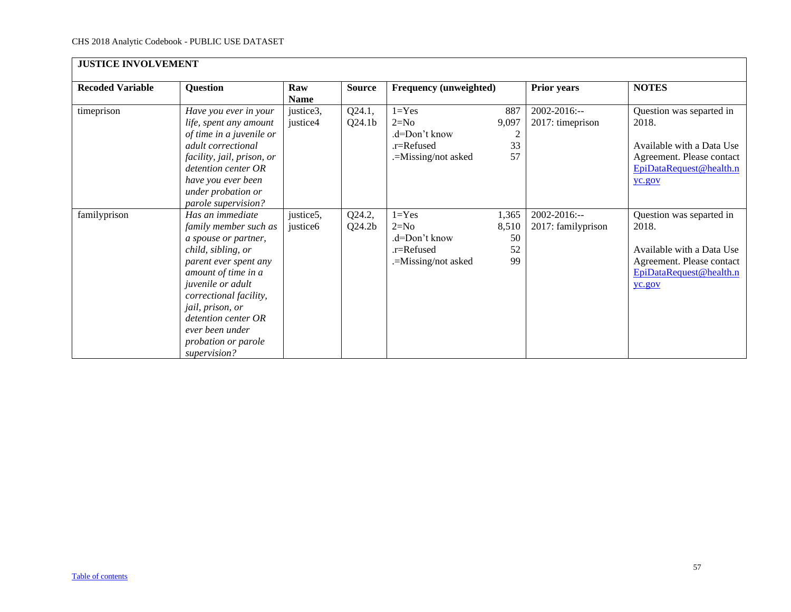<span id="page-56-0"></span>

| <b>JUSTICE INVOLVEMENT</b> |                                                                                                                                                                                                                                                                                             |                       |                              |                                                                           |                                            |                                    |                                                                                                                                  |
|----------------------------|---------------------------------------------------------------------------------------------------------------------------------------------------------------------------------------------------------------------------------------------------------------------------------------------|-----------------------|------------------------------|---------------------------------------------------------------------------|--------------------------------------------|------------------------------------|----------------------------------------------------------------------------------------------------------------------------------|
| <b>Recoded Variable</b>    | <b>Question</b>                                                                                                                                                                                                                                                                             | Raw<br><b>Name</b>    | <b>Source</b>                | Frequency (unweighted)                                                    |                                            | <b>Prior years</b>                 | <b>NOTES</b>                                                                                                                     |
| timeprison                 | Have you ever in your<br>life, spent any amount<br>of time in a juvenile or<br>adult correctional<br>facility, jail, prison, or<br>detention center OR<br>have you ever been<br>under probation or<br>parole supervision?                                                                   | justice3,<br>justice4 | Q24.1,<br>Q24.1 <sub>b</sub> | $1 = Yes$<br>$2=N0$<br>.d=Don't know<br>.r=Refused<br>.=Missing/not asked | 887<br>9,097<br>$\overline{2}$<br>33<br>57 | 2002-2016:--<br>2017: timeprison   | Question was separted in<br>2018.<br>Available with a Data Use<br>Agreement. Please contact<br>EpiDataRequest@health.n<br>yc.gov |
| familyprison               | Has an immediate<br>family member such as<br>a spouse or partner,<br>child, sibling, or<br>parent ever spent any<br>amount of time in a<br>juvenile or adult<br>correctional facility,<br>jail, prison, or<br>detention center OR<br>ever been under<br>probation or parole<br>supervision? | justice5,<br>justice6 | Q24.2,<br>Q24.2 <sub>b</sub> | $1 = Yes$<br>$2=N0$<br>.d=Don't know<br>.r=Refused<br>.=Missing/not asked | 1,365<br>8,510<br>50<br>52<br>99           | 2002-2016:--<br>2017: familyprison | Question was separted in<br>2018.<br>Available with a Data Use<br>Agreement. Please contact<br>EpiDataRequest@health.n<br>yc.gov |